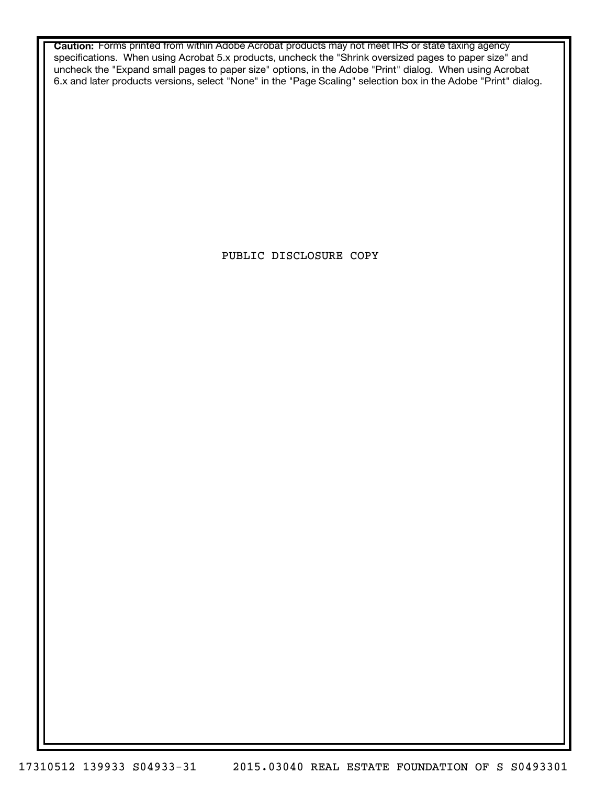**Caution:** Forms printed from within Adobe Acrobat products may not meet IRS or state taxing agency specifications. When using Acrobat 5.x products, uncheck the "Shrink oversized pages to paper size" and uncheck the "Expand small pages to paper size" options, in the Adobe "Print" dialog. When using Acrobat 6.x and later products versions, select "None" in the "Page Scaling" selection box in the Adobe "Print" dialog.

PUBLIC DISCLOSURE COPY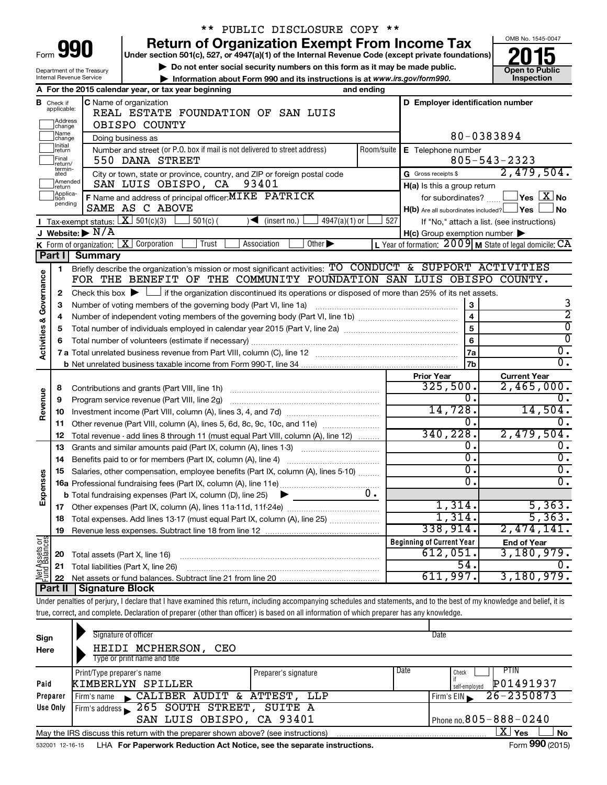|                                |                             |                                             | ** PUBLIC DISCLOSURE COPY **                                                                                                                                               |                             |            |                                                     |                                                                      |
|--------------------------------|-----------------------------|---------------------------------------------|----------------------------------------------------------------------------------------------------------------------------------------------------------------------------|-----------------------------|------------|-----------------------------------------------------|----------------------------------------------------------------------|
|                                |                             |                                             | <b>Return of Organization Exempt From Income Tax</b>                                                                                                                       |                             |            |                                                     | OMB No. 1545-0047                                                    |
| Form                           |                             | 990                                         | Under section 501(c), 527, or 4947(a)(1) of the Internal Revenue Code (except private foundations)                                                                         |                             |            |                                                     |                                                                      |
|                                |                             | Department of the Treasury                  | Do not enter social security numbers on this form as it may be made public.                                                                                                |                             |            |                                                     | <b>Open to Public</b>                                                |
|                                |                             | Internal Revenue Service                    | Information about Form 990 and its instructions is at www.irs.gov/form990.                                                                                                 |                             |            |                                                     | Inspection                                                           |
|                                |                             |                                             | A For the 2015 calendar year, or tax year beginning                                                                                                                        |                             | and ending |                                                     |                                                                      |
|                                | <b>B</b> Check if           |                                             | C Name of organization                                                                                                                                                     |                             |            | D Employer identification number                    |                                                                      |
|                                | applicable:                 |                                             | REAL ESTATE FOUNDATION OF SAN LUIS                                                                                                                                         |                             |            |                                                     |                                                                      |
|                                | Address<br> change          |                                             | OBISPO COUNTY                                                                                                                                                              |                             |            |                                                     |                                                                      |
|                                | 1Name<br>change             |                                             | Doing business as                                                                                                                                                          |                             |            |                                                     | 80-0383894                                                           |
|                                | Initial<br>return           |                                             | Number and street (or P.O. box if mail is not delivered to street address)                                                                                                 |                             | Room/suite | <b>E</b> Telephone number                           |                                                                      |
|                                | Final<br>return/            |                                             | 550 DANA STREET                                                                                                                                                            |                             |            |                                                     | $805 - 543 - 2323$                                                   |
|                                | termin-<br>ated             |                                             | City or town, state or province, country, and ZIP or foreign postal code                                                                                                   |                             |            | G Gross receipts \$                                 | 2,479,504.                                                           |
|                                | Amended<br>return           |                                             | SAN LUIS OBISPO, CA<br>93401                                                                                                                                               |                             |            | H(a) Is this a group return                         |                                                                      |
|                                | Applica-<br>tion<br>pending |                                             | F Name and address of principal officer: MIKE PATRICK                                                                                                                      |                             |            |                                                     | for subordinates? $\boxed{\phantom{a}}$ Yes $\boxed{\phantom{a}}$ No |
|                                |                             |                                             | SAME AS C ABOVE                                                                                                                                                            |                             |            | $H(b)$ Are all subordinates included? $\Box$ Yes    | ⊥No                                                                  |
|                                |                             | <b>I</b> Tax-exempt status: $X \ 501(c)(3)$ | $501(c)$ (<br>$\sqrt{\frac{1}{1}}$ (insert no.)                                                                                                                            | 4947(a)(1) or               | 527        |                                                     | If "No," attach a list. (see instructions)                           |
|                                |                             | J Website: $\triangleright$ N/A             |                                                                                                                                                                            |                             |            | $H(c)$ Group exemption number $\blacktriangleright$ |                                                                      |
|                                |                             |                                             | K Form of organization: $X$ Corporation<br>Trust<br>Association                                                                                                            | Other $\blacktriangleright$ |            |                                                     | L Year of formation: $2009$ M State of legal domicile: $CA$          |
|                                | Part II                     | Summary                                     |                                                                                                                                                                            |                             |            |                                                     |                                                                      |
|                                | 1                           |                                             | Briefly describe the organization's mission or most significant activities: TO CONDUCT & SUPPORT ACTIVITIES                                                                |                             |            |                                                     |                                                                      |
| Governance                     |                             |                                             | FOR THE BENEFIT OF THE COMMUNITY FOUNDATION SAN LUIS OBISPO COUNTY.                                                                                                        |                             |            |                                                     |                                                                      |
|                                | 2                           |                                             | Check this box $\blacktriangleright \Box$ if the organization discontinued its operations or disposed of more than 25% of its net assets.                                  |                             |            |                                                     |                                                                      |
|                                | З                           |                                             | Number of voting members of the governing body (Part VI, line 1a)                                                                                                          |                             |            | 3                                                   | 3                                                                    |
|                                | 4                           |                                             |                                                                                                                                                                            |                             |            | 4                                                   | $\overline{2}$                                                       |
| <b>Activities &amp;</b>        | 5                           |                                             |                                                                                                                                                                            |                             |            | 5                                                   | $\overline{0}$                                                       |
|                                | 6                           |                                             |                                                                                                                                                                            |                             |            | 6                                                   | $\Omega$                                                             |
|                                |                             |                                             |                                                                                                                                                                            |                             |            | 7a                                                  | 0.                                                                   |
|                                |                             |                                             |                                                                                                                                                                            |                             |            | 7b                                                  | $\overline{0}$ .                                                     |
|                                |                             |                                             |                                                                                                                                                                            |                             |            | <b>Prior Year</b>                                   | <b>Current Year</b>                                                  |
|                                | 8                           |                                             |                                                                                                                                                                            |                             |            | 325,500.<br>0.                                      | 2,465,000.                                                           |
| Revenue                        | 9                           |                                             | Program service revenue (Part VIII, line 2g)                                                                                                                               |                             |            | 14,728.                                             | 14,504.                                                              |
|                                | 10                          |                                             |                                                                                                                                                                            |                             |            | 0.                                                  |                                                                      |
|                                | 11                          |                                             | Other revenue (Part VIII, column (A), lines 5, 6d, 8c, 9c, 10c, and 11e)                                                                                                   |                             |            | 340,228.                                            | 2,479,504.                                                           |
|                                | 12                          |                                             | Total revenue - add lines 8 through 11 (must equal Part VIII, column (A), line 12)                                                                                         |                             |            | 0.                                                  | о.                                                                   |
|                                | 13                          |                                             | Grants and similar amounts paid (Part IX, column (A), lines 1-3)                                                                                                           |                             |            | σ.                                                  | $\overline{0}$ .                                                     |
|                                | 14                          |                                             | Benefits paid to or for members (Part IX, column (A), line 4)                                                                                                              |                             |            |                                                     |                                                                      |
|                                |                             |                                             | 15 Salaries, other compensation, employee benefits (Part IX, column (A), lines 5-10)                                                                                       |                             |            | υ.<br>О.                                            | $\mathbf{0}$ .<br>$\overline{0}$ .                                   |
| Expenses                       |                             |                                             |                                                                                                                                                                            |                             | υ.         |                                                     |                                                                      |
|                                |                             |                                             | <b>b</b> Total fundraising expenses (Part IX, column (D), line 25)<br>▸                                                                                                    |                             |            | 1,314.                                              | 5,363.                                                               |
|                                |                             |                                             |                                                                                                                                                                            |                             |            | 1,314.                                              | 5,363.                                                               |
|                                | 18                          |                                             | Total expenses. Add lines 13-17 (must equal Part IX, column (A), line 25)                                                                                                  |                             |            | 338,914.                                            | 2,474,141.                                                           |
|                                | 19                          |                                             |                                                                                                                                                                            |                             |            | <b>Beginning of Current Year</b>                    | <b>End of Year</b>                                                   |
| Net Assets or<br>Fund Balances |                             | Total assets (Part X, line 16)              |                                                                                                                                                                            |                             |            | 612,051.                                            | 3,180,979.                                                           |
|                                | 20<br>21                    |                                             | Total liabilities (Part X, line 26)                                                                                                                                        |                             |            | 54.                                                 | υ.                                                                   |
|                                | 22                          |                                             |                                                                                                                                                                            |                             |            | 611,997.                                            | 3,180,979.                                                           |
|                                | Part II                     | <b>Signature Block</b>                      |                                                                                                                                                                            |                             |            |                                                     |                                                                      |
|                                |                             |                                             | Under penalties of perjury, I declare that I have examined this return, including accompanying schedules and statements, and to the best of my knowledge and belief, it is |                             |            |                                                     |                                                                      |
|                                |                             |                                             | true, correct, and complete. Declaration of preparer (other than officer) is based on all information of which preparer has any knowledge.                                 |                             |            |                                                     |                                                                      |
|                                |                             |                                             |                                                                                                                                                                            |                             |            |                                                     |                                                                      |
| Sign                           |                             |                                             | Signature of officer                                                                                                                                                       |                             |            | Date                                                |                                                                      |
| Here                           |                             |                                             | HEIDI MCPHERSON,<br>CEO                                                                                                                                                    |                             |            |                                                     |                                                                      |
|                                |                             |                                             | Type or print name and title                                                                                                                                               |                             |            |                                                     |                                                                      |
|                                |                             |                                             |                                                                                                                                                                            |                             |            | ∏Date                                               | TIL PTIN                                                             |

|          | Print/Type preparer's name                                                        | Preparer's signature | Date | <b>PTIN</b><br>Check           |
|----------|-----------------------------------------------------------------------------------|----------------------|------|--------------------------------|
| Paid     | KIMBERLYN SPILLER                                                                 |                      |      | P01491937<br>self-emploved     |
| Preparer | CALIBER AUDIT & ATTEST, LLP<br>Firm's name                                        |                      |      | $26 - 2350873$<br>Firm's $EIN$ |
| Use Only | Firm's address 265 SOUTH STREET, SUITE A                                          |                      |      |                                |
|          | SAN LUIS OBISPO, CA 93401                                                         |                      |      | Phone no. $805 - 888 - 0240$   |
|          | May the IRS discuss this return with the preparer shown above? (see instructions) |                      |      | Yes<br>No<br>A                 |

532001 12-16-15 **For Paperwork Reduction Act Notice, see the separate instructions.** LHA Form (2015)

Form **990** (2015)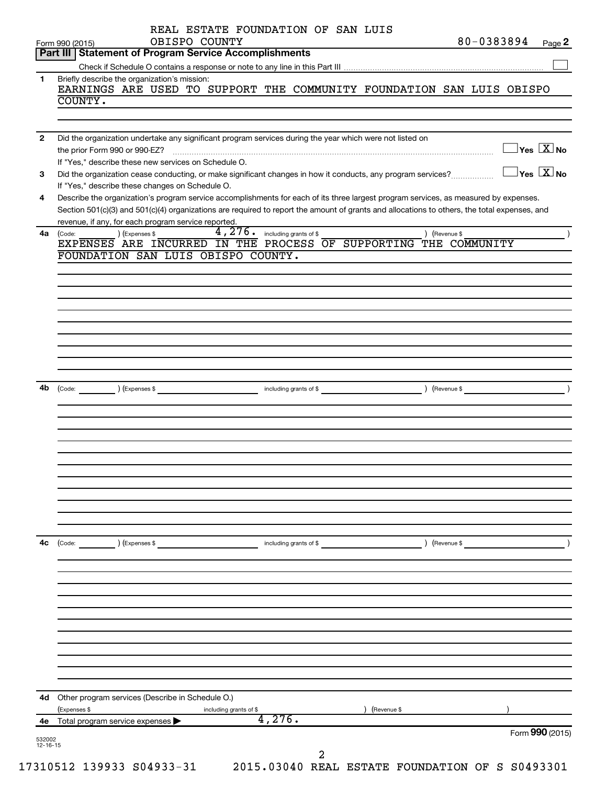|              | 80-0383894<br>OBISPO COUNTY<br>Form 990 (2015)<br>Page 2                                                                                                                                                    |
|--------------|-------------------------------------------------------------------------------------------------------------------------------------------------------------------------------------------------------------|
|              | Part III   Statement of Program Service Accomplishments                                                                                                                                                     |
| 1            | Briefly describe the organization's mission:                                                                                                                                                                |
|              | EARNINGS ARE USED TO SUPPORT THE COMMUNITY FOUNDATION SAN LUIS OBISPO                                                                                                                                       |
|              | COUNTY.                                                                                                                                                                                                     |
|              |                                                                                                                                                                                                             |
| $\mathbf{2}$ | Did the organization undertake any significant program services during the year which were not listed on                                                                                                    |
|              | $\overline{\ }$ Yes $\overline{\rm X}$ No<br>the prior Form 990 or 990-EZ?                                                                                                                                  |
| 3            | If "Yes," describe these new services on Schedule O.<br>$\exists$ Yes $\boxed{\text{X}}$ No<br>Did the organization cease conducting, or make significant changes in how it conducts, any program services? |
|              | If "Yes," describe these changes on Schedule O.                                                                                                                                                             |
| 4            | Describe the organization's program service accomplishments for each of its three largest program services, as measured by expenses.                                                                        |
|              | Section 501(c)(3) and 501(c)(4) organizations are required to report the amount of grants and allocations to others, the total expenses, and                                                                |
| 4a           | revenue, if any, for each program service reported.<br>$4,276.$ including grants of \$<br>) (Revenue \$<br>) (Expenses \$<br>(Code:                                                                         |
|              | EXPENSES ARE INCURRED IN THE PROCESS OF SUPPORTING THE COMMUNITY                                                                                                                                            |
|              | FOUNDATION SAN LUIS OBISPO COUNTY.                                                                                                                                                                          |
|              |                                                                                                                                                                                                             |
|              |                                                                                                                                                                                                             |
|              |                                                                                                                                                                                                             |
|              |                                                                                                                                                                                                             |
|              |                                                                                                                                                                                                             |
|              |                                                                                                                                                                                                             |
|              |                                                                                                                                                                                                             |
|              |                                                                                                                                                                                                             |
| 4b           |                                                                                                                                                                                                             |
|              |                                                                                                                                                                                                             |
|              |                                                                                                                                                                                                             |
|              |                                                                                                                                                                                                             |
|              |                                                                                                                                                                                                             |
|              |                                                                                                                                                                                                             |
|              |                                                                                                                                                                                                             |
|              |                                                                                                                                                                                                             |
|              |                                                                                                                                                                                                             |
|              |                                                                                                                                                                                                             |
|              |                                                                                                                                                                                                             |
| 4с           | $\left(\text{Code:}\right)$ $\left(\text{Expenses $}\right)$<br>) (Revenue \$<br>including grants of \$                                                                                                     |
|              |                                                                                                                                                                                                             |
|              |                                                                                                                                                                                                             |
|              |                                                                                                                                                                                                             |
|              |                                                                                                                                                                                                             |
|              |                                                                                                                                                                                                             |
|              |                                                                                                                                                                                                             |
|              |                                                                                                                                                                                                             |
|              |                                                                                                                                                                                                             |
|              |                                                                                                                                                                                                             |
|              |                                                                                                                                                                                                             |
|              | 4d Other program services (Describe in Schedule O.)                                                                                                                                                         |
|              |                                                                                                                                                                                                             |
| 4е           | (Expenses \$<br>(Revenue \$<br>including grants of \$<br>4,276.<br>Total program service expenses                                                                                                           |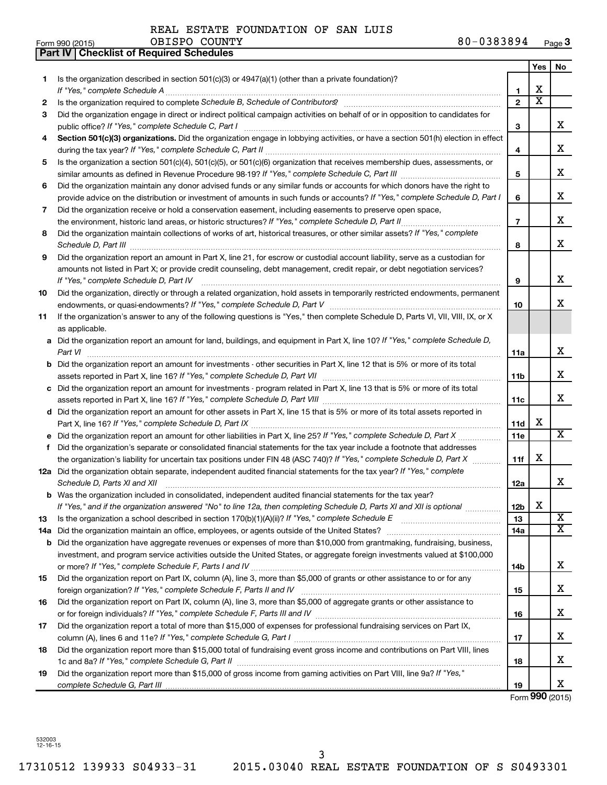OBISPO COUNTY

| Form 990 (2015) | OBISPO COUNTY | 80-0383894<br>Page 3 |
|-----------------|---------------|----------------------|
|-----------------|---------------|----------------------|

|     | Part IV   Checklist of Required Schedules                                                                                                                                                                                            |                 |                       |                             |
|-----|--------------------------------------------------------------------------------------------------------------------------------------------------------------------------------------------------------------------------------------|-----------------|-----------------------|-----------------------------|
|     |                                                                                                                                                                                                                                      |                 | Yes                   | No                          |
| 1   | Is the organization described in section 501(c)(3) or $4947(a)(1)$ (other than a private foundation)?                                                                                                                                |                 |                       |                             |
|     |                                                                                                                                                                                                                                      | 1               | х                     |                             |
| 2   |                                                                                                                                                                                                                                      | $\overline{2}$  | $\overline{\text{x}}$ |                             |
| 3   | Did the organization engage in direct or indirect political campaign activities on behalf of or in opposition to candidates for                                                                                                      |                 |                       |                             |
|     |                                                                                                                                                                                                                                      | 3               |                       | x                           |
| 4   | Section 501(c)(3) organizations. Did the organization engage in lobbying activities, or have a section 501(h) election in effect                                                                                                     |                 |                       |                             |
|     |                                                                                                                                                                                                                                      | 4               |                       | X                           |
| 5   | Is the organization a section 501(c)(4), 501(c)(5), or 501(c)(6) organization that receives membership dues, assessments, or                                                                                                         |                 |                       |                             |
|     |                                                                                                                                                                                                                                      | 5               |                       | X                           |
| 6   | Did the organization maintain any donor advised funds or any similar funds or accounts for which donors have the right to                                                                                                            |                 |                       |                             |
|     | provide advice on the distribution or investment of amounts in such funds or accounts? If "Yes," complete Schedule D, Part I                                                                                                         | 6               |                       | x                           |
| 7   | Did the organization receive or hold a conservation easement, including easements to preserve open space,                                                                                                                            |                 |                       |                             |
|     | the environment, historic land areas, or historic structures? If "Yes," complete Schedule D, Part II                                                                                                                                 | $\overline{7}$  |                       | X                           |
| 8   | Did the organization maintain collections of works of art, historical treasures, or other similar assets? If "Yes," complete                                                                                                         |                 |                       |                             |
|     | Schedule D, Part III <b>Marting Constructs</b> 2014 11 2014 12:00 12:00 12:00 12:00 12:00 12:00 12:00 12:00 12:00 12:00 12:00 12:00 12:00 12:00 12:00 12:00 12:00 12:00 12:00 12:00 12:00 12:00 12:00 12:00 12:00 12:00 12:00 12:00  | 8               |                       | X                           |
| 9   | Did the organization report an amount in Part X, line 21, for escrow or custodial account liability, serve as a custodian for                                                                                                        |                 |                       |                             |
|     | amounts not listed in Part X; or provide credit counseling, debt management, credit repair, or debt negotiation services?                                                                                                            |                 |                       |                             |
|     | If "Yes," complete Schedule D, Part IV                                                                                                                                                                                               | 9               |                       | X                           |
| 10  | Did the organization, directly or through a related organization, hold assets in temporarily restricted endowments, permanent                                                                                                        |                 |                       |                             |
|     |                                                                                                                                                                                                                                      | 10              |                       | х                           |
| 11  | If the organization's answer to any of the following questions is "Yes," then complete Schedule D, Parts VI, VII, VIII, IX, or X                                                                                                     |                 |                       |                             |
|     | as applicable.                                                                                                                                                                                                                       |                 |                       |                             |
|     | a Did the organization report an amount for land, buildings, and equipment in Part X, line 10? If "Yes," complete Schedule D,                                                                                                        |                 |                       |                             |
|     | Part VI                                                                                                                                                                                                                              | 11a             |                       | X                           |
|     | <b>b</b> Did the organization report an amount for investments - other securities in Part X, line 12 that is 5% or more of its total                                                                                                 |                 |                       |                             |
|     |                                                                                                                                                                                                                                      | 11b             |                       | х                           |
|     | c Did the organization report an amount for investments - program related in Part X, line 13 that is 5% or more of its total                                                                                                         |                 |                       |                             |
|     |                                                                                                                                                                                                                                      | 11c             |                       | x                           |
|     | d Did the organization report an amount for other assets in Part X, line 15 that is 5% or more of its total assets reported in                                                                                                       |                 |                       |                             |
|     |                                                                                                                                                                                                                                      | 11d             | X                     |                             |
|     | Did the organization report an amount for other liabilities in Part X, line 25? If "Yes," complete Schedule D, Part X                                                                                                                | 11e             |                       | $\overline{\mathbf{X}}$     |
| f   | Did the organization's separate or consolidated financial statements for the tax year include a footnote that addresses                                                                                                              |                 |                       |                             |
|     | the organization's liability for uncertain tax positions under FIN 48 (ASC 740)? If "Yes," complete Schedule D, Part X                                                                                                               | 11f             | X                     |                             |
|     | 12a Did the organization obtain separate, independent audited financial statements for the tax year? If "Yes," complete                                                                                                              |                 |                       |                             |
|     |                                                                                                                                                                                                                                      | 12a             |                       | x                           |
| b   | Schedule D, Parts XI and XII <b>contained a contained a contained a contained a contained a contained a contained a</b><br>Was the organization included in consolidated, independent audited financial statements for the tax year? |                 |                       |                             |
|     | If "Yes," and if the organization answered "No" to line 12a, then completing Schedule D, Parts XI and XII is optional                                                                                                                | 12 <sub>b</sub> | X                     |                             |
| 13  |                                                                                                                                                                                                                                      | 13              |                       | X                           |
| 14a | Did the organization maintain an office, employees, or agents outside of the United States?                                                                                                                                          | 14a             |                       | $\overline{\mathbf{x}}$     |
| b   | Did the organization have aggregate revenues or expenses of more than \$10,000 from grantmaking, fundraising, business,                                                                                                              |                 |                       |                             |
|     | investment, and program service activities outside the United States, or aggregate foreign investments valued at \$100,000                                                                                                           |                 |                       |                             |
|     |                                                                                                                                                                                                                                      | 14b             |                       | x                           |
| 15  | Did the organization report on Part IX, column (A), line 3, more than \$5,000 of grants or other assistance to or for any                                                                                                            |                 |                       |                             |
|     |                                                                                                                                                                                                                                      | 15              |                       | х                           |
| 16  | Did the organization report on Part IX, column (A), line 3, more than \$5,000 of aggregate grants or other assistance to                                                                                                             |                 |                       |                             |
|     |                                                                                                                                                                                                                                      | 16              |                       | x                           |
| 17  | Did the organization report a total of more than \$15,000 of expenses for professional fundraising services on Part IX,                                                                                                              |                 |                       |                             |
|     |                                                                                                                                                                                                                                      | 17              |                       | x                           |
| 18  | Did the organization report more than \$15,000 total of fundraising event gross income and contributions on Part VIII, lines                                                                                                         |                 |                       |                             |
|     |                                                                                                                                                                                                                                      | 18              |                       | х                           |
| 19  | Did the organization report more than \$15,000 of gross income from gaming activities on Part VIII, line 9a? If "Yes,"                                                                                                               |                 |                       |                             |
|     |                                                                                                                                                                                                                                      | 19              |                       | x                           |
|     |                                                                                                                                                                                                                                      |                 |                       | $F_{\text{OCD}}$ 990 (2015) |

Form **990** (2015)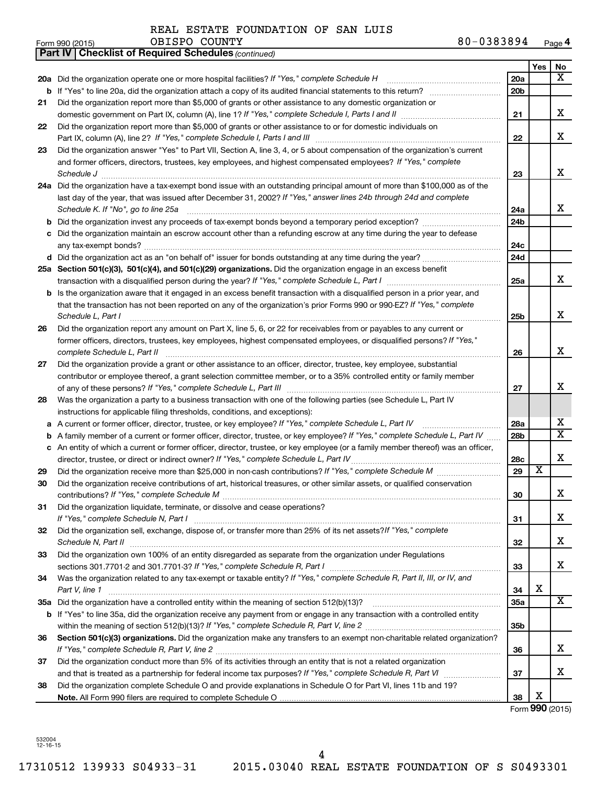|    | 80-0383894<br>OBISPO COUNTY<br>Form 990 (2015)                                                                                                                                                                                                               |                 |                         | Page 4                              |
|----|--------------------------------------------------------------------------------------------------------------------------------------------------------------------------------------------------------------------------------------------------------------|-----------------|-------------------------|-------------------------------------|
|    | <b>Checklist of Required Schedules (continued)</b><br>Part IV                                                                                                                                                                                                |                 |                         |                                     |
|    | 20a Did the organization operate one or more hospital facilities? If "Yes," complete Schedule H                                                                                                                                                              | 20a             | Yes                     | No<br>X                             |
| b  |                                                                                                                                                                                                                                                              | 20 <sub>b</sub> |                         |                                     |
| 21 | Did the organization report more than \$5,000 of grants or other assistance to any domestic organization or                                                                                                                                                  |                 |                         |                                     |
|    |                                                                                                                                                                                                                                                              | 21              |                         | X                                   |
| 22 | Did the organization report more than \$5,000 of grants or other assistance to or for domestic individuals on                                                                                                                                                |                 |                         |                                     |
|    |                                                                                                                                                                                                                                                              | 22              |                         | X                                   |
| 23 | Did the organization answer "Yes" to Part VII, Section A, line 3, 4, or 5 about compensation of the organization's current                                                                                                                                   |                 |                         |                                     |
|    | and former officers, directors, trustees, key employees, and highest compensated employees? If "Yes," complete                                                                                                                                               |                 |                         |                                     |
|    |                                                                                                                                                                                                                                                              | 23              |                         | X                                   |
|    | 24a Did the organization have a tax-exempt bond issue with an outstanding principal amount of more than \$100,000 as of the                                                                                                                                  |                 |                         |                                     |
|    | last day of the year, that was issued after December 31, 2002? If "Yes," answer lines 24b through 24d and complete                                                                                                                                           |                 |                         |                                     |
|    | Schedule K. If "No", go to line 25a                                                                                                                                                                                                                          | 24a             |                         | x                                   |
| b  |                                                                                                                                                                                                                                                              | 24 <sub>b</sub> |                         |                                     |
|    | c Did the organization maintain an escrow account other than a refunding escrow at any time during the year to defease                                                                                                                                       |                 |                         |                                     |
|    |                                                                                                                                                                                                                                                              | 24c             |                         |                                     |
|    |                                                                                                                                                                                                                                                              | 24d             |                         |                                     |
|    | 25a Section 501(c)(3), 501(c)(4), and 501(c)(29) organizations. Did the organization engage in an excess benefit                                                                                                                                             |                 |                         | X                                   |
|    | transaction with a disqualified person during the year? If "Yes," complete Schedule L, Part I manual manual manual manual manual manual manual manual manual manual manual manual manual manual manual manual manual manual ma                               | 25a             |                         |                                     |
|    | <b>b</b> Is the organization aware that it engaged in an excess benefit transaction with a disqualified person in a prior year, and<br>that the transaction has not been reported on any of the organization's prior Forms 990 or 990-EZ? If "Yes," complete |                 |                         |                                     |
|    | Schedule L, Part I                                                                                                                                                                                                                                           | 25b             |                         | X                                   |
| 26 | Did the organization report any amount on Part X, line 5, 6, or 22 for receivables from or payables to any current or                                                                                                                                        |                 |                         |                                     |
|    | former officers, directors, trustees, key employees, highest compensated employees, or disqualified persons? If "Yes,"                                                                                                                                       |                 |                         |                                     |
|    | complete Schedule L, Part II                                                                                                                                                                                                                                 | 26              |                         | X                                   |
| 27 | Did the organization provide a grant or other assistance to an officer, director, trustee, key employee, substantial                                                                                                                                         |                 |                         |                                     |
|    | contributor or employee thereof, a grant selection committee member, or to a 35% controlled entity or family member                                                                                                                                          |                 |                         |                                     |
|    |                                                                                                                                                                                                                                                              | 27              |                         | х                                   |
| 28 | Was the organization a party to a business transaction with one of the following parties (see Schedule L, Part IV                                                                                                                                            |                 |                         |                                     |
|    | instructions for applicable filing thresholds, conditions, and exceptions):                                                                                                                                                                                  |                 |                         |                                     |
| а  | A current or former officer, director, trustee, or key employee? If "Yes," complete Schedule L, Part IV                                                                                                                                                      | 28a             |                         | х                                   |
| b  | A family member of a current or former officer, director, trustee, or key employee? If "Yes," complete Schedule L, Part IV                                                                                                                                   | 28 <sub>b</sub> |                         | $\overline{\mathbf{x}}$             |
|    | c An entity of which a current or former officer, director, trustee, or key employee (or a family member thereof) was an officer,                                                                                                                            |                 |                         |                                     |
|    | director, trustee, or direct or indirect owner? If "Yes," complete Schedule L, Part IV                                                                                                                                                                       | 28c             |                         | X                                   |
| 29 |                                                                                                                                                                                                                                                              | 29              | $\overline{\textbf{x}}$ |                                     |
| 30 | Did the organization receive contributions of art, historical treasures, or other similar assets, or qualified conservation                                                                                                                                  |                 |                         | X                                   |
|    | Did the organization liquidate, terminate, or dissolve and cease operations?                                                                                                                                                                                 | 30              |                         |                                     |
| 31 |                                                                                                                                                                                                                                                              | 31              |                         | x                                   |
| 32 | Did the organization sell, exchange, dispose of, or transfer more than 25% of its net assets? If "Yes," complete                                                                                                                                             |                 |                         |                                     |
|    |                                                                                                                                                                                                                                                              | 32              |                         | x                                   |
| 33 | Did the organization own 100% of an entity disregarded as separate from the organization under Regulations                                                                                                                                                   |                 |                         |                                     |
|    |                                                                                                                                                                                                                                                              | 33              |                         | X                                   |
| 34 | Was the organization related to any tax-exempt or taxable entity? If "Yes," complete Schedule R, Part II, III, or IV, and                                                                                                                                    |                 |                         |                                     |
|    | Part V, line 1                                                                                                                                                                                                                                               | 34              | X                       |                                     |
|    |                                                                                                                                                                                                                                                              | 35a             |                         | $\overline{\mathbf{X}}$             |
|    | b If "Yes" to line 35a, did the organization receive any payment from or engage in any transaction with a controlled entity                                                                                                                                  |                 |                         |                                     |
|    |                                                                                                                                                                                                                                                              | 35 <sub>b</sub> |                         |                                     |
| 36 | Section 501(c)(3) organizations. Did the organization make any transfers to an exempt non-charitable related organization?                                                                                                                                   |                 |                         |                                     |
|    |                                                                                                                                                                                                                                                              | 36              |                         | x                                   |
| 37 | Did the organization conduct more than 5% of its activities through an entity that is not a related organization                                                                                                                                             |                 |                         |                                     |
|    |                                                                                                                                                                                                                                                              | 37              |                         | x                                   |
| 38 | Did the organization complete Schedule O and provide explanations in Schedule O for Part VI, lines 11b and 19?                                                                                                                                               | 38              | X                       |                                     |
|    |                                                                                                                                                                                                                                                              |                 |                         | $F_{\text{arm}}$ QQ $\Omega$ (2015) |

Form **990** (2015)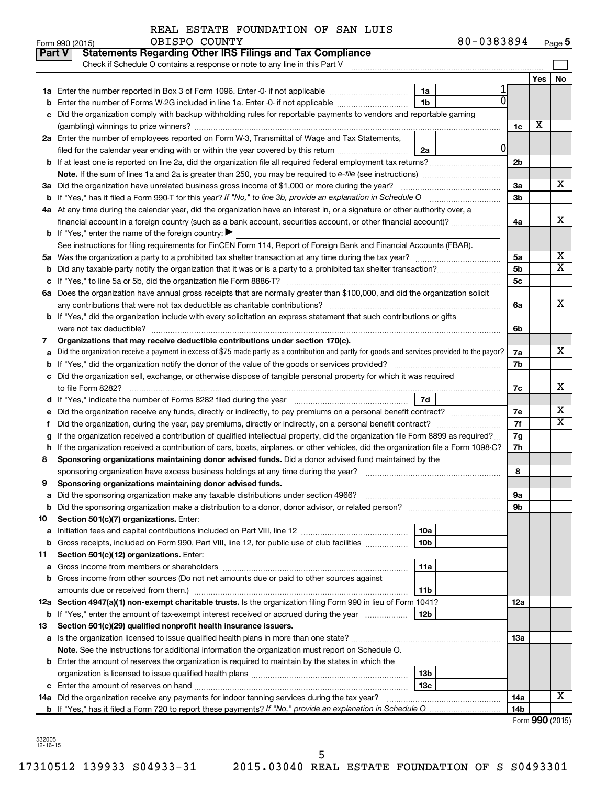| Form 990 (2015) | OBISPO<br>COUNTY | 80-0383894<br>Page 5 |  |
|-----------------|------------------|----------------------|--|
|-----------------|------------------|----------------------|--|

| Part V | <b>Statements Regarding Other IRS Filings and Tax Compliance</b><br>Check if Schedule O contains a response or note to any line in this Part V  |                 |   |                 |     |                            |
|--------|-------------------------------------------------------------------------------------------------------------------------------------------------|-----------------|---|-----------------|-----|----------------------------|
|        |                                                                                                                                                 |                 |   |                 | Yes | No                         |
|        |                                                                                                                                                 | 1a              |   |                 |     |                            |
| b      | Enter the number of Forms W-2G included in line 1a. Enter -0- if not applicable                                                                 | 1 <sub>b</sub>  |   |                 |     |                            |
| с      | Did the organization comply with backup withholding rules for reportable payments to vendors and reportable gaming                              |                 |   |                 |     |                            |
|        |                                                                                                                                                 |                 |   | 1c              | X   |                            |
|        | 2a Enter the number of employees reported on Form W-3, Transmittal of Wage and Tax Statements,                                                  |                 |   |                 |     |                            |
|        | filed for the calendar year ending with or within the year covered by this return                                                               | 2a              | 0 |                 |     |                            |
|        |                                                                                                                                                 |                 |   | 2 <sub>b</sub>  |     |                            |
|        |                                                                                                                                                 |                 |   |                 |     |                            |
|        | 3a Did the organization have unrelated business gross income of \$1,000 or more during the year?                                                |                 |   | За              |     | х                          |
|        | <b>b</b> If "Yes," has it filed a Form 990-T for this year? If "No," to line 3b, provide an explanation in Schedule O manumum                   |                 |   | 3 <sub>b</sub>  |     |                            |
|        | 4a At any time during the calendar year, did the organization have an interest in, or a signature or other authority over, a                    |                 |   |                 |     |                            |
|        |                                                                                                                                                 |                 |   | 4a              |     | x                          |
|        | <b>b</b> If "Yes," enter the name of the foreign country: $\blacktriangleright$                                                                 |                 |   |                 |     |                            |
|        | See instructions for filing requirements for FinCEN Form 114, Report of Foreign Bank and Financial Accounts (FBAR).                             |                 |   |                 |     |                            |
|        |                                                                                                                                                 |                 |   | 5a              |     | х                          |
| b      |                                                                                                                                                 |                 |   | 5b              |     | $\overline{\text{X}}$      |
|        |                                                                                                                                                 |                 |   | 5 <sub>c</sub>  |     |                            |
|        | 6a Does the organization have annual gross receipts that are normally greater than \$100,000, and did the organization solicit                  |                 |   |                 |     |                            |
|        |                                                                                                                                                 |                 |   | 6а              |     | x                          |
|        | b If "Yes," did the organization include with every solicitation an express statement that such contributions or gifts                          |                 |   |                 |     |                            |
|        | were not tax deductible?                                                                                                                        |                 |   | 6b              |     |                            |
| 7      | Organizations that may receive deductible contributions under section 170(c).                                                                   |                 |   |                 |     |                            |
| а      | Did the organization receive a payment in excess of \$75 made partly as a contribution and partly for goods and services provided to the payor? |                 |   | 7a              |     | x                          |
|        |                                                                                                                                                 |                 |   | 7b              |     |                            |
|        | c Did the organization sell, exchange, or otherwise dispose of tangible personal property for which it was required                             |                 |   |                 |     |                            |
|        |                                                                                                                                                 |                 |   | 7c              |     | х                          |
|        |                                                                                                                                                 | 7d              |   |                 |     |                            |
| е      | Did the organization receive any funds, directly or indirectly, to pay premiums on a personal benefit contract?                                 |                 |   | 7e              |     | х<br>$\overline{\text{x}}$ |
| f.     | Did the organization, during the year, pay premiums, directly or indirectly, on a personal benefit contract?                                    |                 |   | 7f              |     |                            |
| g      | If the organization received a contribution of qualified intellectual property, did the organization file Form 8899 as required?                |                 |   | 7g              |     |                            |
| h      | If the organization received a contribution of cars, boats, airplanes, or other vehicles, did the organization file a Form 1098-C?              |                 |   | 7h              |     |                            |
| 8      | Sponsoring organizations maintaining donor advised funds. Did a donor advised fund maintained by the                                            |                 |   | 8               |     |                            |
| 9      | Sponsoring organizations maintaining donor advised funds.                                                                                       |                 |   |                 |     |                            |
|        |                                                                                                                                                 |                 |   | 9а              |     |                            |
| b      | Did the sponsoring organization make a distribution to a donor, donor advisor, or related person?                                               |                 |   | 9b              |     |                            |
| 10     | Section 501(c)(7) organizations. Enter:                                                                                                         |                 |   |                 |     |                            |
| а      |                                                                                                                                                 | 10a             |   |                 |     |                            |
| b      | Gross receipts, included on Form 990, Part VIII, line 12, for public use of club facilities                                                     | 10 <sub>b</sub> |   |                 |     |                            |
| 11     | Section 501(c)(12) organizations. Enter:                                                                                                        |                 |   |                 |     |                            |
| а      |                                                                                                                                                 | 11a             |   |                 |     |                            |
| b      | Gross income from other sources (Do not net amounts due or paid to other sources against                                                        |                 |   |                 |     |                            |
|        | amounts due or received from them.)                                                                                                             | 11b             |   |                 |     |                            |
|        | 12a Section 4947(a)(1) non-exempt charitable trusts. Is the organization filing Form 990 in lieu of Form 1041?                                  |                 |   | 12a             |     |                            |
| b      | If "Yes," enter the amount of tax-exempt interest received or accrued during the year                                                           | 12 <sub>b</sub> |   |                 |     |                            |
| 13     | Section 501(c)(29) qualified nonprofit health insurance issuers.                                                                                |                 |   |                 |     |                            |
| а      | Is the organization licensed to issue qualified health plans in more than one state?                                                            |                 |   | 1За             |     |                            |
|        | Note. See the instructions for additional information the organization must report on Schedule O.                                               |                 |   |                 |     |                            |
|        | <b>b</b> Enter the amount of reserves the organization is required to maintain by the states in which the                                       |                 |   |                 |     |                            |
|        |                                                                                                                                                 | 13 <sub>b</sub> |   |                 |     |                            |
| с      |                                                                                                                                                 | 13с             |   |                 |     |                            |
|        | 14a Did the organization receive any payments for indoor tanning services during the tax year?                                                  |                 |   | 14a             |     | х                          |
|        |                                                                                                                                                 |                 |   | 14 <sub>b</sub> |     |                            |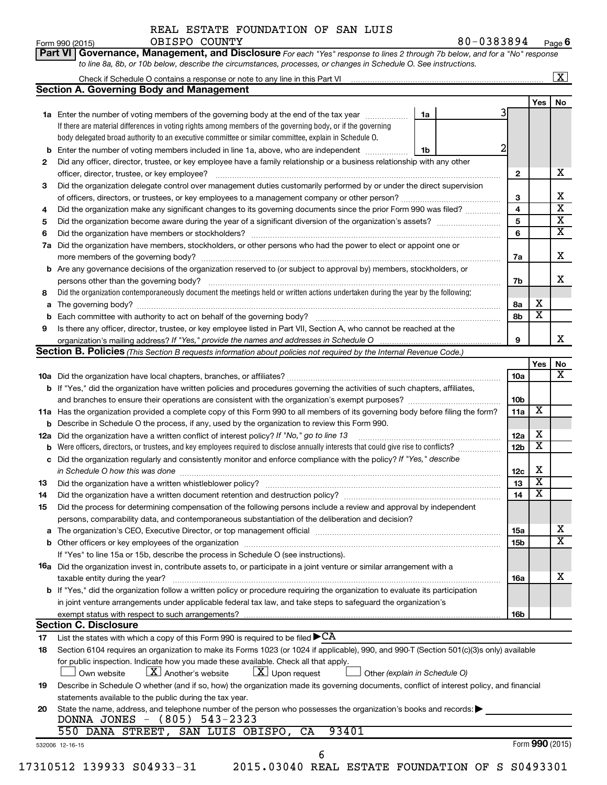OBISPO COUNTY

**Part VI** Governance, Management, and Disclosure For each "Yes" response to lines 2 through 7b below, and for a "No" response

|     | <b>Section A. Governing Body and Management</b>                                                                                                                                                                                |   |                 |                         |                         |
|-----|--------------------------------------------------------------------------------------------------------------------------------------------------------------------------------------------------------------------------------|---|-----------------|-------------------------|-------------------------|
|     |                                                                                                                                                                                                                                |   |                 | Yes                     | No                      |
|     | 1a Enter the number of voting members of the governing body at the end of the tax year <i>manumum</i><br>1a                                                                                                                    |   |                 |                         |                         |
|     | If there are material differences in voting rights among members of the governing body, or if the governing                                                                                                                    |   |                 |                         |                         |
|     | body delegated broad authority to an executive committee or similar committee, explain in Schedule O.                                                                                                                          |   |                 |                         |                         |
| b   | Enter the number of voting members included in line 1a, above, who are independent<br>1b                                                                                                                                       | 2 |                 |                         |                         |
| 2   | Did any officer, director, trustee, or key employee have a family relationship or a business relationship with any other                                                                                                       |   |                 |                         |                         |
|     |                                                                                                                                                                                                                                |   | $\mathbf{2}$    |                         | х                       |
| 3   | Did the organization delegate control over management duties customarily performed by or under the direct supervision                                                                                                          |   |                 |                         |                         |
|     |                                                                                                                                                                                                                                |   | 3               |                         | Χ                       |
| 4   | Did the organization make any significant changes to its governing documents since the prior Form 990 was filed?                                                                                                               |   | 4               |                         | $\overline{\mathbf{x}}$ |
| 5   |                                                                                                                                                                                                                                |   | 5               |                         | $\overline{\mathbf{X}}$ |
| 6   |                                                                                                                                                                                                                                |   | 6               |                         | $\overline{\textbf{X}}$ |
| 7a  | Did the organization have members, stockholders, or other persons who had the power to elect or appoint one or                                                                                                                 |   |                 |                         |                         |
|     |                                                                                                                                                                                                                                |   |                 |                         | X                       |
|     |                                                                                                                                                                                                                                |   | 7a              |                         |                         |
| b   | Are any governance decisions of the organization reserved to (or subject to approval by) members, stockholders, or                                                                                                             |   |                 |                         | x                       |
|     |                                                                                                                                                                                                                                |   | 7b              |                         |                         |
| 8   | Did the organization contemporaneously document the meetings held or written actions undertaken during the year by the following:                                                                                              |   |                 |                         |                         |
| а   |                                                                                                                                                                                                                                |   | 8а              | х                       |                         |
|     |                                                                                                                                                                                                                                |   | 8b              | $\overline{\textbf{x}}$ |                         |
| 9   | Is there any officer, director, trustee, or key employee listed in Part VII, Section A, who cannot be reached at the                                                                                                           |   |                 |                         |                         |
|     |                                                                                                                                                                                                                                |   | 9               |                         | х                       |
|     | <b>Section B. Policies</b> (This Section B requests information about policies not required by the Internal Revenue Code.)                                                                                                     |   |                 |                         |                         |
|     |                                                                                                                                                                                                                                |   |                 | Yes                     | No                      |
|     |                                                                                                                                                                                                                                |   | 10a             |                         | x                       |
|     | <b>b</b> If "Yes," did the organization have written policies and procedures governing the activities of such chapters, affiliates,                                                                                            |   |                 |                         |                         |
|     |                                                                                                                                                                                                                                |   | 10 <sub>b</sub> |                         |                         |
|     | 11a Has the organization provided a complete copy of this Form 990 to all members of its governing body before filing the form?                                                                                                |   | 11a             | X                       |                         |
|     | <b>b</b> Describe in Schedule O the process, if any, used by the organization to review this Form 990.                                                                                                                         |   |                 |                         |                         |
| 12a | Did the organization have a written conflict of interest policy? If "No," go to line 13                                                                                                                                        |   | 12a             | х                       |                         |
|     | Were officers, directors, or trustees, and key employees required to disclose annually interests that could give rise to conflicts?                                                                                            |   | 12 <sub>b</sub> | $\overline{\textbf{x}}$ |                         |
| с   | Did the organization regularly and consistently monitor and enforce compliance with the policy? If "Yes," describe                                                                                                             |   |                 |                         |                         |
|     |                                                                                                                                                                                                                                |   | 12c             | х                       |                         |
|     | in Schedule O how this was done manufactured and continuum and contact the state of the state of the state of                                                                                                                  |   |                 | $\overline{\textbf{x}}$ |                         |
| 13  |                                                                                                                                                                                                                                |   | 13              | $\overline{\textbf{x}}$ |                         |
| 14  |                                                                                                                                                                                                                                |   | 14              |                         |                         |
| 15  | Did the process for determining compensation of the following persons include a review and approval by independent                                                                                                             |   |                 |                         |                         |
|     | persons, comparability data, and contemporaneous substantiation of the deliberation and decision?                                                                                                                              |   |                 |                         |                         |
|     | a The organization's CEO, Executive Director, or top management official manufactured content content of the organization's CEO, Executive Director, or top management official manufactured content of the state of the conte |   | 15a             |                         | х                       |
|     |                                                                                                                                                                                                                                |   | 15 <sub>b</sub> |                         | $\overline{\text{X}}$   |
|     | If "Yes" to line 15a or 15b, describe the process in Schedule O (see instructions).                                                                                                                                            |   |                 |                         |                         |
|     | 16a Did the organization invest in, contribute assets to, or participate in a joint venture or similar arrangement with a                                                                                                      |   |                 |                         |                         |
|     |                                                                                                                                                                                                                                |   | 16a             |                         | x                       |
|     | taxable entity during the year?                                                                                                                                                                                                |   |                 |                         |                         |
|     |                                                                                                                                                                                                                                |   |                 |                         |                         |
|     | b If "Yes," did the organization follow a written policy or procedure requiring the organization to evaluate its participation                                                                                                 |   |                 |                         |                         |
|     | in joint venture arrangements under applicable federal tax law, and take steps to safeguard the organization's                                                                                                                 |   |                 |                         |                         |
|     | exempt status with respect to such arrangements?                                                                                                                                                                               |   | 16b             |                         |                         |
|     | <b>Section C. Disclosure</b>                                                                                                                                                                                                   |   |                 |                         |                         |
| 17  | List the states with which a copy of this Form 990 is required to be filed $\blacktriangleright$ CA                                                                                                                            |   |                 |                         |                         |
| 18  | Section 6104 requires an organization to make its Forms 1023 (or 1024 if applicable), 990, and 990-T (Section 501(c)(3)s only) available                                                                                       |   |                 |                         |                         |
|     | for public inspection. Indicate how you made these available. Check all that apply.                                                                                                                                            |   |                 |                         |                         |
|     | $\lfloor x \rfloor$ Upon request<br>$ \mathbf{X} $ Another's website<br>Other (explain in Schedule O)<br>Own website                                                                                                           |   |                 |                         |                         |
| 19  | Describe in Schedule O whether (and if so, how) the organization made its governing documents, conflict of interest policy, and financial                                                                                      |   |                 |                         |                         |
|     | statements available to the public during the tax year.                                                                                                                                                                        |   |                 |                         |                         |
| 20  | State the name, address, and telephone number of the person who possesses the organization's books and records:                                                                                                                |   |                 |                         |                         |
|     | DONNA JONES - (805) 543-2323                                                                                                                                                                                                   |   |                 |                         |                         |
|     | 93401<br>550 DANA STREET, SAN LUIS OBISPO, CA                                                                                                                                                                                  |   |                 | Form 990 (2015)         |                         |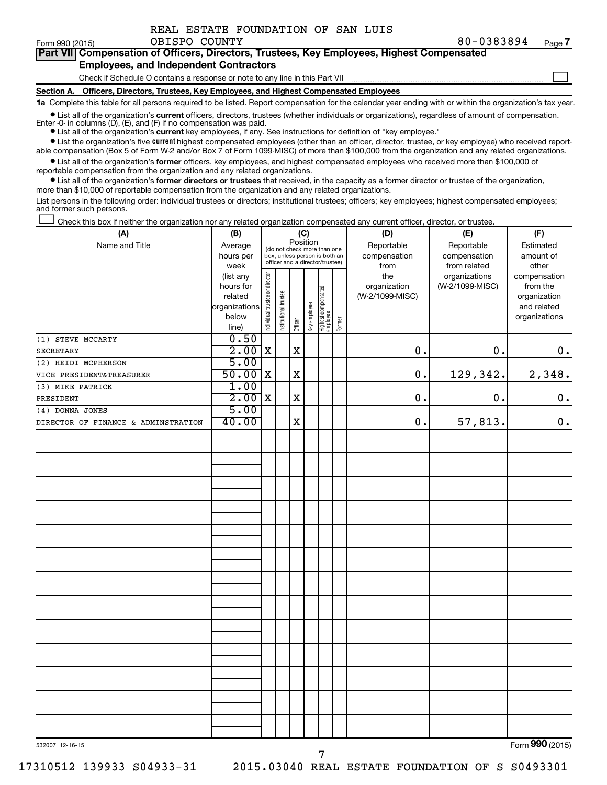| REAL ESTATE FOUNDATION OF SAN LUIS |  |  |  |  |  |  |
|------------------------------------|--|--|--|--|--|--|
|------------------------------------|--|--|--|--|--|--|

Form 990 (2015)  $OBISPO$   $COUNTY$   $80-0383894$   $Page$ **7**

|   |  |  |  |  |                                                                              |  |  | <b>Part VII</b> Compensation of Officers, Directors, Trustees, Key Employees, Highest Compensated |  |
|---|--|--|--|--|------------------------------------------------------------------------------|--|--|---------------------------------------------------------------------------------------------------|--|
|   |  |  |  |  | <b>Employees, and Independent Contractors</b>                                |  |  |                                                                                                   |  |
|   |  |  |  |  | Check if Schedule O contains a response or note to any line in this Part VII |  |  |                                                                                                   |  |
| . |  |  |  |  |                                                                              |  |  |                                                                                                   |  |

**Section A. Officers, Directors, Trustees, Key Employees, and Highest Compensated Employees**

**1a**  Complete this table for all persons required to be listed. Report compensation for the calendar year ending with or within the organization's tax year.

**•** List all of the organization's current officers, directors, trustees (whether individuals or organizations), regardless of amount of compensation. Enter -0- in columns  $(D)$ ,  $(E)$ , and  $(F)$  if no compensation was paid.

**•** List all of the organization's **current** key employees, if any. See instructions for definition of "key employee."

**•** List the organization's five current highest compensated employees (other than an officer, director, trustee, or key employee) who received reportable compensation (Box 5 of Form W-2 and/or Box 7 of Form 1099-MISC) of more than \$100,000 from the organization and any related organizations.

**•** List all of the organization's former officers, key employees, and highest compensated employees who received more than \$100,000 of reportable compensation from the organization and any related organizations.

**•** List all of the organization's former directors or trustees that received, in the capacity as a former director or trustee of the organization, more than \$10,000 of reportable compensation from the organization and any related organizations.

List persons in the following order: individual trustees or directors; institutional trustees; officers; key employees; highest compensated employees; and former such persons.

|  |  |  | Check this box if neither the organization nor any related organization compensated any current officer, director, or trustee. |  |  |
|--|--|--|--------------------------------------------------------------------------------------------------------------------------------|--|--|
|  |  |  |                                                                                                                                |  |  |

| (A)                                 | (B)                  | (C)                                     |                                                                  |             |              |                                 |           | (D)                             | (E)             | (F)                         |
|-------------------------------------|----------------------|-----------------------------------------|------------------------------------------------------------------|-------------|--------------|---------------------------------|-----------|---------------------------------|-----------------|-----------------------------|
| Name and Title                      | Average              | Position<br>(do not check more than one |                                                                  | Reportable  | Reportable   | Estimated                       |           |                                 |                 |                             |
|                                     | hours per            |                                         | box, unless person is both an<br>officer and a director/trustee) |             | compensation | compensation                    | amount of |                                 |                 |                             |
|                                     | week                 |                                         |                                                                  |             |              |                                 |           | from                            | from related    | other                       |
|                                     | (list any            |                                         |                                                                  |             |              |                                 |           | the                             | organizations   | compensation                |
|                                     | hours for<br>related |                                         |                                                                  |             |              |                                 |           | organization<br>(W-2/1099-MISC) | (W-2/1099-MISC) | from the                    |
|                                     | organizations        |                                         |                                                                  |             |              |                                 |           |                                 |                 | organization<br>and related |
|                                     | below                |                                         |                                                                  |             |              |                                 |           |                                 |                 | organizations               |
|                                     | line)                | Individual trustee or director          | Institutional trustee                                            | Officer     | Key employee | Highest compensated<br>employee | Former    |                                 |                 |                             |
| (1) STEVE MCCARTY                   | 0.50                 |                                         |                                                                  |             |              |                                 |           |                                 |                 |                             |
| <b>SECRETARY</b>                    | 2.00                 | $\mathbf X$                             |                                                                  | $\mathbf X$ |              |                                 |           | 0.                              | 0.              | 0.                          |
| (2) HEIDI MCPHERSON                 | 5.00                 |                                         |                                                                  |             |              |                                 |           |                                 |                 |                             |
| VICE PRESIDENT&TREASURER            | $50.00$ X            |                                         |                                                                  | X           |              |                                 |           | $\mathbf 0$ .                   | 129,342.        | 2,348.                      |
| (3) MIKE PATRICK                    | 1.00                 |                                         |                                                                  |             |              |                                 |           |                                 |                 |                             |
| PRESIDENT                           | 2.00x                |                                         |                                                                  | $\mathbf X$ |              |                                 |           | 0.                              | $\mathbf 0$ .   | $\mathbf 0$ .               |
| (4) DONNA JONES                     | 5.00                 |                                         |                                                                  |             |              |                                 |           |                                 |                 |                             |
| DIRECTOR OF FINANCE & ADMINSTRATION | 40.00                |                                         |                                                                  | $\mathbf X$ |              |                                 |           | 0.                              | 57,813.         | $0$ .                       |
|                                     |                      |                                         |                                                                  |             |              |                                 |           |                                 |                 |                             |
|                                     |                      |                                         |                                                                  |             |              |                                 |           |                                 |                 |                             |
|                                     |                      |                                         |                                                                  |             |              |                                 |           |                                 |                 |                             |
|                                     |                      |                                         |                                                                  |             |              |                                 |           |                                 |                 |                             |
|                                     |                      |                                         |                                                                  |             |              |                                 |           |                                 |                 |                             |
|                                     |                      |                                         |                                                                  |             |              |                                 |           |                                 |                 |                             |
|                                     |                      |                                         |                                                                  |             |              |                                 |           |                                 |                 |                             |
|                                     |                      |                                         |                                                                  |             |              |                                 |           |                                 |                 |                             |
|                                     |                      |                                         |                                                                  |             |              |                                 |           |                                 |                 |                             |
|                                     |                      |                                         |                                                                  |             |              |                                 |           |                                 |                 |                             |
|                                     |                      |                                         |                                                                  |             |              |                                 |           |                                 |                 |                             |
|                                     |                      |                                         |                                                                  |             |              |                                 |           |                                 |                 |                             |
|                                     |                      |                                         |                                                                  |             |              |                                 |           |                                 |                 |                             |
|                                     |                      |                                         |                                                                  |             |              |                                 |           |                                 |                 |                             |
|                                     |                      |                                         |                                                                  |             |              |                                 |           |                                 |                 |                             |
|                                     |                      |                                         |                                                                  |             |              |                                 |           |                                 |                 |                             |
|                                     |                      |                                         |                                                                  |             |              |                                 |           |                                 |                 |                             |
|                                     |                      |                                         |                                                                  |             |              |                                 |           |                                 |                 |                             |
|                                     |                      |                                         |                                                                  |             |              |                                 |           |                                 |                 |                             |
|                                     |                      |                                         |                                                                  |             |              |                                 |           |                                 |                 |                             |
|                                     |                      |                                         |                                                                  |             |              |                                 |           |                                 |                 |                             |
|                                     |                      |                                         |                                                                  |             |              |                                 |           |                                 |                 |                             |
|                                     |                      |                                         |                                                                  |             |              |                                 |           |                                 |                 |                             |
|                                     |                      |                                         |                                                                  |             |              |                                 |           |                                 |                 |                             |
|                                     |                      |                                         |                                                                  |             |              |                                 |           |                                 |                 |                             |
|                                     |                      |                                         |                                                                  |             |              |                                 |           |                                 |                 | $\overline{22}$             |

7

Form (2015) **990**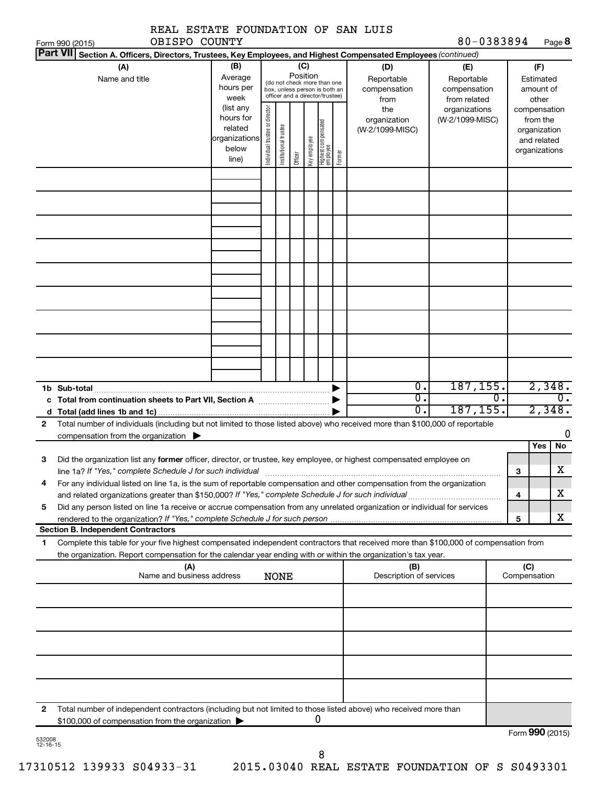| REAL ESTATE FOUNDATION OF SAN LUIS                                                                                                                                                                                                                               |                                                                      |                                                                                                                    |                       |         |              |                                           |                                                   |                                        |                                        |    |                                                                          |                            |
|------------------------------------------------------------------------------------------------------------------------------------------------------------------------------------------------------------------------------------------------------------------|----------------------------------------------------------------------|--------------------------------------------------------------------------------------------------------------------|-----------------------|---------|--------------|-------------------------------------------|---------------------------------------------------|----------------------------------------|----------------------------------------|----|--------------------------------------------------------------------------|----------------------------|
| OBISPO COUNTY<br>Form 990 (2015)<br>Part VII Section A. Officers, Directors, Trustees, Key Employees, and Highest Compensated Employees (continued)                                                                                                              |                                                                      |                                                                                                                    |                       |         |              |                                           |                                                   |                                        | 80-0383894                             |    |                                                                          | Page 8                     |
| (A)<br>Name and title                                                                                                                                                                                                                                            | (B)<br>Average<br>hours per<br>week                                  | (C)<br>Position<br>(do not check more than one<br>box, unless person is both an<br>officer and a director/trustee) |                       |         |              | (D)<br>Reportable<br>compensation<br>from | (E)<br>Reportable<br>compensation<br>from related |                                        | (F)<br>Estimated<br>amount of<br>other |    |                                                                          |                            |
|                                                                                                                                                                                                                                                                  | (list any<br>hours for<br>related<br>organizations<br>below<br>line) | Individual trustee or director                                                                                     | Institutional trustee | Officer | Key employee | Highest compensated<br>employee           | Former                                            | the<br>organization<br>(W-2/1099-MISC) | organizations<br>(W-2/1099-MISC)       |    | compensation<br>from the<br>organization<br>and related<br>organizations |                            |
|                                                                                                                                                                                                                                                                  |                                                                      |                                                                                                                    |                       |         |              |                                           |                                                   |                                        |                                        |    |                                                                          |                            |
|                                                                                                                                                                                                                                                                  |                                                                      |                                                                                                                    |                       |         |              |                                           |                                                   |                                        |                                        |    |                                                                          |                            |
|                                                                                                                                                                                                                                                                  |                                                                      |                                                                                                                    |                       |         |              |                                           |                                                   |                                        |                                        |    |                                                                          |                            |
|                                                                                                                                                                                                                                                                  |                                                                      |                                                                                                                    |                       |         |              |                                           |                                                   |                                        |                                        |    |                                                                          |                            |
| 1b Sub-total                                                                                                                                                                                                                                                     |                                                                      |                                                                                                                    |                       |         |              |                                           |                                                   | $\overline{0}$ .                       | 187, 155.                              |    |                                                                          | 2,348.                     |
| c Total from continuation sheets to Part VII, Section A <b>manual</b> Total from $\blacktriangleright$                                                                                                                                                           |                                                                      |                                                                                                                    |                       |         |              |                                           |                                                   | σ.<br>$\overline{0}$ .                 | 187, 155.                              | 0. |                                                                          | $\overline{0}$ .<br>2,348. |
| Total number of individuals (including but not limited to those listed above) who received more than \$100,000 of reportable<br>$\mathbf{2}$<br>compensation from the organization $\blacktriangleright$                                                         |                                                                      |                                                                                                                    |                       |         |              |                                           |                                                   |                                        |                                        |    | <b>Yes</b>                                                               | 0<br>No                    |
| Did the organization list any former officer, director, or trustee, key employee, or highest compensated employee on<br>З<br>line 1a? If "Yes," complete Schedule J for such individual                                                                          |                                                                      |                                                                                                                    |                       |         |              |                                           |                                                   |                                        |                                        | З  |                                                                          | X                          |
| For any individual listed on line 1a, is the sum of reportable compensation and other compensation from the organization<br>4<br>Did any person listed on line 1a receive or accrue compensation from any unrelated organization or individual for services<br>5 |                                                                      |                                                                                                                    |                       |         |              |                                           |                                                   |                                        |                                        | 4  |                                                                          | x                          |
| <b>Section B. Independent Contractors</b>                                                                                                                                                                                                                        |                                                                      |                                                                                                                    |                       |         |              |                                           |                                                   |                                        |                                        | 5  |                                                                          | x                          |
| Complete this table for your five highest compensated independent contractors that received more than \$100,000 of compensation from<br>1<br>the organization. Report compensation for the calendar year ending with or within the organization's tax year.      |                                                                      |                                                                                                                    |                       |         |              |                                           |                                                   |                                        |                                        |    |                                                                          |                            |
| (A)<br>Name and business address                                                                                                                                                                                                                                 |                                                                      |                                                                                                                    | NONE                  |         |              |                                           |                                                   | (B)<br>Description of services         |                                        |    | (C)<br>Compensation                                                      |                            |
|                                                                                                                                                                                                                                                                  |                                                                      |                                                                                                                    |                       |         |              |                                           |                                                   |                                        |                                        |    |                                                                          |                            |
|                                                                                                                                                                                                                                                                  |                                                                      |                                                                                                                    |                       |         |              |                                           |                                                   |                                        |                                        |    |                                                                          |                            |
|                                                                                                                                                                                                                                                                  |                                                                      |                                                                                                                    |                       |         |              |                                           |                                                   |                                        |                                        |    |                                                                          |                            |
| Total number of independent contractors (including but not limited to those listed above) who received more than<br>2<br>\$100,000 of compensation from the organization                                                                                         |                                                                      |                                                                                                                    |                       |         |              | U                                         |                                                   |                                        |                                        |    |                                                                          | Form 990 (2015)            |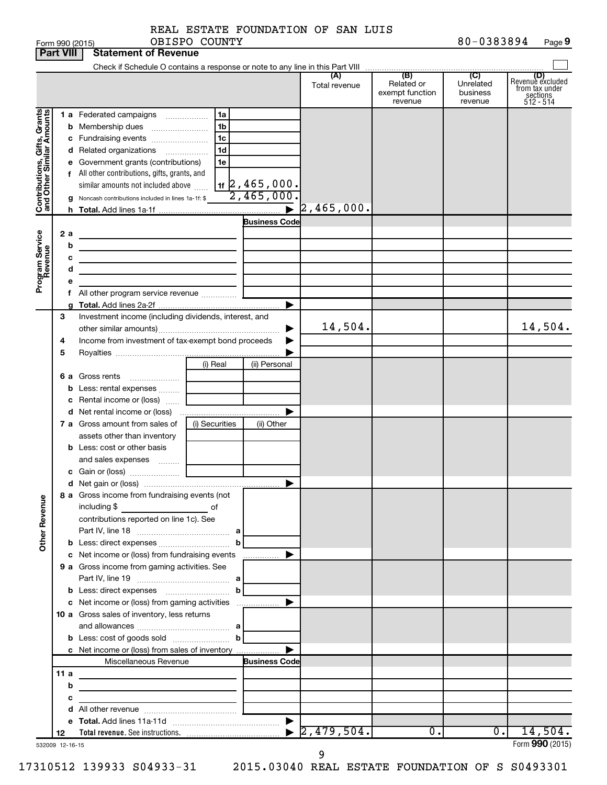|  | REAL ESTATE FOUNDATION OF SAN LUIS |  |  |
|--|------------------------------------|--|--|
|  |                                    |  |  |

|                              | <b>Part VIII</b> | <b>Statement of Revenue</b>                                                                                          |                |                                                          |                                  |                                                 |                                         |                                                                    |
|------------------------------|------------------|----------------------------------------------------------------------------------------------------------------------|----------------|----------------------------------------------------------|----------------------------------|-------------------------------------------------|-----------------------------------------|--------------------------------------------------------------------|
|                              |                  |                                                                                                                      |                |                                                          |                                  |                                                 |                                         |                                                                    |
|                              |                  |                                                                                                                      |                |                                                          | (A)<br>Total revenue             | (B)<br>Related or<br>exempt function<br>revenue | (C)<br>Unrelated<br>business<br>revenue | (D)<br>Revenue excluded<br>from tax under<br>sections<br>512 - 514 |
|                              |                  | 1 a Federated campaigns                                                                                              | 1a             |                                                          |                                  |                                                 |                                         |                                                                    |
| Contributions, Gifts, Grants | b                | Membership dues                                                                                                      | 1b             |                                                          |                                  |                                                 |                                         |                                                                    |
|                              |                  | c Fundraising events                                                                                                 | 1 <sub>c</sub> |                                                          |                                  |                                                 |                                         |                                                                    |
|                              |                  | d Related organizations                                                                                              | 1 <sub>d</sub> |                                                          |                                  |                                                 |                                         |                                                                    |
|                              |                  | e Government grants (contributions)                                                                                  | 1e             |                                                          |                                  |                                                 |                                         |                                                                    |
|                              |                  | f All other contributions, gifts, grants, and                                                                        |                |                                                          |                                  |                                                 |                                         |                                                                    |
|                              |                  | similar amounts not included above                                                                                   |                | $\frac{1}{16}$ $\frac{2}{2}$ , 465, 000.<br>2, 465, 000. |                                  |                                                 |                                         |                                                                    |
|                              |                  | g Noncash contributions included in lines 1a-1f: \$                                                                  |                |                                                          |                                  |                                                 |                                         |                                                                    |
|                              |                  |                                                                                                                      |                | $\blacktriangleright$                                    | 2, 465, 000.                     |                                                 |                                         |                                                                    |
|                              |                  |                                                                                                                      |                | <b>Business Code</b>                                     |                                  |                                                 |                                         |                                                                    |
| Program Service<br>Revenue   | 2 a              |                                                                                                                      |                |                                                          |                                  |                                                 |                                         |                                                                    |
|                              | b                | the control of the control of the control of the control of the control of                                           |                |                                                          |                                  |                                                 |                                         |                                                                    |
|                              | с<br>d           | the control of the control of the control of the control of the control of                                           |                |                                                          |                                  |                                                 |                                         |                                                                    |
|                              |                  | the control of the control of the control of the control of the control of                                           |                |                                                          |                                  |                                                 |                                         |                                                                    |
|                              |                  | f All other program service revenue                                                                                  |                |                                                          |                                  |                                                 |                                         |                                                                    |
|                              |                  |                                                                                                                      |                | ▶                                                        |                                  |                                                 |                                         |                                                                    |
|                              | З                | Investment income (including dividends, interest, and                                                                |                |                                                          |                                  |                                                 |                                         |                                                                    |
|                              |                  |                                                                                                                      |                |                                                          | 14,504.                          |                                                 |                                         | 14,504.                                                            |
|                              | 4                | Income from investment of tax-exempt bond proceeds                                                                   |                |                                                          |                                  |                                                 |                                         |                                                                    |
|                              | 5                |                                                                                                                      |                |                                                          |                                  |                                                 |                                         |                                                                    |
|                              |                  |                                                                                                                      | (i) Real       | (ii) Personal                                            |                                  |                                                 |                                         |                                                                    |
|                              |                  | 6 a Gross rents                                                                                                      |                |                                                          |                                  |                                                 |                                         |                                                                    |
|                              | b                | Less: rental expenses                                                                                                |                |                                                          |                                  |                                                 |                                         |                                                                    |
|                              |                  | c Rental income or (loss)                                                                                            |                |                                                          |                                  |                                                 |                                         |                                                                    |
|                              |                  |                                                                                                                      |                |                                                          |                                  |                                                 |                                         |                                                                    |
|                              |                  | 7 a Gross amount from sales of                                                                                       | (i) Securities | (ii) Other                                               |                                  |                                                 |                                         |                                                                    |
|                              |                  | assets other than inventory                                                                                          |                |                                                          |                                  |                                                 |                                         |                                                                    |
|                              |                  | <b>b</b> Less: cost or other basis                                                                                   |                |                                                          |                                  |                                                 |                                         |                                                                    |
|                              |                  | and sales expenses                                                                                                   |                |                                                          |                                  |                                                 |                                         |                                                                    |
|                              |                  |                                                                                                                      |                |                                                          |                                  |                                                 |                                         |                                                                    |
|                              |                  | 8 a Gross income from fundraising events (not                                                                        |                |                                                          |                                  |                                                 |                                         |                                                                    |
| <b>Other Revenue</b>         |                  | including \$<br>contributions reported on line 1c). See                                                              | of             |                                                          |                                  |                                                 |                                         |                                                                    |
|                              |                  |                                                                                                                      |                |                                                          |                                  |                                                 |                                         |                                                                    |
|                              |                  |                                                                                                                      |                |                                                          |                                  |                                                 |                                         |                                                                    |
|                              |                  | c Net income or (loss) from fundraising events                                                                       |                | .                                                        |                                  |                                                 |                                         |                                                                    |
|                              |                  | 9 a Gross income from gaming activities. See                                                                         |                |                                                          |                                  |                                                 |                                         |                                                                    |
|                              |                  |                                                                                                                      |                |                                                          |                                  |                                                 |                                         |                                                                    |
|                              |                  | <b>b</b> Less: direct expenses <b>manually b</b>                                                                     |                |                                                          |                                  |                                                 |                                         |                                                                    |
|                              |                  |                                                                                                                      |                |                                                          |                                  |                                                 |                                         |                                                                    |
|                              |                  | 10 a Gross sales of inventory, less returns                                                                          |                |                                                          |                                  |                                                 |                                         |                                                                    |
|                              |                  |                                                                                                                      |                |                                                          |                                  |                                                 |                                         |                                                                    |
|                              |                  |                                                                                                                      |                |                                                          |                                  |                                                 |                                         |                                                                    |
|                              |                  | c Net income or (loss) from sales of inventory                                                                       |                |                                                          |                                  |                                                 |                                         |                                                                    |
|                              |                  | Miscellaneous Revenue                                                                                                |                | <b>Business Code</b>                                     |                                  |                                                 |                                         |                                                                    |
|                              | 11 a             |                                                                                                                      |                |                                                          |                                  |                                                 |                                         |                                                                    |
|                              | b                | <u> 1989 - Johann John Stone, markin film ar yn y breninn y breninn y breninn y breninn y breninn y breninn y br</u> |                |                                                          |                                  |                                                 |                                         |                                                                    |
|                              | с                | the control of the control of the control of the control of the control of                                           |                |                                                          |                                  |                                                 |                                         |                                                                    |
|                              |                  |                                                                                                                      |                |                                                          |                                  |                                                 |                                         |                                                                    |
|                              | 12               |                                                                                                                      |                |                                                          | $\blacktriangleright$ 2,479,504. | $\overline{0}$ .                                | 0.1                                     | 14,504.                                                            |
|                              | 532009 12-16-15  |                                                                                                                      |                |                                                          |                                  |                                                 |                                         | Form 990 (2015)                                                    |

17310512 139933 S04933-31 2015.03040 REAL ESTATE FOUNDATION OF S S0493301

9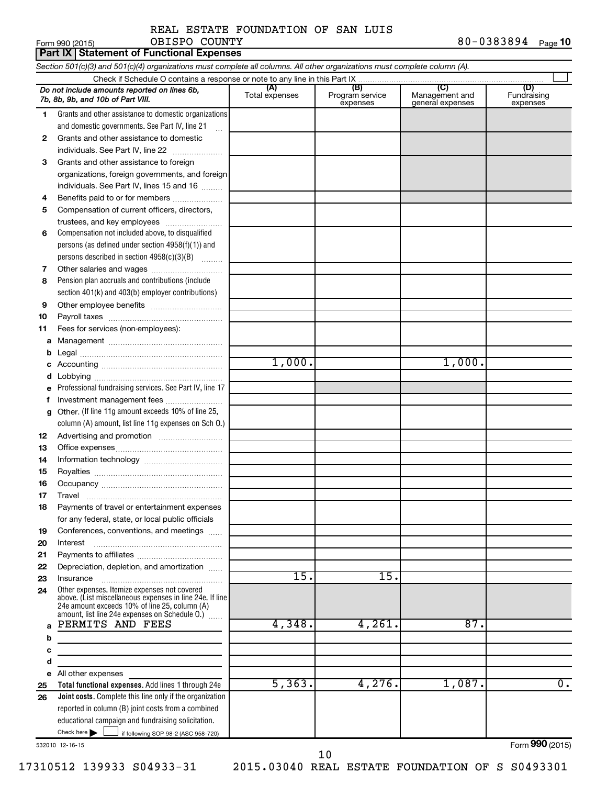#### Form 990 (2015) Page **10** REAL ESTATE FOUNDATION OF SAN LUIS OBISPO COUNTY

|        | Part IX   Statement of Functional Expenses                                                                                                                                                                    |                       |                                    |                                           |                                |  |  |  |  |  |
|--------|---------------------------------------------------------------------------------------------------------------------------------------------------------------------------------------------------------------|-----------------------|------------------------------------|-------------------------------------------|--------------------------------|--|--|--|--|--|
|        | Section 501(c)(3) and 501(c)(4) organizations must complete all columns. All other organizations must complete column (A).                                                                                    |                       |                                    |                                           |                                |  |  |  |  |  |
|        |                                                                                                                                                                                                               |                       |                                    |                                           |                                |  |  |  |  |  |
|        | Do not include amounts reported on lines 6b,<br>7b, 8b, 9b, and 10b of Part VIII.                                                                                                                             | (A)<br>Total expenses | (B)<br>Program service<br>expenses | (C)<br>Management and<br>general expenses | (D)<br>Fundraising<br>expenses |  |  |  |  |  |
| 1.     | Grants and other assistance to domestic organizations                                                                                                                                                         |                       |                                    |                                           |                                |  |  |  |  |  |
|        | and domestic governments. See Part IV, line 21                                                                                                                                                                |                       |                                    |                                           |                                |  |  |  |  |  |
| 2      | Grants and other assistance to domestic                                                                                                                                                                       |                       |                                    |                                           |                                |  |  |  |  |  |
|        | individuals. See Part IV, line 22                                                                                                                                                                             |                       |                                    |                                           |                                |  |  |  |  |  |
| 3      | Grants and other assistance to foreign                                                                                                                                                                        |                       |                                    |                                           |                                |  |  |  |  |  |
|        | organizations, foreign governments, and foreign                                                                                                                                                               |                       |                                    |                                           |                                |  |  |  |  |  |
|        | individuals. See Part IV, lines 15 and 16                                                                                                                                                                     |                       |                                    |                                           |                                |  |  |  |  |  |
| 4      | Benefits paid to or for members                                                                                                                                                                               |                       |                                    |                                           |                                |  |  |  |  |  |
| 5      | Compensation of current officers, directors,                                                                                                                                                                  |                       |                                    |                                           |                                |  |  |  |  |  |
|        | trustees, and key employees                                                                                                                                                                                   |                       |                                    |                                           |                                |  |  |  |  |  |
| 6      | Compensation not included above, to disqualified                                                                                                                                                              |                       |                                    |                                           |                                |  |  |  |  |  |
|        | persons (as defined under section 4958(f)(1)) and                                                                                                                                                             |                       |                                    |                                           |                                |  |  |  |  |  |
|        | persons described in section 4958(c)(3)(B)                                                                                                                                                                    |                       |                                    |                                           |                                |  |  |  |  |  |
| 7      |                                                                                                                                                                                                               |                       |                                    |                                           |                                |  |  |  |  |  |
| 8      | Pension plan accruals and contributions (include                                                                                                                                                              |                       |                                    |                                           |                                |  |  |  |  |  |
|        | section 401(k) and 403(b) employer contributions)                                                                                                                                                             |                       |                                    |                                           |                                |  |  |  |  |  |
| 9      |                                                                                                                                                                                                               |                       |                                    |                                           |                                |  |  |  |  |  |
| 10     |                                                                                                                                                                                                               |                       |                                    |                                           |                                |  |  |  |  |  |
| 11     | Fees for services (non-employees):                                                                                                                                                                            |                       |                                    |                                           |                                |  |  |  |  |  |
| а      |                                                                                                                                                                                                               |                       |                                    |                                           |                                |  |  |  |  |  |
| b<br>с |                                                                                                                                                                                                               | 1,000.                |                                    | 1,000.                                    |                                |  |  |  |  |  |
| d      |                                                                                                                                                                                                               |                       |                                    |                                           |                                |  |  |  |  |  |
| е      | Professional fundraising services. See Part IV, line 17                                                                                                                                                       |                       |                                    |                                           |                                |  |  |  |  |  |
| f      | Investment management fees                                                                                                                                                                                    |                       |                                    |                                           |                                |  |  |  |  |  |
| g      | Other. (If line 11g amount exceeds 10% of line 25,                                                                                                                                                            |                       |                                    |                                           |                                |  |  |  |  |  |
|        | column (A) amount, list line 11g expenses on Sch O.)                                                                                                                                                          |                       |                                    |                                           |                                |  |  |  |  |  |
| 12     |                                                                                                                                                                                                               |                       |                                    |                                           |                                |  |  |  |  |  |
| 13     |                                                                                                                                                                                                               |                       |                                    |                                           |                                |  |  |  |  |  |
| 14     |                                                                                                                                                                                                               |                       |                                    |                                           |                                |  |  |  |  |  |
| 15     |                                                                                                                                                                                                               |                       |                                    |                                           |                                |  |  |  |  |  |
| 16     |                                                                                                                                                                                                               |                       |                                    |                                           |                                |  |  |  |  |  |
| 17     | Travel                                                                                                                                                                                                        |                       |                                    |                                           |                                |  |  |  |  |  |
| 18     | Payments of travel or entertainment expenses                                                                                                                                                                  |                       |                                    |                                           |                                |  |  |  |  |  |
|        | for any federal, state, or local public officials                                                                                                                                                             |                       |                                    |                                           |                                |  |  |  |  |  |
| 19     | Conferences, conventions, and meetings                                                                                                                                                                        |                       |                                    |                                           |                                |  |  |  |  |  |
| 20     | Interest                                                                                                                                                                                                      |                       |                                    |                                           |                                |  |  |  |  |  |
| 21     |                                                                                                                                                                                                               |                       |                                    |                                           |                                |  |  |  |  |  |
| 22     | Depreciation, depletion, and amortization                                                                                                                                                                     |                       |                                    |                                           |                                |  |  |  |  |  |
| 23     | Insurance                                                                                                                                                                                                     | 15.                   | 15.                                |                                           |                                |  |  |  |  |  |
| 24     | Other expenses. Itemize expenses not covered<br>above. (List miscellaneous expenses in line 24e. If line<br>24e amount exceeds 10% of line 25, column (A)<br>amount, list line 24e expenses on Schedule O.) [ |                       |                                    |                                           |                                |  |  |  |  |  |
|        | PERMITS AND FEES                                                                                                                                                                                              | 4,348.                | 4,261.                             | 87.                                       |                                |  |  |  |  |  |
| b      |                                                                                                                                                                                                               |                       |                                    |                                           |                                |  |  |  |  |  |
| с      |                                                                                                                                                                                                               |                       |                                    |                                           |                                |  |  |  |  |  |
| d      |                                                                                                                                                                                                               |                       |                                    |                                           |                                |  |  |  |  |  |
| е      | All other expenses                                                                                                                                                                                            |                       |                                    |                                           |                                |  |  |  |  |  |
| 25     | Total functional expenses. Add lines 1 through 24e                                                                                                                                                            | 5,363.                | 4,276.                             | 1,087.                                    | $\overline{0}$ .               |  |  |  |  |  |
| 26     | Joint costs. Complete this line only if the organization                                                                                                                                                      |                       |                                    |                                           |                                |  |  |  |  |  |
|        | reported in column (B) joint costs from a combined                                                                                                                                                            |                       |                                    |                                           |                                |  |  |  |  |  |
|        | educational campaign and fundraising solicitation.                                                                                                                                                            |                       |                                    |                                           |                                |  |  |  |  |  |
|        | Check here $\blacktriangleright$<br>if following SOP 98-2 (ASC 958-720)                                                                                                                                       |                       |                                    |                                           |                                |  |  |  |  |  |

532010 12-16-15

Form (2015) **990**

17310512 139933 S04933-31 2015.03040 REAL ESTATE FOUNDATION OF S S0493301

10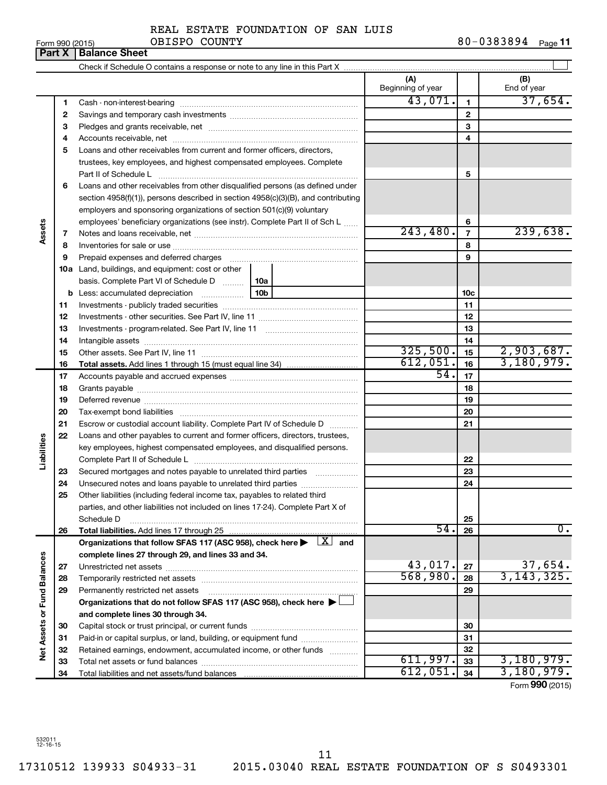# REAL ESTATE FOUNDATION OF SAN LUIS

#### Form 990 (2015) OBISPO COUNTY 8 0-0 3 8 3 8 9 4 <sub>Page</sub> **11 Part X Balance Sheet** OBISPO COUNTY

|                             |    |                                                                                                                                                                                                                                | (A)<br>Beginning of year |                | (B)<br>End of year |
|-----------------------------|----|--------------------------------------------------------------------------------------------------------------------------------------------------------------------------------------------------------------------------------|--------------------------|----------------|--------------------|
|                             | 1  |                                                                                                                                                                                                                                | 43,071.                  | $\mathbf{1}$   | 37,654.            |
|                             | 2  |                                                                                                                                                                                                                                |                          | $\mathbf{2}$   |                    |
|                             | 3  |                                                                                                                                                                                                                                |                          | 3              |                    |
|                             | 4  |                                                                                                                                                                                                                                |                          | 4              |                    |
|                             | 5  | Loans and other receivables from current and former officers, directors,                                                                                                                                                       |                          |                |                    |
|                             |    | trustees, key employees, and highest compensated employees. Complete                                                                                                                                                           |                          |                |                    |
|                             |    | Part II of Schedule L                                                                                                                                                                                                          |                          | 5              |                    |
|                             | 6  | Loans and other receivables from other disqualified persons (as defined under                                                                                                                                                  |                          |                |                    |
|                             |    | section 4958(f)(1)), persons described in section $4958(c)(3)(B)$ , and contributing                                                                                                                                           |                          |                |                    |
|                             |    | employers and sponsoring organizations of section 501(c)(9) voluntary                                                                                                                                                          |                          |                |                    |
|                             |    | employees' beneficiary organizations (see instr). Complete Part II of Sch L                                                                                                                                                    |                          | 6              |                    |
| Assets                      | 7  |                                                                                                                                                                                                                                | 243,480.                 | $\overline{7}$ | 239,638.           |
|                             | 8  |                                                                                                                                                                                                                                |                          | 8              |                    |
|                             | 9  | Prepaid expenses and deferred charges [11] [11] prepaid expenses and deferred charges [11] [11] minimum and the Prepaid expenses and deferred charges [11] minimum and the Prepaid experiment of Prepaid experiment and the Pr |                          | 9              |                    |
|                             |    | <b>10a</b> Land, buildings, and equipment: cost or other                                                                                                                                                                       |                          |                |                    |
|                             |    |                                                                                                                                                                                                                                |                          |                |                    |
|                             |    | 10 <sub>b</sub>                                                                                                                                                                                                                |                          | 10c            |                    |
|                             | 11 |                                                                                                                                                                                                                                |                          | 11             |                    |
|                             | 12 |                                                                                                                                                                                                                                |                          | 12             |                    |
|                             | 13 |                                                                                                                                                                                                                                |                          | 13             |                    |
|                             | 14 |                                                                                                                                                                                                                                |                          | 14             |                    |
|                             | 15 |                                                                                                                                                                                                                                | 325,500.                 | 15             | 2,903,687.         |
|                             | 16 |                                                                                                                                                                                                                                | 612,051.                 | 16             | 3,180,979.         |
|                             | 17 |                                                                                                                                                                                                                                | 54.                      | 17             |                    |
|                             | 18 |                                                                                                                                                                                                                                |                          | 18             |                    |
|                             | 19 |                                                                                                                                                                                                                                |                          | 19             |                    |
|                             | 20 |                                                                                                                                                                                                                                |                          | 20             |                    |
|                             | 21 | Escrow or custodial account liability. Complete Part IV of Schedule D                                                                                                                                                          |                          | 21             |                    |
|                             | 22 | Loans and other payables to current and former officers, directors, trustees,                                                                                                                                                  |                          |                |                    |
|                             |    | key employees, highest compensated employees, and disqualified persons.                                                                                                                                                        |                          |                |                    |
| Liabilities                 |    |                                                                                                                                                                                                                                |                          | 22             |                    |
|                             | 23 | Secured mortgages and notes payable to unrelated third parties                                                                                                                                                                 |                          | 23             |                    |
|                             | 24 | Unsecured notes and loans payable to unrelated third parties                                                                                                                                                                   |                          | 24             |                    |
|                             | 25 | Other liabilities (including federal income tax, payables to related third                                                                                                                                                     |                          |                |                    |
|                             |    | parties, and other liabilities not included on lines 17-24). Complete Part X of                                                                                                                                                |                          |                |                    |
|                             | 26 | Schedule D<br>Total liabilities. Add lines 17 through 25                                                                                                                                                                       | 54.                      | 25<br>26       | $\overline{0}$ .   |
|                             |    | Organizations that follow SFAS 117 (ASC 958), check here $\blacktriangleright \begin{array}{c} \boxed{X} \\ \end{array}$ and                                                                                                   |                          |                |                    |
|                             |    | complete lines 27 through 29, and lines 33 and 34.                                                                                                                                                                             |                          |                |                    |
|                             | 27 |                                                                                                                                                                                                                                | 43,017.                  | 27             | 37,654.            |
|                             | 28 |                                                                                                                                                                                                                                | 568,980.                 | 28             | 3, 143, 325.       |
|                             | 29 | Permanently restricted net assets                                                                                                                                                                                              |                          | 29             |                    |
|                             |    | Organizations that do not follow SFAS 117 (ASC 958), check here ▶ U                                                                                                                                                            |                          |                |                    |
|                             |    | and complete lines 30 through 34.                                                                                                                                                                                              |                          |                |                    |
| Net Assets or Fund Balances | 30 |                                                                                                                                                                                                                                |                          | 30             |                    |
|                             | 31 | Paid-in or capital surplus, or land, building, or equipment fund                                                                                                                                                               |                          | 31             |                    |
|                             | 32 | Retained earnings, endowment, accumulated income, or other funds                                                                                                                                                               |                          | 32             |                    |
|                             | 33 |                                                                                                                                                                                                                                | 611,997.                 | 33             | 3,180,979.         |
|                             | 34 |                                                                                                                                                                                                                                | 612,051.                 | 34             | 3,180,979.         |
|                             |    |                                                                                                                                                                                                                                |                          |                |                    |

Form (2015) **990**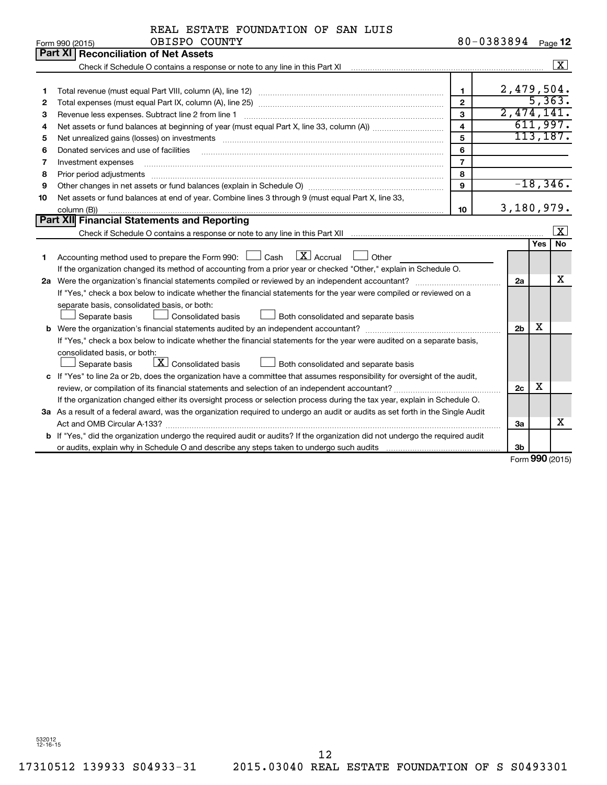|  |               | REAL ESTATE FOUNDATION OF SAN LUIS |  |  |
|--|---------------|------------------------------------|--|--|
|  | OBISPO COUNTY |                                    |  |  |

|    | OBISPO COUNTY<br>Form 990 (2015)                                                                                                                                                                                               | 80-0383894              |                |            | Page 12              |  |  |
|----|--------------------------------------------------------------------------------------------------------------------------------------------------------------------------------------------------------------------------------|-------------------------|----------------|------------|----------------------|--|--|
|    | <b>Part XI Reconciliation of Net Assets</b>                                                                                                                                                                                    |                         |                |            |                      |  |  |
|    |                                                                                                                                                                                                                                |                         |                |            | $\boxed{\textbf{X}}$ |  |  |
|    |                                                                                                                                                                                                                                |                         |                |            |                      |  |  |
| 1  |                                                                                                                                                                                                                                | $\mathbf{1}$            | 2,479,504.     |            |                      |  |  |
| 2  |                                                                                                                                                                                                                                | $\mathbf{2}$            |                |            | 5,363.               |  |  |
| З  | Revenue less expenses. Subtract line 2 from line 1                                                                                                                                                                             | 3                       | 2,474,141.     |            |                      |  |  |
| 4  |                                                                                                                                                                                                                                | $\overline{\mathbf{4}}$ |                |            | 611,997.             |  |  |
| 5  | Net unrealized gains (losses) on investments [11] matter than the control of the state of the state of the state of the state of the state of the state of the state of the state of the state of the state of the state of th | 5                       |                |            | 113, 187.            |  |  |
| 6  | Donated services and use of facilities                                                                                                                                                                                         | 6                       |                |            |                      |  |  |
| 7  | Investment expenses                                                                                                                                                                                                            | $\overline{7}$          |                |            |                      |  |  |
| 8  | Prior period adjustments                                                                                                                                                                                                       | 8                       |                |            |                      |  |  |
| 9  | Other changes in net assets or fund balances (explain in Schedule O) manufactured control of the state of the state of the state of the state of the state of the state of the state of the state of the state of the state of | $\mathbf{Q}$            |                |            | $-18, 346.$          |  |  |
| 10 | Net assets or fund balances at end of year. Combine lines 3 through 9 (must equal Part X, line 33,                                                                                                                             |                         |                |            |                      |  |  |
|    | column (B))                                                                                                                                                                                                                    | 10                      | 3,180,979.     |            |                      |  |  |
|    | Part XII Financial Statements and Reporting                                                                                                                                                                                    |                         |                |            |                      |  |  |
|    |                                                                                                                                                                                                                                |                         |                |            | $\lfloor x \rfloor$  |  |  |
|    |                                                                                                                                                                                                                                |                         |                | <b>Yes</b> | No                   |  |  |
| 1  | Accounting method used to prepare the Form 990: $\Box$ Cash $\Box X$ Accrual<br>$\Box$ Other                                                                                                                                   |                         |                |            |                      |  |  |
|    | If the organization changed its method of accounting from a prior year or checked "Other," explain in Schedule O.                                                                                                              |                         |                |            |                      |  |  |
|    |                                                                                                                                                                                                                                |                         | 2a             |            | х                    |  |  |
|    | If "Yes," check a box below to indicate whether the financial statements for the year were compiled or reviewed on a                                                                                                           |                         |                |            |                      |  |  |
|    | separate basis, consolidated basis, or both:                                                                                                                                                                                   |                         |                |            |                      |  |  |
|    | Consolidated basis<br>Both consolidated and separate basis<br>Separate basis                                                                                                                                                   |                         |                |            |                      |  |  |
|    |                                                                                                                                                                                                                                |                         | 2 <sub>b</sub> | х          |                      |  |  |
|    | If "Yes," check a box below to indicate whether the financial statements for the year were audited on a separate basis,                                                                                                        |                         |                |            |                      |  |  |
|    | consolidated basis, or both:                                                                                                                                                                                                   |                         |                |            |                      |  |  |
|    | $\lfloor x \rfloor$ Consolidated basis<br>Separate basis<br>Both consolidated and separate basis                                                                                                                               |                         |                |            |                      |  |  |
|    | c If "Yes" to line 2a or 2b, does the organization have a committee that assumes responsibility for oversight of the audit,                                                                                                    |                         |                |            |                      |  |  |
|    |                                                                                                                                                                                                                                |                         | 2c             | x          |                      |  |  |
|    | If the organization changed either its oversight process or selection process during the tax year, explain in Schedule O.                                                                                                      |                         |                |            |                      |  |  |
|    | 3a As a result of a federal award, was the organization required to undergo an audit or audits as set forth in the Single Audit                                                                                                |                         |                |            |                      |  |  |
|    |                                                                                                                                                                                                                                |                         | За             |            | х                    |  |  |
|    | <b>b</b> If "Yes," did the organization undergo the required audit or audits? If the organization did not undergo the required audit                                                                                           |                         |                |            |                      |  |  |
|    |                                                                                                                                                                                                                                |                         | 3 <sub>b</sub> |            |                      |  |  |

Form (2015) **990**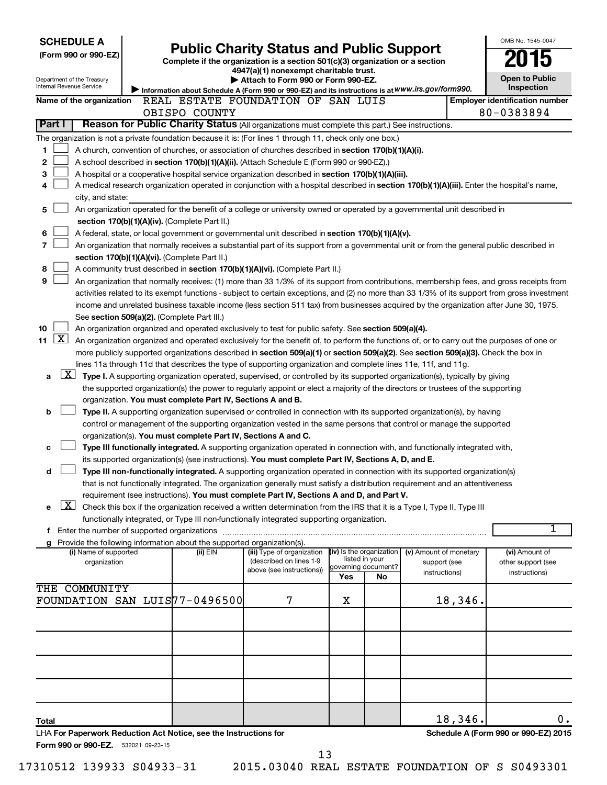| <b>SCHEDULE A</b>                                                                                         |                                                               |                                                                                                                                               |     |                                       |                        |         | OMB No. 1545-0047                    |
|-----------------------------------------------------------------------------------------------------------|---------------------------------------------------------------|-----------------------------------------------------------------------------------------------------------------------------------------------|-----|---------------------------------------|------------------------|---------|--------------------------------------|
| (Form 990 or 990-EZ)                                                                                      |                                                               | <b>Public Charity Status and Public Support</b>                                                                                               |     |                                       |                        |         |                                      |
|                                                                                                           |                                                               | Complete if the organization is a section 501(c)(3) organization or a section<br>4947(a)(1) nonexempt charitable trust.                       |     |                                       |                        |         |                                      |
| Department of the Treasury                                                                                |                                                               | Attach to Form 990 or Form 990-EZ.                                                                                                            |     |                                       |                        |         | <b>Open to Public</b>                |
| Internal Revenue Service                                                                                  |                                                               | Information about Schedule A (Form 990 or 990-EZ) and its instructions is at WWW.irs.gov/form990.                                             |     |                                       |                        |         | Inspection                           |
| Name of the organization                                                                                  | REAL ESTATE FOUNDATION OF SAN LUIS                            |                                                                                                                                               |     | <b>Employer identification number</b> |                        |         |                                      |
|                                                                                                           | OBISPO COUNTY                                                 |                                                                                                                                               |     |                                       |                        |         | 80-0383894                           |
| <b>Part I</b>                                                                                             |                                                               | Reason for Public Charity Status (All organizations must complete this part.) See instructions.                                               |     |                                       |                        |         |                                      |
| The organization is not a private foundation because it is: (For lines 1 through 11, check only one box.) |                                                               |                                                                                                                                               |     |                                       |                        |         |                                      |
| 1                                                                                                         |                                                               | A church, convention of churches, or association of churches described in section 170(b)(1)(A)(i).                                            |     |                                       |                        |         |                                      |
| 2                                                                                                         |                                                               | A school described in section 170(b)(1)(A)(ii). (Attach Schedule E (Form 990 or 990-EZ).)                                                     |     |                                       |                        |         |                                      |
| 3                                                                                                         |                                                               | A hospital or a cooperative hospital service organization described in section 170(b)(1)(A)(iii).                                             |     |                                       |                        |         |                                      |
| 4                                                                                                         |                                                               | A medical research organization operated in conjunction with a hospital described in section 170(b)(1)(A)(iii). Enter the hospital's name,    |     |                                       |                        |         |                                      |
| city, and state:                                                                                          |                                                               |                                                                                                                                               |     |                                       |                        |         |                                      |
| 5                                                                                                         |                                                               | An organization operated for the benefit of a college or university owned or operated by a governmental unit described in                     |     |                                       |                        |         |                                      |
|                                                                                                           | section 170(b)(1)(A)(iv). (Complete Part II.)                 |                                                                                                                                               |     |                                       |                        |         |                                      |
| 6                                                                                                         |                                                               | A federal, state, or local government or governmental unit described in section 170(b)(1)(A)(v).                                              |     |                                       |                        |         |                                      |
| $\overline{7}$                                                                                            |                                                               | An organization that normally receives a substantial part of its support from a governmental unit or from the general public described in     |     |                                       |                        |         |                                      |
|                                                                                                           | section 170(b)(1)(A)(vi). (Complete Part II.)                 |                                                                                                                                               |     |                                       |                        |         |                                      |
| 8                                                                                                         |                                                               | A community trust described in section 170(b)(1)(A)(vi). (Complete Part II.)                                                                  |     |                                       |                        |         |                                      |
| 9                                                                                                         |                                                               | An organization that normally receives: (1) more than 33 1/3% of its support from contributions, membership fees, and gross receipts from     |     |                                       |                        |         |                                      |
|                                                                                                           |                                                               | activities related to its exempt functions - subject to certain exceptions, and (2) no more than 33 1/3% of its support from gross investment |     |                                       |                        |         |                                      |
|                                                                                                           |                                                               | income and unrelated business taxable income (less section 511 tax) from businesses acquired by the organization after June 30, 1975.         |     |                                       |                        |         |                                      |
| See section 509(a)(2). (Complete Part III.)                                                               |                                                               |                                                                                                                                               |     |                                       |                        |         |                                      |
| 10<br>$\mathbf{X}$                                                                                        |                                                               | An organization organized and operated exclusively to test for public safety. See section 509(a)(4).                                          |     |                                       |                        |         |                                      |
| 11                                                                                                        |                                                               | An organization organized and operated exclusively for the benefit of, to perform the functions of, or to carry out the purposes of one or    |     |                                       |                        |         |                                      |
|                                                                                                           |                                                               | more publicly supported organizations described in section 509(a)(1) or section 509(a)(2). See section 509(a)(3). Check the box in            |     |                                       |                        |         |                                      |
| $\lfloor x \rfloor$                                                                                       |                                                               | lines 11a through 11d that describes the type of supporting organization and complete lines 11e, 11f, and 11g.                                |     |                                       |                        |         |                                      |
| a                                                                                                         |                                                               | Type I. A supporting organization operated, supervised, or controlled by its supported organization(s), typically by giving                   |     |                                       |                        |         |                                      |
|                                                                                                           |                                                               | the supported organization(s) the power to regularly appoint or elect a majority of the directors or trustees of the supporting               |     |                                       |                        |         |                                      |
| b                                                                                                         | organization. You must complete Part IV, Sections A and B.    | Type II. A supporting organization supervised or controlled in connection with its supported organization(s), by having                       |     |                                       |                        |         |                                      |
|                                                                                                           |                                                               | control or management of the supporting organization vested in the same persons that control or manage the supported                          |     |                                       |                        |         |                                      |
|                                                                                                           | organization(s). You must complete Part IV, Sections A and C. |                                                                                                                                               |     |                                       |                        |         |                                      |
| c                                                                                                         |                                                               | Type III functionally integrated. A supporting organization operated in connection with, and functionally integrated with,                    |     |                                       |                        |         |                                      |
|                                                                                                           |                                                               | its supported organization(s) (see instructions). You must complete Part IV, Sections A, D, and E.                                            |     |                                       |                        |         |                                      |
| d                                                                                                         |                                                               | Type III non-functionally integrated. A supporting organization operated in connection with its supported organization(s)                     |     |                                       |                        |         |                                      |
|                                                                                                           |                                                               | that is not functionally integrated. The organization generally must satisfy a distribution requirement and an attentiveness                  |     |                                       |                        |         |                                      |
|                                                                                                           |                                                               | requirement (see instructions). You must complete Part IV, Sections A and D, and Part V.                                                      |     |                                       |                        |         |                                      |
| $\lfloor x \rfloor$<br>е                                                                                  |                                                               | Check this box if the organization received a written determination from the IRS that it is a Type I, Type II, Type III                       |     |                                       |                        |         |                                      |
|                                                                                                           |                                                               | functionally integrated, or Type III non-functionally integrated supporting organization.                                                     |     |                                       |                        |         |                                      |
|                                                                                                           |                                                               |                                                                                                                                               |     |                                       |                        |         | 1                                    |
| g Provide the following information about the supported organization(s).                                  |                                                               |                                                                                                                                               |     |                                       |                        |         |                                      |
| (i) Name of supported                                                                                     | (ii) EIN                                                      | (iii) Type of organization                                                                                                                    |     | (iv) Is the organization              | (v) Amount of monetary |         | (vi) Amount of                       |
| organization                                                                                              |                                                               | (described on lines 1-9<br>above (see instructions))                                                                                          |     | listed in your<br>governing document? | support (see           |         | other support (see                   |
|                                                                                                           |                                                               |                                                                                                                                               | Yes | No                                    | instructions)          |         | instructions)                        |
| THE COMMUNITY                                                                                             |                                                               |                                                                                                                                               |     |                                       |                        |         |                                      |
| FOUNDATION SAN LUIS77-0496500                                                                             |                                                               | 7                                                                                                                                             | х   |                                       |                        | 18,346. |                                      |
|                                                                                                           |                                                               |                                                                                                                                               |     |                                       |                        |         |                                      |
|                                                                                                           |                                                               |                                                                                                                                               |     |                                       |                        |         |                                      |
|                                                                                                           |                                                               |                                                                                                                                               |     |                                       |                        |         |                                      |
|                                                                                                           |                                                               |                                                                                                                                               |     |                                       |                        |         |                                      |
|                                                                                                           |                                                               |                                                                                                                                               |     |                                       |                        |         |                                      |
|                                                                                                           |                                                               |                                                                                                                                               |     |                                       |                        |         |                                      |
|                                                                                                           |                                                               |                                                                                                                                               |     |                                       |                        |         |                                      |
|                                                                                                           |                                                               |                                                                                                                                               |     |                                       |                        |         |                                      |
|                                                                                                           |                                                               |                                                                                                                                               |     |                                       |                        |         |                                      |
| Total                                                                                                     |                                                               |                                                                                                                                               |     |                                       |                        | 18,346. | 0.                                   |
| LHA For Paperwork Reduction Act Notice, see the Instructions for                                          |                                                               |                                                                                                                                               |     |                                       |                        |         | Schedule A (Form 990 or 990-EZ) 2015 |
| Form 990 or 990-EZ. 532021 09-23-15                                                                       |                                                               | 13                                                                                                                                            |     |                                       |                        |         |                                      |
|                                                                                                           |                                                               |                                                                                                                                               |     |                                       |                        |         |                                      |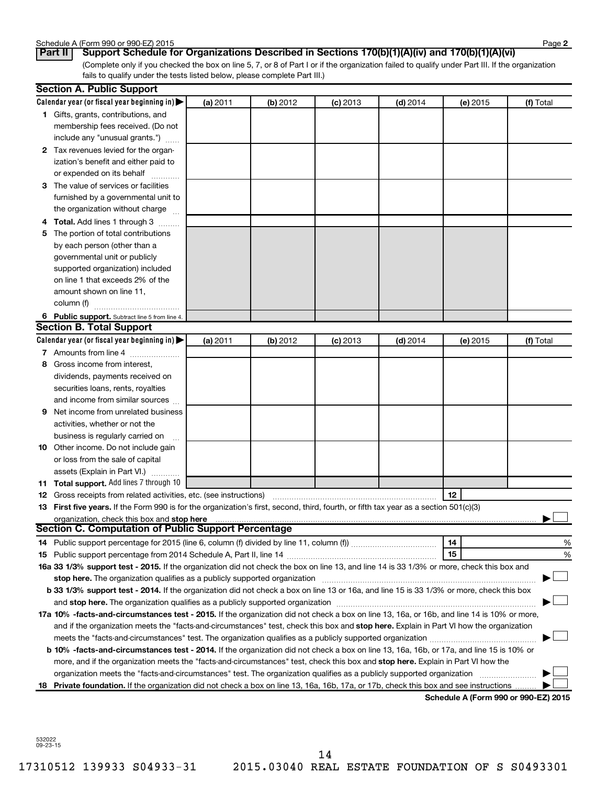| Schedule A (Form 990 or 990-EZ) 2015 | Page |
|--------------------------------------|------|
|--------------------------------------|------|

**2**

(Complete only if you checked the box on line 5, 7, or 8 of Part I or if the organization failed to qualify under Part III. If the organization fails to qualify under the tests listed below, please complete Part III.) **Part II Support Schedule for Organizations Described in Sections 170(b)(1)(A)(iv) and 170(b)(1)(A)(vi)**

|   | <b>Section A. Public Support</b>                                                                                                                                                                                           |          |          |            |            |          |                                      |
|---|----------------------------------------------------------------------------------------------------------------------------------------------------------------------------------------------------------------------------|----------|----------|------------|------------|----------|--------------------------------------|
|   | Calendar year (or fiscal year beginning in)                                                                                                                                                                                | (a) 2011 | (b) 2012 | $(c)$ 2013 | $(d)$ 2014 | (e) 2015 | (f) Total                            |
|   | 1 Gifts, grants, contributions, and                                                                                                                                                                                        |          |          |            |            |          |                                      |
|   | membership fees received. (Do not                                                                                                                                                                                          |          |          |            |            |          |                                      |
|   | include any "unusual grants.")                                                                                                                                                                                             |          |          |            |            |          |                                      |
|   | 2 Tax revenues levied for the organ-                                                                                                                                                                                       |          |          |            |            |          |                                      |
|   | ization's benefit and either paid to                                                                                                                                                                                       |          |          |            |            |          |                                      |
|   | or expended on its behalf                                                                                                                                                                                                  |          |          |            |            |          |                                      |
|   | 3 The value of services or facilities                                                                                                                                                                                      |          |          |            |            |          |                                      |
|   | furnished by a governmental unit to                                                                                                                                                                                        |          |          |            |            |          |                                      |
|   | the organization without charge                                                                                                                                                                                            |          |          |            |            |          |                                      |
|   | 4 Total. Add lines 1 through 3                                                                                                                                                                                             |          |          |            |            |          |                                      |
|   | 5 The portion of total contributions                                                                                                                                                                                       |          |          |            |            |          |                                      |
|   | by each person (other than a                                                                                                                                                                                               |          |          |            |            |          |                                      |
|   | governmental unit or publicly                                                                                                                                                                                              |          |          |            |            |          |                                      |
|   | supported organization) included                                                                                                                                                                                           |          |          |            |            |          |                                      |
|   | on line 1 that exceeds 2% of the                                                                                                                                                                                           |          |          |            |            |          |                                      |
|   | amount shown on line 11,                                                                                                                                                                                                   |          |          |            |            |          |                                      |
|   | column (f)                                                                                                                                                                                                                 |          |          |            |            |          |                                      |
|   | 6 Public support. Subtract line 5 from line 4.                                                                                                                                                                             |          |          |            |            |          |                                      |
|   | <b>Section B. Total Support</b>                                                                                                                                                                                            |          |          |            |            |          |                                      |
|   | Calendar year (or fiscal year beginning in)                                                                                                                                                                                | (a) 2011 | (b) 2012 | $(c)$ 2013 | $(d)$ 2014 | (e) 2015 | (f) Total                            |
|   | 7 Amounts from line 4                                                                                                                                                                                                      |          |          |            |            |          |                                      |
|   | 8 Gross income from interest,                                                                                                                                                                                              |          |          |            |            |          |                                      |
|   | dividends, payments received on                                                                                                                                                                                            |          |          |            |            |          |                                      |
|   | securities loans, rents, royalties                                                                                                                                                                                         |          |          |            |            |          |                                      |
|   | and income from similar sources                                                                                                                                                                                            |          |          |            |            |          |                                      |
| 9 | Net income from unrelated business                                                                                                                                                                                         |          |          |            |            |          |                                      |
|   | activities, whether or not the                                                                                                                                                                                             |          |          |            |            |          |                                      |
|   | business is regularly carried on                                                                                                                                                                                           |          |          |            |            |          |                                      |
|   | 10 Other income. Do not include gain                                                                                                                                                                                       |          |          |            |            |          |                                      |
|   | or loss from the sale of capital                                                                                                                                                                                           |          |          |            |            |          |                                      |
|   | assets (Explain in Part VI.)                                                                                                                                                                                               |          |          |            |            |          |                                      |
|   | 11 Total support. Add lines 7 through 10                                                                                                                                                                                   |          |          |            |            |          |                                      |
|   | <b>12</b> Gross receipts from related activities, etc. (see instructions)                                                                                                                                                  |          |          |            |            | 12       |                                      |
|   | 13 First five years. If the Form 990 is for the organization's first, second, third, fourth, or fifth tax year as a section 501(c)(3)                                                                                      |          |          |            |            |          |                                      |
|   | organization, check this box and stop here                                                                                                                                                                                 |          |          |            |            |          |                                      |
|   | <b>Section C. Computation of Public Support Percentage</b>                                                                                                                                                                 |          |          |            |            |          |                                      |
|   |                                                                                                                                                                                                                            |          |          |            |            | 14       | %                                    |
|   |                                                                                                                                                                                                                            |          |          |            |            | 15       | %                                    |
|   | 16a 33 1/3% support test - 2015. If the organization did not check the box on line 13, and line 14 is 33 1/3% or more, check this box and                                                                                  |          |          |            |            |          |                                      |
|   | stop here. The organization qualifies as a publicly supported organization                                                                                                                                                 |          |          |            |            |          |                                      |
|   | b 33 1/3% support test - 2014. If the organization did not check a box on line 13 or 16a, and line 15 is 33 1/3% or more, check this box                                                                                   |          |          |            |            |          |                                      |
|   | and stop here. The organization qualifies as a publicly supported organization [11] manuscription manuscription manuscription manuscription and stop here. The organization qualifies as a publicly supported organization |          |          |            |            |          |                                      |
|   | 17a 10% -facts-and-circumstances test - 2015. If the organization did not check a box on line 13, 16a, or 16b, and line 14 is 10% or more,                                                                                 |          |          |            |            |          |                                      |
|   | and if the organization meets the "facts-and-circumstances" test, check this box and stop here. Explain in Part VI how the organization                                                                                    |          |          |            |            |          |                                      |
|   | meets the "facts-and-circumstances" test. The organization qualifies as a publicly supported organization <i>manumumumumum</i>                                                                                             |          |          |            |            |          |                                      |
|   | b 10% -facts-and-circumstances test - 2014. If the organization did not check a box on line 13, 16a, 16b, or 17a, and line 15 is 10% or                                                                                    |          |          |            |            |          |                                      |
|   | more, and if the organization meets the "facts-and-circumstances" test, check this box and stop here. Explain in Part VI how the                                                                                           |          |          |            |            |          |                                      |
|   | organization meets the "facts-and-circumstances" test. The organization qualifies as a publicly supported organization                                                                                                     |          |          |            |            |          |                                      |
|   | 18 Private foundation. If the organization did not check a box on line 13, 16a, 16b, 17a, or 17b, check this box and see instructions                                                                                      |          |          |            |            |          | Schodule A (Form 990 or 990-F7) 2015 |

**Schedule A (Form 990 or 990-EZ) 2015**

532022 09-23-15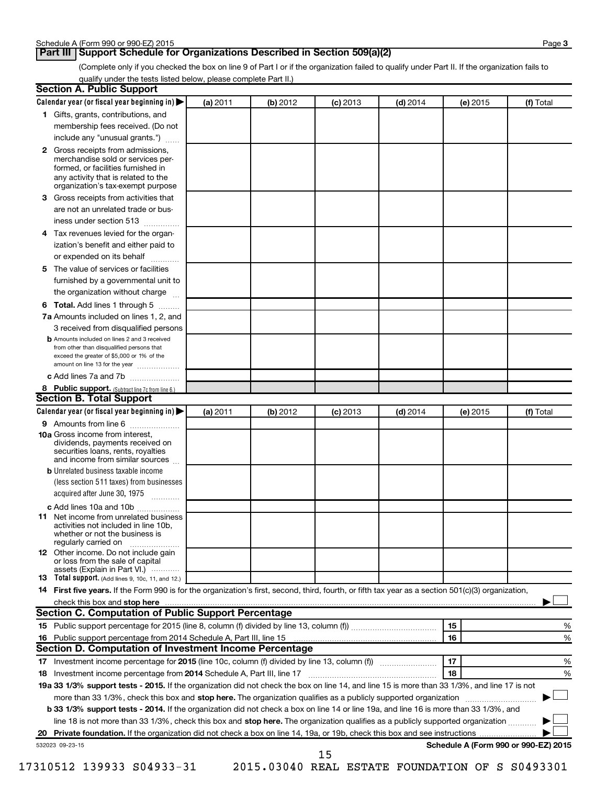# **Part III Support Schedule for Organizations Described in Section 509(a)(2)**

(Complete only if you checked the box on line 9 of Part I or if the organization failed to qualify under Part II. If the organization fails to qualify under the tests listed below, please complete Part II.)

| <b>Section A. Public Support</b>                                                                                                                                                         |          |          |            |            |          |                                                                                                                         |
|------------------------------------------------------------------------------------------------------------------------------------------------------------------------------------------|----------|----------|------------|------------|----------|-------------------------------------------------------------------------------------------------------------------------|
| Calendar year (or fiscal year beginning in)                                                                                                                                              | (a) 2011 | (b) 2012 | $(c)$ 2013 | $(d)$ 2014 | (e) 2015 | (f) Total                                                                                                               |
| 1 Gifts, grants, contributions, and                                                                                                                                                      |          |          |            |            |          |                                                                                                                         |
| membership fees received. (Do not                                                                                                                                                        |          |          |            |            |          |                                                                                                                         |
| include any "unusual grants.")                                                                                                                                                           |          |          |            |            |          |                                                                                                                         |
| 2 Gross receipts from admissions,<br>merchandise sold or services per-<br>formed, or facilities furnished in<br>any activity that is related to the<br>organization's tax-exempt purpose |          |          |            |            |          |                                                                                                                         |
| 3 Gross receipts from activities that                                                                                                                                                    |          |          |            |            |          |                                                                                                                         |
| are not an unrelated trade or bus-                                                                                                                                                       |          |          |            |            |          |                                                                                                                         |
| iness under section 513                                                                                                                                                                  |          |          |            |            |          |                                                                                                                         |
| 4 Tax revenues levied for the organ-                                                                                                                                                     |          |          |            |            |          |                                                                                                                         |
| ization's benefit and either paid to                                                                                                                                                     |          |          |            |            |          |                                                                                                                         |
| or expended on its behalf                                                                                                                                                                |          |          |            |            |          |                                                                                                                         |
| 5 The value of services or facilities                                                                                                                                                    |          |          |            |            |          |                                                                                                                         |
| furnished by a governmental unit to                                                                                                                                                      |          |          |            |            |          |                                                                                                                         |
| the organization without charge                                                                                                                                                          |          |          |            |            |          |                                                                                                                         |
| 6 Total. Add lines 1 through 5                                                                                                                                                           |          |          |            |            |          |                                                                                                                         |
| 7a Amounts included on lines 1, 2, and                                                                                                                                                   |          |          |            |            |          |                                                                                                                         |
| 3 received from disqualified persons                                                                                                                                                     |          |          |            |            |          |                                                                                                                         |
| <b>b</b> Amounts included on lines 2 and 3 received<br>from other than disqualified persons that<br>exceed the greater of \$5,000 or 1% of the<br>amount on line 13 for the year         |          |          |            |            |          |                                                                                                                         |
| c Add lines 7a and 7b                                                                                                                                                                    |          |          |            |            |          |                                                                                                                         |
| 8 Public support. (Subtract line 7c from line 6.)                                                                                                                                        |          |          |            |            |          |                                                                                                                         |
| <b>Section B. Total Support</b>                                                                                                                                                          |          |          |            |            |          |                                                                                                                         |
| Calendar year (or fiscal year beginning in) $\blacktriangleright$                                                                                                                        | (a) 2011 | (b) 2012 | $(c)$ 2013 | $(d)$ 2014 | (e) 2015 | (f) Total                                                                                                               |
| 9 Amounts from line 6                                                                                                                                                                    |          |          |            |            |          |                                                                                                                         |
| <b>10a</b> Gross income from interest,<br>dividends, payments received on<br>securities loans, rents, royalties<br>and income from similar sources                                       |          |          |            |            |          |                                                                                                                         |
| <b>b</b> Unrelated business taxable income                                                                                                                                               |          |          |            |            |          |                                                                                                                         |
| (less section 511 taxes) from businesses                                                                                                                                                 |          |          |            |            |          |                                                                                                                         |
| acquired after June 30, 1975<br>$\frac{1}{2}$                                                                                                                                            |          |          |            |            |          |                                                                                                                         |
| c Add lines 10a and 10b                                                                                                                                                                  |          |          |            |            |          |                                                                                                                         |
| <b>11</b> Net income from unrelated business<br>activities not included in line 10b.<br>whether or not the business is<br>regularly carried on                                           |          |          |            |            |          |                                                                                                                         |
| 12 Other income. Do not include gain<br>or loss from the sale of capital<br>assets (Explain in Part VI.)                                                                                 |          |          |            |            |          |                                                                                                                         |
| <b>13</b> Total support. (Add lines 9, 10c, 11, and 12.)                                                                                                                                 |          |          |            |            |          |                                                                                                                         |
| 14 First five years. If the Form 990 is for the organization's first, second, third, fourth, or fifth tax year as a section 501(c)(3) organization,                                      |          |          |            |            |          |                                                                                                                         |
|                                                                                                                                                                                          |          |          |            |            |          |                                                                                                                         |
| <b>Section C. Computation of Public Support Percentage</b>                                                                                                                               |          |          |            |            |          |                                                                                                                         |
|                                                                                                                                                                                          |          |          |            |            | 15       | ℅                                                                                                                       |
| 16 Public support percentage from 2014 Schedule A, Part III, line 15                                                                                                                     |          |          |            |            | 16       | %                                                                                                                       |
| Section D. Computation of Investment Income Percentage                                                                                                                                   |          |          |            |            |          |                                                                                                                         |
|                                                                                                                                                                                          |          |          |            |            | 17       | %                                                                                                                       |
| 18 Investment income percentage from 2014 Schedule A, Part III, line 17                                                                                                                  |          |          |            |            | 18       | %                                                                                                                       |
| 19a 33 1/3% support tests - 2015. If the organization did not check the box on line 14, and line 15 is more than 33 1/3%, and line 17 is not                                             |          |          |            |            |          |                                                                                                                         |
| more than 33 1/3%, check this box and stop here. The organization qualifies as a publicly supported organization                                                                         |          |          |            |            |          | <u>a sa salawan na katalog asala sa salawan ng Pangalang Pangalang Pangalang Pangalang Pangalang Pangalang Pang</u> ala |
| b 33 1/3% support tests - 2014. If the organization did not check a box on line 14 or line 19a, and line 16 is more than 33 1/3%, and                                                    |          |          |            |            |          |                                                                                                                         |
| line 18 is not more than 33 1/3%, check this box and stop here. The organization qualifies as a publicly supported organization                                                          |          |          |            |            |          |                                                                                                                         |
|                                                                                                                                                                                          |          |          |            |            |          |                                                                                                                         |
| 532023 09-23-15                                                                                                                                                                          |          |          | 15         |            |          | Schedule A (Form 990 or 990-EZ) 2015                                                                                    |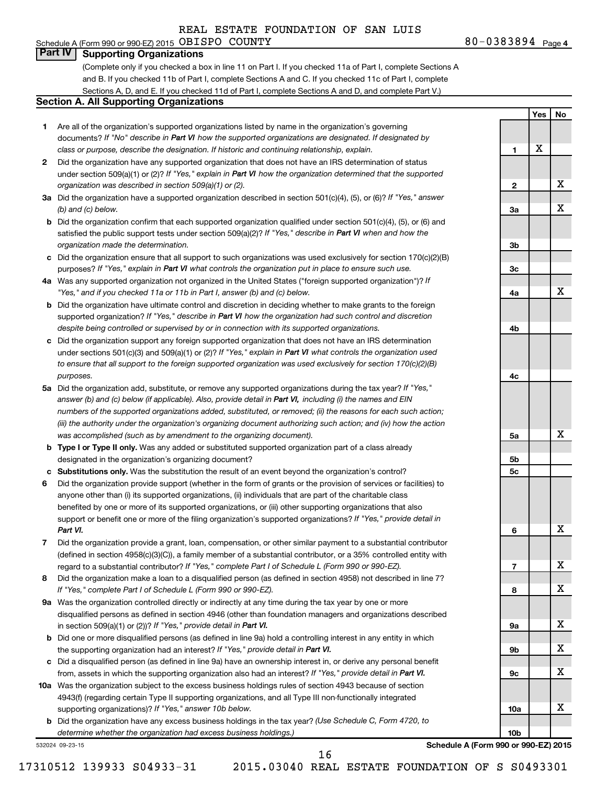# **Part IV Supporting Organizations**

(Complete only if you checked a box in line 11 on Part I. If you checked 11a of Part I, complete Sections A and B. If you checked 11b of Part I, complete Sections A and C. If you checked 11c of Part I, complete Sections A, D, and E. If you checked 11d of Part I, complete Sections A and D, and complete Part V.)

#### **Section A. All Supporting Organizations**

- **1** Are all of the organization's supported organizations listed by name in the organization's governing documents? If "No" describe in Part VI how the supported organizations are designated. If designated by *class or purpose, describe the designation. If historic and continuing relationship, explain.*
- **2** Did the organization have any supported organization that does not have an IRS determination of status under section 509(a)(1) or (2)? If "Yes," explain in Part VI how the organization determined that the supported *organization was described in section 509(a)(1) or (2).*
- **3a** Did the organization have a supported organization described in section 501(c)(4), (5), or (6)? If "Yes," answer *(b) and (c) below.*
- **b** Did the organization confirm that each supported organization qualified under section 501(c)(4), (5), or (6) and satisfied the public support tests under section 509(a)(2)? If "Yes," describe in Part VI when and how the *organization made the determination.*
- **c** Did the organization ensure that all support to such organizations was used exclusively for section 170(c)(2)(B) purposes? If "Yes," explain in Part VI what controls the organization put in place to ensure such use.
- **4 a** *If* Was any supported organization not organized in the United States ("foreign supported organization")? *"Yes," and if you checked 11a or 11b in Part I, answer (b) and (c) below.*
- **b** Did the organization have ultimate control and discretion in deciding whether to make grants to the foreign supported organization? If "Yes," describe in Part VI how the organization had such control and discretion *despite being controlled or supervised by or in connection with its supported organizations.*
- **c** Did the organization support any foreign supported organization that does not have an IRS determination under sections 501(c)(3) and 509(a)(1) or (2)? If "Yes," explain in Part VI what controls the organization used *to ensure that all support to the foreign supported organization was used exclusively for section 170(c)(2)(B) purposes.*
- **5a** Did the organization add, substitute, or remove any supported organizations during the tax year? If "Yes," answer (b) and (c) below (if applicable). Also, provide detail in Part VI, including (i) the names and EIN *numbers of the supported organizations added, substituted, or removed; (ii) the reasons for each such action; (iii) the authority under the organization's organizing document authorizing such action; and (iv) how the action was accomplished (such as by amendment to the organizing document).*
- **b Type I or Type II only.** Was any added or substituted supported organization part of a class already designated in the organization's organizing document?
- **c Substitutions only.**  Was the substitution the result of an event beyond the organization's control?
- **6** Did the organization provide support (whether in the form of grants or the provision of services or facilities) to support or benefit one or more of the filing organization's supported organizations? If "Yes," provide detail in anyone other than (i) its supported organizations, (ii) individuals that are part of the charitable class benefited by one or more of its supported organizations, or (iii) other supporting organizations that also *Part VI.*
- **7** Did the organization provide a grant, loan, compensation, or other similar payment to a substantial contributor regard to a substantial contributor? If "Yes," complete Part I of Schedule L (Form 990 or 990-EZ). (defined in section 4958(c)(3)(C)), a family member of a substantial contributor, or a 35% controlled entity with
- **8** Did the organization make a loan to a disqualified person (as defined in section 4958) not described in line 7? *If "Yes," complete Part I of Schedule L (Form 990 or 990-EZ).*
- **9 a** Was the organization controlled directly or indirectly at any time during the tax year by one or more in section 509(a)(1) or (2))? If "Yes," provide detail in Part VI. disqualified persons as defined in section 4946 (other than foundation managers and organizations described
- **b** Did one or more disqualified persons (as defined in line 9a) hold a controlling interest in any entity in which the supporting organization had an interest? If "Yes," provide detail in Part VI.
- **c** Did a disqualified person (as defined in line 9a) have an ownership interest in, or derive any personal benefit from, assets in which the supporting organization also had an interest? If "Yes," provide detail in Part VI.
- **10 a** Was the organization subject to the excess business holdings rules of section 4943 because of section supporting organizations)? If "Yes," answer 10b below. 4943(f) (regarding certain Type II supporting organizations, and all Type III non-functionally integrated
	- **b** Did the organization have any excess business holdings in the tax year? (Use Schedule C, Form 4720, to *determine whether the organization had excess business holdings.)*

532024 09-23-15

**Schedule A (Form 990 or 990-EZ) 2015**

16

17310512 139933 S04933-31 2015.03040 REAL ESTATE FOUNDATION OF S S0493301

| 2          | X |
|------------|---|
|            |   |
| За         | X |
|            |   |
| 3b         |   |
| 3c         |   |
|            |   |
| 4a         | X |
|            |   |
| 4b         |   |
|            |   |
| 4c         |   |
|            |   |
| 5а         | X |
| 5b         |   |
| 5c         |   |
|            |   |
| 6          | Χ |
|            |   |
| 7          | Χ |
| 8          | X |
|            |   |
| 9а         | X |
|            |   |
| 9b         | X |
| 9c         | X |
|            |   |
| 10a        | X |
|            |   |
| 10b<br>'n. |   |

**1**

**Yes No**

X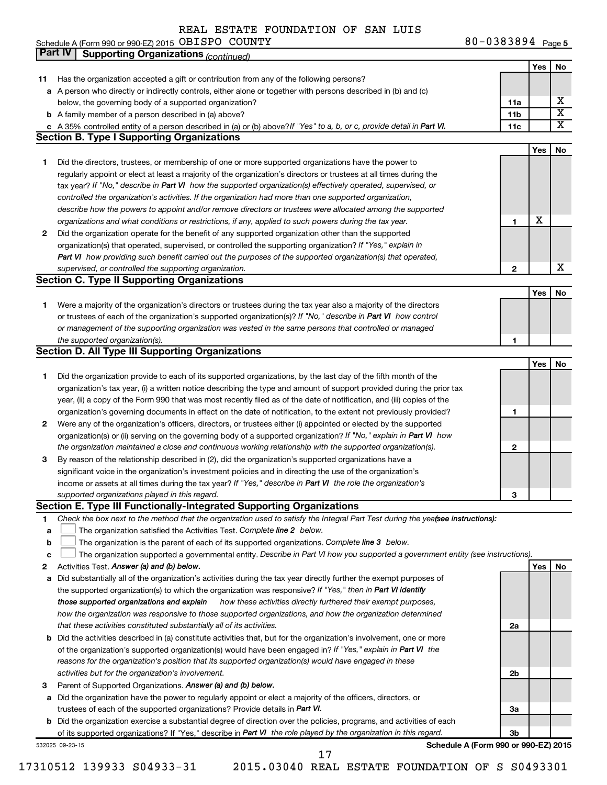| Schedule A (Form 990 or 990-EZ) 2015 $OBISPO$ COUNTY |  | 80-0383894 Page 5 |
|------------------------------------------------------|--|-------------------|
|------------------------------------------------------|--|-------------------|

|             | Part IV<br><b>Supporting Organizations (continued)</b>                                                                                                                                                                                                                                                                                                                                                                                                                                                                                                                                                                                                                                                                                                                                                                                                                                                                                                                                                                                                                                                                                                                                                                                                                                                                                                                                                                                                                                                                                                                                                                                                                                                                                                                                                                                                                                                                                                                                                                                                                                                                                                                                                                                                                                                                                                                                                                                                                                                                                                                                                                                                                                                                                                                                                                                                                                                                                                     |                 |     |                         |
|-------------|------------------------------------------------------------------------------------------------------------------------------------------------------------------------------------------------------------------------------------------------------------------------------------------------------------------------------------------------------------------------------------------------------------------------------------------------------------------------------------------------------------------------------------------------------------------------------------------------------------------------------------------------------------------------------------------------------------------------------------------------------------------------------------------------------------------------------------------------------------------------------------------------------------------------------------------------------------------------------------------------------------------------------------------------------------------------------------------------------------------------------------------------------------------------------------------------------------------------------------------------------------------------------------------------------------------------------------------------------------------------------------------------------------------------------------------------------------------------------------------------------------------------------------------------------------------------------------------------------------------------------------------------------------------------------------------------------------------------------------------------------------------------------------------------------------------------------------------------------------------------------------------------------------------------------------------------------------------------------------------------------------------------------------------------------------------------------------------------------------------------------------------------------------------------------------------------------------------------------------------------------------------------------------------------------------------------------------------------------------------------------------------------------------------------------------------------------------------------------------------------------------------------------------------------------------------------------------------------------------------------------------------------------------------------------------------------------------------------------------------------------------------------------------------------------------------------------------------------------------------------------------------------------------------------------------------------------------|-----------------|-----|-------------------------|
|             |                                                                                                                                                                                                                                                                                                                                                                                                                                                                                                                                                                                                                                                                                                                                                                                                                                                                                                                                                                                                                                                                                                                                                                                                                                                                                                                                                                                                                                                                                                                                                                                                                                                                                                                                                                                                                                                                                                                                                                                                                                                                                                                                                                                                                                                                                                                                                                                                                                                                                                                                                                                                                                                                                                                                                                                                                                                                                                                                                            |                 | Yes | No                      |
| 11          | Has the organization accepted a gift or contribution from any of the following persons?                                                                                                                                                                                                                                                                                                                                                                                                                                                                                                                                                                                                                                                                                                                                                                                                                                                                                                                                                                                                                                                                                                                                                                                                                                                                                                                                                                                                                                                                                                                                                                                                                                                                                                                                                                                                                                                                                                                                                                                                                                                                                                                                                                                                                                                                                                                                                                                                                                                                                                                                                                                                                                                                                                                                                                                                                                                                    |                 |     |                         |
|             | a A person who directly or indirectly controls, either alone or together with persons described in (b) and (c)                                                                                                                                                                                                                                                                                                                                                                                                                                                                                                                                                                                                                                                                                                                                                                                                                                                                                                                                                                                                                                                                                                                                                                                                                                                                                                                                                                                                                                                                                                                                                                                                                                                                                                                                                                                                                                                                                                                                                                                                                                                                                                                                                                                                                                                                                                                                                                                                                                                                                                                                                                                                                                                                                                                                                                                                                                             |                 |     |                         |
|             | below, the governing body of a supported organization?                                                                                                                                                                                                                                                                                                                                                                                                                                                                                                                                                                                                                                                                                                                                                                                                                                                                                                                                                                                                                                                                                                                                                                                                                                                                                                                                                                                                                                                                                                                                                                                                                                                                                                                                                                                                                                                                                                                                                                                                                                                                                                                                                                                                                                                                                                                                                                                                                                                                                                                                                                                                                                                                                                                                                                                                                                                                                                     | 11a             |     | х                       |
|             | <b>b</b> A family member of a person described in (a) above?                                                                                                                                                                                                                                                                                                                                                                                                                                                                                                                                                                                                                                                                                                                                                                                                                                                                                                                                                                                                                                                                                                                                                                                                                                                                                                                                                                                                                                                                                                                                                                                                                                                                                                                                                                                                                                                                                                                                                                                                                                                                                                                                                                                                                                                                                                                                                                                                                                                                                                                                                                                                                                                                                                                                                                                                                                                                                               | 11 <sub>b</sub> |     | $\overline{\mathtt{x}}$ |
|             | c A 35% controlled entity of a person described in (a) or (b) above? If "Yes" to a, b, or c, provide detail in Part VI.                                                                                                                                                                                                                                                                                                                                                                                                                                                                                                                                                                                                                                                                                                                                                                                                                                                                                                                                                                                                                                                                                                                                                                                                                                                                                                                                                                                                                                                                                                                                                                                                                                                                                                                                                                                                                                                                                                                                                                                                                                                                                                                                                                                                                                                                                                                                                                                                                                                                                                                                                                                                                                                                                                                                                                                                                                    | 11c             |     | $\overline{\text{X}}$   |
|             | <b>Section B. Type I Supporting Organizations</b>                                                                                                                                                                                                                                                                                                                                                                                                                                                                                                                                                                                                                                                                                                                                                                                                                                                                                                                                                                                                                                                                                                                                                                                                                                                                                                                                                                                                                                                                                                                                                                                                                                                                                                                                                                                                                                                                                                                                                                                                                                                                                                                                                                                                                                                                                                                                                                                                                                                                                                                                                                                                                                                                                                                                                                                                                                                                                                          |                 |     |                         |
|             |                                                                                                                                                                                                                                                                                                                                                                                                                                                                                                                                                                                                                                                                                                                                                                                                                                                                                                                                                                                                                                                                                                                                                                                                                                                                                                                                                                                                                                                                                                                                                                                                                                                                                                                                                                                                                                                                                                                                                                                                                                                                                                                                                                                                                                                                                                                                                                                                                                                                                                                                                                                                                                                                                                                                                                                                                                                                                                                                                            |                 | Yes | No                      |
| 1           | Did the directors, trustees, or membership of one or more supported organizations have the power to                                                                                                                                                                                                                                                                                                                                                                                                                                                                                                                                                                                                                                                                                                                                                                                                                                                                                                                                                                                                                                                                                                                                                                                                                                                                                                                                                                                                                                                                                                                                                                                                                                                                                                                                                                                                                                                                                                                                                                                                                                                                                                                                                                                                                                                                                                                                                                                                                                                                                                                                                                                                                                                                                                                                                                                                                                                        |                 |     |                         |
|             |                                                                                                                                                                                                                                                                                                                                                                                                                                                                                                                                                                                                                                                                                                                                                                                                                                                                                                                                                                                                                                                                                                                                                                                                                                                                                                                                                                                                                                                                                                                                                                                                                                                                                                                                                                                                                                                                                                                                                                                                                                                                                                                                                                                                                                                                                                                                                                                                                                                                                                                                                                                                                                                                                                                                                                                                                                                                                                                                                            |                 |     |                         |
|             |                                                                                                                                                                                                                                                                                                                                                                                                                                                                                                                                                                                                                                                                                                                                                                                                                                                                                                                                                                                                                                                                                                                                                                                                                                                                                                                                                                                                                                                                                                                                                                                                                                                                                                                                                                                                                                                                                                                                                                                                                                                                                                                                                                                                                                                                                                                                                                                                                                                                                                                                                                                                                                                                                                                                                                                                                                                                                                                                                            |                 |     |                         |
|             |                                                                                                                                                                                                                                                                                                                                                                                                                                                                                                                                                                                                                                                                                                                                                                                                                                                                                                                                                                                                                                                                                                                                                                                                                                                                                                                                                                                                                                                                                                                                                                                                                                                                                                                                                                                                                                                                                                                                                                                                                                                                                                                                                                                                                                                                                                                                                                                                                                                                                                                                                                                                                                                                                                                                                                                                                                                                                                                                                            |                 |     |                         |
|             | describe how the powers to appoint and/or remove directors or trustees were allocated among the supported                                                                                                                                                                                                                                                                                                                                                                                                                                                                                                                                                                                                                                                                                                                                                                                                                                                                                                                                                                                                                                                                                                                                                                                                                                                                                                                                                                                                                                                                                                                                                                                                                                                                                                                                                                                                                                                                                                                                                                                                                                                                                                                                                                                                                                                                                                                                                                                                                                                                                                                                                                                                                                                                                                                                                                                                                                                  |                 |     |                         |
|             |                                                                                                                                                                                                                                                                                                                                                                                                                                                                                                                                                                                                                                                                                                                                                                                                                                                                                                                                                                                                                                                                                                                                                                                                                                                                                                                                                                                                                                                                                                                                                                                                                                                                                                                                                                                                                                                                                                                                                                                                                                                                                                                                                                                                                                                                                                                                                                                                                                                                                                                                                                                                                                                                                                                                                                                                                                                                                                                                                            | 1               | X   |                         |
| 2           |                                                                                                                                                                                                                                                                                                                                                                                                                                                                                                                                                                                                                                                                                                                                                                                                                                                                                                                                                                                                                                                                                                                                                                                                                                                                                                                                                                                                                                                                                                                                                                                                                                                                                                                                                                                                                                                                                                                                                                                                                                                                                                                                                                                                                                                                                                                                                                                                                                                                                                                                                                                                                                                                                                                                                                                                                                                                                                                                                            |                 |     |                         |
|             |                                                                                                                                                                                                                                                                                                                                                                                                                                                                                                                                                                                                                                                                                                                                                                                                                                                                                                                                                                                                                                                                                                                                                                                                                                                                                                                                                                                                                                                                                                                                                                                                                                                                                                                                                                                                                                                                                                                                                                                                                                                                                                                                                                                                                                                                                                                                                                                                                                                                                                                                                                                                                                                                                                                                                                                                                                                                                                                                                            |                 |     |                         |
|             |                                                                                                                                                                                                                                                                                                                                                                                                                                                                                                                                                                                                                                                                                                                                                                                                                                                                                                                                                                                                                                                                                                                                                                                                                                                                                                                                                                                                                                                                                                                                                                                                                                                                                                                                                                                                                                                                                                                                                                                                                                                                                                                                                                                                                                                                                                                                                                                                                                                                                                                                                                                                                                                                                                                                                                                                                                                                                                                                                            |                 |     |                         |
|             |                                                                                                                                                                                                                                                                                                                                                                                                                                                                                                                                                                                                                                                                                                                                                                                                                                                                                                                                                                                                                                                                                                                                                                                                                                                                                                                                                                                                                                                                                                                                                                                                                                                                                                                                                                                                                                                                                                                                                                                                                                                                                                                                                                                                                                                                                                                                                                                                                                                                                                                                                                                                                                                                                                                                                                                                                                                                                                                                                            |                 |     | X                       |
|             |                                                                                                                                                                                                                                                                                                                                                                                                                                                                                                                                                                                                                                                                                                                                                                                                                                                                                                                                                                                                                                                                                                                                                                                                                                                                                                                                                                                                                                                                                                                                                                                                                                                                                                                                                                                                                                                                                                                                                                                                                                                                                                                                                                                                                                                                                                                                                                                                                                                                                                                                                                                                                                                                                                                                                                                                                                                                                                                                                            |                 |     |                         |
|             |                                                                                                                                                                                                                                                                                                                                                                                                                                                                                                                                                                                                                                                                                                                                                                                                                                                                                                                                                                                                                                                                                                                                                                                                                                                                                                                                                                                                                                                                                                                                                                                                                                                                                                                                                                                                                                                                                                                                                                                                                                                                                                                                                                                                                                                                                                                                                                                                                                                                                                                                                                                                                                                                                                                                                                                                                                                                                                                                                            |                 | Yes |                         |
| 1           |                                                                                                                                                                                                                                                                                                                                                                                                                                                                                                                                                                                                                                                                                                                                                                                                                                                                                                                                                                                                                                                                                                                                                                                                                                                                                                                                                                                                                                                                                                                                                                                                                                                                                                                                                                                                                                                                                                                                                                                                                                                                                                                                                                                                                                                                                                                                                                                                                                                                                                                                                                                                                                                                                                                                                                                                                                                                                                                                                            |                 |     |                         |
|             |                                                                                                                                                                                                                                                                                                                                                                                                                                                                                                                                                                                                                                                                                                                                                                                                                                                                                                                                                                                                                                                                                                                                                                                                                                                                                                                                                                                                                                                                                                                                                                                                                                                                                                                                                                                                                                                                                                                                                                                                                                                                                                                                                                                                                                                                                                                                                                                                                                                                                                                                                                                                                                                                                                                                                                                                                                                                                                                                                            |                 |     |                         |
|             |                                                                                                                                                                                                                                                                                                                                                                                                                                                                                                                                                                                                                                                                                                                                                                                                                                                                                                                                                                                                                                                                                                                                                                                                                                                                                                                                                                                                                                                                                                                                                                                                                                                                                                                                                                                                                                                                                                                                                                                                                                                                                                                                                                                                                                                                                                                                                                                                                                                                                                                                                                                                                                                                                                                                                                                                                                                                                                                                                            |                 |     |                         |
|             |                                                                                                                                                                                                                                                                                                                                                                                                                                                                                                                                                                                                                                                                                                                                                                                                                                                                                                                                                                                                                                                                                                                                                                                                                                                                                                                                                                                                                                                                                                                                                                                                                                                                                                                                                                                                                                                                                                                                                                                                                                                                                                                                                                                                                                                                                                                                                                                                                                                                                                                                                                                                                                                                                                                                                                                                                                                                                                                                                            | 1               |     |                         |
|             |                                                                                                                                                                                                                                                                                                                                                                                                                                                                                                                                                                                                                                                                                                                                                                                                                                                                                                                                                                                                                                                                                                                                                                                                                                                                                                                                                                                                                                                                                                                                                                                                                                                                                                                                                                                                                                                                                                                                                                                                                                                                                                                                                                                                                                                                                                                                                                                                                                                                                                                                                                                                                                                                                                                                                                                                                                                                                                                                                            |                 |     |                         |
|             |                                                                                                                                                                                                                                                                                                                                                                                                                                                                                                                                                                                                                                                                                                                                                                                                                                                                                                                                                                                                                                                                                                                                                                                                                                                                                                                                                                                                                                                                                                                                                                                                                                                                                                                                                                                                                                                                                                                                                                                                                                                                                                                                                                                                                                                                                                                                                                                                                                                                                                                                                                                                                                                                                                                                                                                                                                                                                                                                                            |                 | Yes | No                      |
| 1           |                                                                                                                                                                                                                                                                                                                                                                                                                                                                                                                                                                                                                                                                                                                                                                                                                                                                                                                                                                                                                                                                                                                                                                                                                                                                                                                                                                                                                                                                                                                                                                                                                                                                                                                                                                                                                                                                                                                                                                                                                                                                                                                                                                                                                                                                                                                                                                                                                                                                                                                                                                                                                                                                                                                                                                                                                                                                                                                                                            |                 |     |                         |
|             |                                                                                                                                                                                                                                                                                                                                                                                                                                                                                                                                                                                                                                                                                                                                                                                                                                                                                                                                                                                                                                                                                                                                                                                                                                                                                                                                                                                                                                                                                                                                                                                                                                                                                                                                                                                                                                                                                                                                                                                                                                                                                                                                                                                                                                                                                                                                                                                                                                                                                                                                                                                                                                                                                                                                                                                                                                                                                                                                                            |                 |     |                         |
|             |                                                                                                                                                                                                                                                                                                                                                                                                                                                                                                                                                                                                                                                                                                                                                                                                                                                                                                                                                                                                                                                                                                                                                                                                                                                                                                                                                                                                                                                                                                                                                                                                                                                                                                                                                                                                                                                                                                                                                                                                                                                                                                                                                                                                                                                                                                                                                                                                                                                                                                                                                                                                                                                                                                                                                                                                                                                                                                                                                            |                 |     |                         |
|             |                                                                                                                                                                                                                                                                                                                                                                                                                                                                                                                                                                                                                                                                                                                                                                                                                                                                                                                                                                                                                                                                                                                                                                                                                                                                                                                                                                                                                                                                                                                                                                                                                                                                                                                                                                                                                                                                                                                                                                                                                                                                                                                                                                                                                                                                                                                                                                                                                                                                                                                                                                                                                                                                                                                                                                                                                                                                                                                                                            | 1               |     |                         |
| 2           |                                                                                                                                                                                                                                                                                                                                                                                                                                                                                                                                                                                                                                                                                                                                                                                                                                                                                                                                                                                                                                                                                                                                                                                                                                                                                                                                                                                                                                                                                                                                                                                                                                                                                                                                                                                                                                                                                                                                                                                                                                                                                                                                                                                                                                                                                                                                                                                                                                                                                                                                                                                                                                                                                                                                                                                                                                                                                                                                                            |                 |     |                         |
|             |                                                                                                                                                                                                                                                                                                                                                                                                                                                                                                                                                                                                                                                                                                                                                                                                                                                                                                                                                                                                                                                                                                                                                                                                                                                                                                                                                                                                                                                                                                                                                                                                                                                                                                                                                                                                                                                                                                                                                                                                                                                                                                                                                                                                                                                                                                                                                                                                                                                                                                                                                                                                                                                                                                                                                                                                                                                                                                                                                            |                 |     |                         |
|             |                                                                                                                                                                                                                                                                                                                                                                                                                                                                                                                                                                                                                                                                                                                                                                                                                                                                                                                                                                                                                                                                                                                                                                                                                                                                                                                                                                                                                                                                                                                                                                                                                                                                                                                                                                                                                                                                                                                                                                                                                                                                                                                                                                                                                                                                                                                                                                                                                                                                                                                                                                                                                                                                                                                                                                                                                                                                                                                                                            |                 |     |                         |
| 3           |                                                                                                                                                                                                                                                                                                                                                                                                                                                                                                                                                                                                                                                                                                                                                                                                                                                                                                                                                                                                                                                                                                                                                                                                                                                                                                                                                                                                                                                                                                                                                                                                                                                                                                                                                                                                                                                                                                                                                                                                                                                                                                                                                                                                                                                                                                                                                                                                                                                                                                                                                                                                                                                                                                                                                                                                                                                                                                                                                            |                 |     |                         |
|             |                                                                                                                                                                                                                                                                                                                                                                                                                                                                                                                                                                                                                                                                                                                                                                                                                                                                                                                                                                                                                                                                                                                                                                                                                                                                                                                                                                                                                                                                                                                                                                                                                                                                                                                                                                                                                                                                                                                                                                                                                                                                                                                                                                                                                                                                                                                                                                                                                                                                                                                                                                                                                                                                                                                                                                                                                                                                                                                                                            |                 |     |                         |
|             |                                                                                                                                                                                                                                                                                                                                                                                                                                                                                                                                                                                                                                                                                                                                                                                                                                                                                                                                                                                                                                                                                                                                                                                                                                                                                                                                                                                                                                                                                                                                                                                                                                                                                                                                                                                                                                                                                                                                                                                                                                                                                                                                                                                                                                                                                                                                                                                                                                                                                                                                                                                                                                                                                                                                                                                                                                                                                                                                                            |                 |     |                         |
|             |                                                                                                                                                                                                                                                                                                                                                                                                                                                                                                                                                                                                                                                                                                                                                                                                                                                                                                                                                                                                                                                                                                                                                                                                                                                                                                                                                                                                                                                                                                                                                                                                                                                                                                                                                                                                                                                                                                                                                                                                                                                                                                                                                                                                                                                                                                                                                                                                                                                                                                                                                                                                                                                                                                                                                                                                                                                                                                                                                            |                 |     |                         |
|             | Section E. Type III Functionally-Integrated Supporting Organizations                                                                                                                                                                                                                                                                                                                                                                                                                                                                                                                                                                                                                                                                                                                                                                                                                                                                                                                                                                                                                                                                                                                                                                                                                                                                                                                                                                                                                                                                                                                                                                                                                                                                                                                                                                                                                                                                                                                                                                                                                                                                                                                                                                                                                                                                                                                                                                                                                                                                                                                                                                                                                                                                                                                                                                                                                                                                                       |                 |     |                         |
| 1           | Check the box next to the method that the organization used to satisfy the Integral Part Test during the yealsee instructions):                                                                                                                                                                                                                                                                                                                                                                                                                                                                                                                                                                                                                                                                                                                                                                                                                                                                                                                                                                                                                                                                                                                                                                                                                                                                                                                                                                                                                                                                                                                                                                                                                                                                                                                                                                                                                                                                                                                                                                                                                                                                                                                                                                                                                                                                                                                                                                                                                                                                                                                                                                                                                                                                                                                                                                                                                            |                 |     |                         |
| a           | The organization satisfied the Activities Test. Complete line 2 below.                                                                                                                                                                                                                                                                                                                                                                                                                                                                                                                                                                                                                                                                                                                                                                                                                                                                                                                                                                                                                                                                                                                                                                                                                                                                                                                                                                                                                                                                                                                                                                                                                                                                                                                                                                                                                                                                                                                                                                                                                                                                                                                                                                                                                                                                                                                                                                                                                                                                                                                                                                                                                                                                                                                                                                                                                                                                                     |                 |     |                         |
| $\mathbf b$ | The organization is the parent of each of its supported organizations. Complete line 3 below.                                                                                                                                                                                                                                                                                                                                                                                                                                                                                                                                                                                                                                                                                                                                                                                                                                                                                                                                                                                                                                                                                                                                                                                                                                                                                                                                                                                                                                                                                                                                                                                                                                                                                                                                                                                                                                                                                                                                                                                                                                                                                                                                                                                                                                                                                                                                                                                                                                                                                                                                                                                                                                                                                                                                                                                                                                                              |                 |     |                         |
| c           |                                                                                                                                                                                                                                                                                                                                                                                                                                                                                                                                                                                                                                                                                                                                                                                                                                                                                                                                                                                                                                                                                                                                                                                                                                                                                                                                                                                                                                                                                                                                                                                                                                                                                                                                                                                                                                                                                                                                                                                                                                                                                                                                                                                                                                                                                                                                                                                                                                                                                                                                                                                                                                                                                                                                                                                                                                                                                                                                                            |                 |     |                         |
| 2           | Activities Test. Answer (a) and (b) below.                                                                                                                                                                                                                                                                                                                                                                                                                                                                                                                                                                                                                                                                                                                                                                                                                                                                                                                                                                                                                                                                                                                                                                                                                                                                                                                                                                                                                                                                                                                                                                                                                                                                                                                                                                                                                                                                                                                                                                                                                                                                                                                                                                                                                                                                                                                                                                                                                                                                                                                                                                                                                                                                                                                                                                                                                                                                                                                 |                 | Yes | No                      |
| а           | Did substantially all of the organization's activities during the tax year directly further the exempt purposes of                                                                                                                                                                                                                                                                                                                                                                                                                                                                                                                                                                                                                                                                                                                                                                                                                                                                                                                                                                                                                                                                                                                                                                                                                                                                                                                                                                                                                                                                                                                                                                                                                                                                                                                                                                                                                                                                                                                                                                                                                                                                                                                                                                                                                                                                                                                                                                                                                                                                                                                                                                                                                                                                                                                                                                                                                                         |                 |     |                         |
|             | the supported organization(s) to which the organization was responsive? If "Yes," then in Part VI identify                                                                                                                                                                                                                                                                                                                                                                                                                                                                                                                                                                                                                                                                                                                                                                                                                                                                                                                                                                                                                                                                                                                                                                                                                                                                                                                                                                                                                                                                                                                                                                                                                                                                                                                                                                                                                                                                                                                                                                                                                                                                                                                                                                                                                                                                                                                                                                                                                                                                                                                                                                                                                                                                                                                                                                                                                                                 |                 |     |                         |
|             | those supported organizations and explain<br>how these activities directly furthered their exempt purposes,                                                                                                                                                                                                                                                                                                                                                                                                                                                                                                                                                                                                                                                                                                                                                                                                                                                                                                                                                                                                                                                                                                                                                                                                                                                                                                                                                                                                                                                                                                                                                                                                                                                                                                                                                                                                                                                                                                                                                                                                                                                                                                                                                                                                                                                                                                                                                                                                                                                                                                                                                                                                                                                                                                                                                                                                                                                |                 |     |                         |
|             | how the organization was responsive to those supported organizations, and how the organization determined                                                                                                                                                                                                                                                                                                                                                                                                                                                                                                                                                                                                                                                                                                                                                                                                                                                                                                                                                                                                                                                                                                                                                                                                                                                                                                                                                                                                                                                                                                                                                                                                                                                                                                                                                                                                                                                                                                                                                                                                                                                                                                                                                                                                                                                                                                                                                                                                                                                                                                                                                                                                                                                                                                                                                                                                                                                  |                 |     |                         |
|             | that these activities constituted substantially all of its activities.                                                                                                                                                                                                                                                                                                                                                                                                                                                                                                                                                                                                                                                                                                                                                                                                                                                                                                                                                                                                                                                                                                                                                                                                                                                                                                                                                                                                                                                                                                                                                                                                                                                                                                                                                                                                                                                                                                                                                                                                                                                                                                                                                                                                                                                                                                                                                                                                                                                                                                                                                                                                                                                                                                                                                                                                                                                                                     | 2a              |     |                         |
|             | b Did the activities described in (a) constitute activities that, but for the organization's involvement, one or more                                                                                                                                                                                                                                                                                                                                                                                                                                                                                                                                                                                                                                                                                                                                                                                                                                                                                                                                                                                                                                                                                                                                                                                                                                                                                                                                                                                                                                                                                                                                                                                                                                                                                                                                                                                                                                                                                                                                                                                                                                                                                                                                                                                                                                                                                                                                                                                                                                                                                                                                                                                                                                                                                                                                                                                                                                      |                 |     |                         |
|             | of the organization's supported organization(s) would have been engaged in? If "Yes," explain in Part VI the                                                                                                                                                                                                                                                                                                                                                                                                                                                                                                                                                                                                                                                                                                                                                                                                                                                                                                                                                                                                                                                                                                                                                                                                                                                                                                                                                                                                                                                                                                                                                                                                                                                                                                                                                                                                                                                                                                                                                                                                                                                                                                                                                                                                                                                                                                                                                                                                                                                                                                                                                                                                                                                                                                                                                                                                                                               |                 |     |                         |
|             | reasons for the organization's position that its supported organization(s) would have engaged in these                                                                                                                                                                                                                                                                                                                                                                                                                                                                                                                                                                                                                                                                                                                                                                                                                                                                                                                                                                                                                                                                                                                                                                                                                                                                                                                                                                                                                                                                                                                                                                                                                                                                                                                                                                                                                                                                                                                                                                                                                                                                                                                                                                                                                                                                                                                                                                                                                                                                                                                                                                                                                                                                                                                                                                                                                                                     |                 |     |                         |
|             | activities but for the organization's involvement.                                                                                                                                                                                                                                                                                                                                                                                                                                                                                                                                                                                                                                                                                                                                                                                                                                                                                                                                                                                                                                                                                                                                                                                                                                                                                                                                                                                                                                                                                                                                                                                                                                                                                                                                                                                                                                                                                                                                                                                                                                                                                                                                                                                                                                                                                                                                                                                                                                                                                                                                                                                                                                                                                                                                                                                                                                                                                                         | 2b              |     |                         |
| з           | Parent of Supported Organizations. Answer (a) and (b) below.                                                                                                                                                                                                                                                                                                                                                                                                                                                                                                                                                                                                                                                                                                                                                                                                                                                                                                                                                                                                                                                                                                                                                                                                                                                                                                                                                                                                                                                                                                                                                                                                                                                                                                                                                                                                                                                                                                                                                                                                                                                                                                                                                                                                                                                                                                                                                                                                                                                                                                                                                                                                                                                                                                                                                                                                                                                                                               |                 |     |                         |
|             | a Did the organization have the power to regularly appoint or elect a majority of the officers, directors, or                                                                                                                                                                                                                                                                                                                                                                                                                                                                                                                                                                                                                                                                                                                                                                                                                                                                                                                                                                                                                                                                                                                                                                                                                                                                                                                                                                                                                                                                                                                                                                                                                                                                                                                                                                                                                                                                                                                                                                                                                                                                                                                                                                                                                                                                                                                                                                                                                                                                                                                                                                                                                                                                                                                                                                                                                                              |                 |     |                         |
|             | trustees of each of the supported organizations? Provide details in Part VI.                                                                                                                                                                                                                                                                                                                                                                                                                                                                                                                                                                                                                                                                                                                                                                                                                                                                                                                                                                                                                                                                                                                                                                                                                                                                                                                                                                                                                                                                                                                                                                                                                                                                                                                                                                                                                                                                                                                                                                                                                                                                                                                                                                                                                                                                                                                                                                                                                                                                                                                                                                                                                                                                                                                                                                                                                                                                               | За              |     |                         |
|             | regularly appoint or elect at least a majority of the organization's directors or trustees at all times during the<br>tax year? If "No," describe in Part VI how the supported organization(s) effectively operated, supervised, or<br>controlled the organization's activities. If the organization had more than one supported organization,<br>organizations and what conditions or restrictions, if any, applied to such powers during the tax year.<br>Did the organization operate for the benefit of any supported organization other than the supported<br>organization(s) that operated, supervised, or controlled the supporting organization? If "Yes," explain in<br>Part VI how providing such benefit carried out the purposes of the supported organization(s) that operated,<br>supervised, or controlled the supporting organization.<br>$\mathbf{2}$<br><b>Section C. Type II Supporting Organizations</b><br>No<br>Were a majority of the organization's directors or trustees during the tax year also a majority of the directors<br>or trustees of each of the organization's supported organization(s)? If "No," describe in Part VI how control<br>or management of the supporting organization was vested in the same persons that controlled or managed<br>the supported organization(s).<br><b>Section D. All Type III Supporting Organizations</b><br>Did the organization provide to each of its supported organizations, by the last day of the fifth month of the<br>organization's tax year, (i) a written notice describing the type and amount of support provided during the prior tax<br>year, (ii) a copy of the Form 990 that was most recently filed as of the date of notification, and (iii) copies of the<br>organization's governing documents in effect on the date of notification, to the extent not previously provided?<br>Were any of the organization's officers, directors, or trustees either (i) appointed or elected by the supported<br>organization(s) or (ii) serving on the governing body of a supported organization? If "No," explain in Part VI how<br>the organization maintained a close and continuous working relationship with the supported organization(s).<br>2<br>By reason of the relationship described in (2), did the organization's supported organizations have a<br>significant voice in the organization's investment policies and in directing the use of the organization's<br>income or assets at all times during the tax year? If "Yes," describe in Part VI the role the organization's<br>supported organizations played in this regard.<br>з<br>The organization supported a governmental entity. Describe in Part VI how you supported a government entity (see instructions).<br><b>b</b> Did the organization exercise a substantial degree of direction over the policies, programs, and activities of each<br>3b<br>Schedule A (Form 990 or 990-EZ) 2015<br>17 |                 |     |                         |
|             | of its supported organizations? If "Yes," describe in Part VI the role played by the organization in this regard.                                                                                                                                                                                                                                                                                                                                                                                                                                                                                                                                                                                                                                                                                                                                                                                                                                                                                                                                                                                                                                                                                                                                                                                                                                                                                                                                                                                                                                                                                                                                                                                                                                                                                                                                                                                                                                                                                                                                                                                                                                                                                                                                                                                                                                                                                                                                                                                                                                                                                                                                                                                                                                                                                                                                                                                                                                          |                 |     |                         |
|             | 532025 09-23-15                                                                                                                                                                                                                                                                                                                                                                                                                                                                                                                                                                                                                                                                                                                                                                                                                                                                                                                                                                                                                                                                                                                                                                                                                                                                                                                                                                                                                                                                                                                                                                                                                                                                                                                                                                                                                                                                                                                                                                                                                                                                                                                                                                                                                                                                                                                                                                                                                                                                                                                                                                                                                                                                                                                                                                                                                                                                                                                                            |                 |     |                         |
|             |                                                                                                                                                                                                                                                                                                                                                                                                                                                                                                                                                                                                                                                                                                                                                                                                                                                                                                                                                                                                                                                                                                                                                                                                                                                                                                                                                                                                                                                                                                                                                                                                                                                                                                                                                                                                                                                                                                                                                                                                                                                                                                                                                                                                                                                                                                                                                                                                                                                                                                                                                                                                                                                                                                                                                                                                                                                                                                                                                            |                 |     |                         |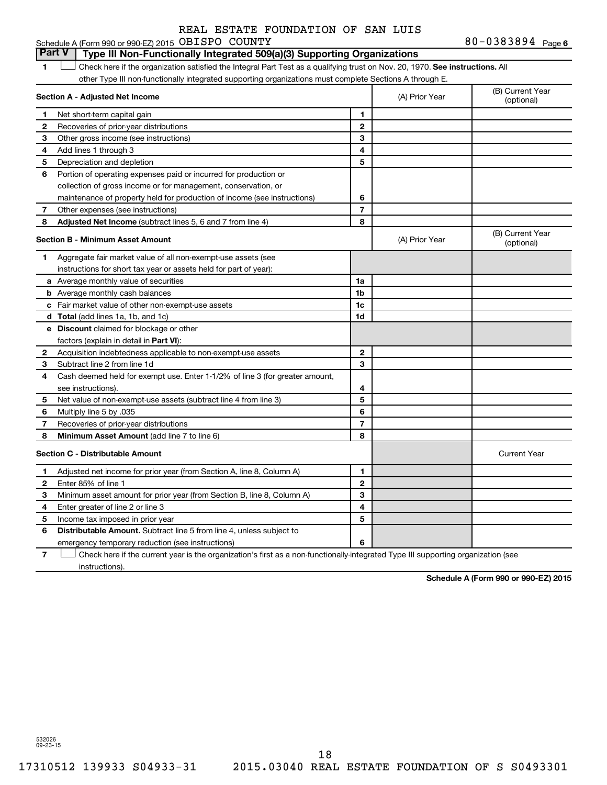#### 1  $\Box$  Check here if the organization satisfied the Integral Part Test as a qualifying trust on Nov. 20, 1970. See instructions. All **Section A - Adjusted Net Income 1 2 3 4 5 6 7 8 1 2 3 4 5 6 7 Adjusted Net Income** (subtract lines 5, 6 and 7 from line 4) **8 8 Section B - Minimum Asset Amount 1 2 3 4 5 6 7 8 a** Average monthly value of securities **b** Average monthly cash balances **c** Fair market value of other non-exempt-use assets **d Total**  (add lines 1a, 1b, and 1c) **e Discount** claimed for blockage or other **1a 1b 1c 1d 2 3 4 5 6 7 8** factors (explain in detail in Part VI): **Minimum Asset Amount**  (add line 7 to line 6) **Section C - Distributable Amount 1 2 3 4 5 6 1 2 3 4 5 6** Distributable Amount. Subtract line 5 from line 4, unless subject to other Type III non-functionally integrated supporting organizations must complete Sections A through E. (B) Current Year (A) Prior Year Net short-term capital gain Recoveries of prior-year distributions Other gross income (see instructions) Add lines 1 through 3 Depreciation and depletion Portion of operating expenses paid or incurred for production or collection of gross income or for management, conservation, or maintenance of property held for production of income (see instructions) Other expenses (see instructions) (B) Current Year  $(A)$  Prior Year  $\left\{\n\begin{array}{ccc}\n\end{array}\n\right\}$  (optional) Aggregate fair market value of all non-exempt-use assets (see instructions for short tax year or assets held for part of year): Acquisition indebtedness applicable to non-exempt-use assets Subtract line 2 from line 1d Cash deemed held for exempt use. Enter 1-1/2% of line 3 (for greater amount, see instructions). Net value of non-exempt-use assets (subtract line 4 from line 3) Multiply line 5 by .035 Recoveries of prior-year distributions Current Year Adjusted net income for prior year (from Section A, line 8, Column A) Enter 85% of line 1 Minimum asset amount for prior year (from Section B, line 8, Column A) Enter greater of line 2 or line 3 Income tax imposed in prior year emergency temporary reduction (see instructions) **Part V Type III Non-Functionally Integrated 509(a)(3) Supporting Organizations**   $\Box$

**7** Check here if the current year is the organization's first as a non-functionally-integrated Type III supporting organization (see † instructions).

**Schedule A (Form 990 or 990-EZ) 2015**

532026 09-23-15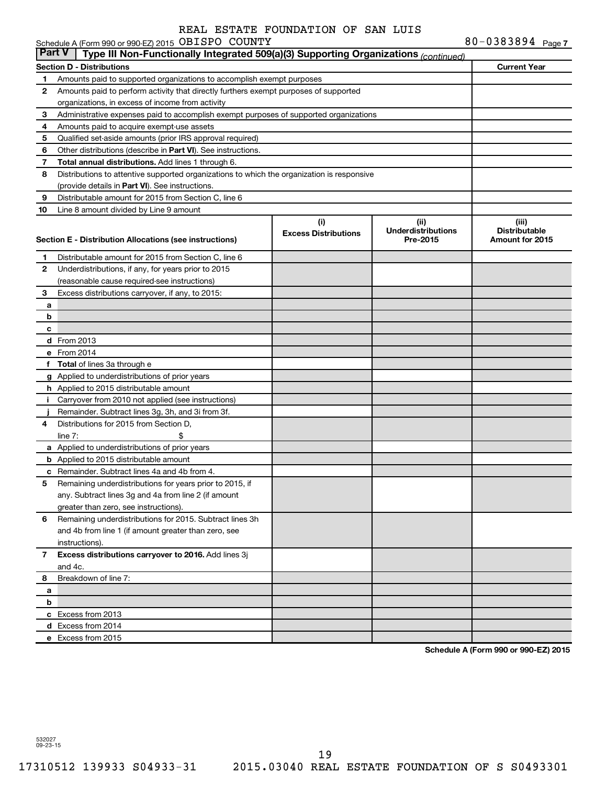|               | Schedule A (Form 990 or 990-EZ) 2015 OBISPO COUNTY                                         |                             |                           | 80-0383894 $Page 7$  |
|---------------|--------------------------------------------------------------------------------------------|-----------------------------|---------------------------|----------------------|
| <b>Part V</b> | Type III Non-Functionally Integrated 509(a)(3) Supporting Organizations (continued)        |                             |                           |                      |
|               | <b>Section D - Distributions</b>                                                           |                             |                           | <b>Current Year</b>  |
| 1             | Amounts paid to supported organizations to accomplish exempt purposes                      |                             |                           |                      |
| 2             | Amounts paid to perform activity that directly furthers exempt purposes of supported       |                             |                           |                      |
|               | organizations, in excess of income from activity                                           |                             |                           |                      |
| 3             | Administrative expenses paid to accomplish exempt purposes of supported organizations      |                             |                           |                      |
| 4             | Amounts paid to acquire exempt-use assets                                                  |                             |                           |                      |
| 5             | Qualified set-aside amounts (prior IRS approval required)                                  |                             |                           |                      |
| 6             | Other distributions (describe in Part VI). See instructions.                               |                             |                           |                      |
| 7             | Total annual distributions. Add lines 1 through 6.                                         |                             |                           |                      |
| 8             | Distributions to attentive supported organizations to which the organization is responsive |                             |                           |                      |
|               | (provide details in Part VI). See instructions.                                            |                             |                           |                      |
| 9             | Distributable amount for 2015 from Section C, line 6                                       |                             |                           |                      |
| 10            | Line 8 amount divided by Line 9 amount                                                     |                             |                           |                      |
|               |                                                                                            | (i)                         | (ii)                      | (iii)                |
|               |                                                                                            | <b>Excess Distributions</b> | <b>Underdistributions</b> | <b>Distributable</b> |
|               | Section E - Distribution Allocations (see instructions)                                    |                             | Pre-2015                  | Amount for 2015      |
| 1             | Distributable amount for 2015 from Section C, line 6                                       |                             |                           |                      |
| 2             | Underdistributions, if any, for years prior to 2015                                        |                             |                           |                      |
|               | (reasonable cause required-see instructions)                                               |                             |                           |                      |
| 3             | Excess distributions carryover, if any, to 2015:                                           |                             |                           |                      |
| а             |                                                                                            |                             |                           |                      |
| b             |                                                                                            |                             |                           |                      |
| c             |                                                                                            |                             |                           |                      |
|               | <b>d</b> From 2013                                                                         |                             |                           |                      |
|               | e From 2014                                                                                |                             |                           |                      |
| f             | <b>Total</b> of lines 3a through e                                                         |                             |                           |                      |
|               | g Applied to underdistributions of prior years                                             |                             |                           |                      |
|               | h Applied to 2015 distributable amount                                                     |                             |                           |                      |
| Ť.            | Carryover from 2010 not applied (see instructions)                                         |                             |                           |                      |
|               | Remainder. Subtract lines 3g, 3h, and 3i from 3f.                                          |                             |                           |                      |
| 4             | Distributions for 2015 from Section D,                                                     |                             |                           |                      |
|               | line $7:$                                                                                  |                             |                           |                      |
|               | a Applied to underdistributions of prior years                                             |                             |                           |                      |
|               | <b>b</b> Applied to 2015 distributable amount                                              |                             |                           |                      |
|               | c Remainder. Subtract lines 4a and 4b from 4.                                              |                             |                           |                      |
|               | 5 Remaining underdistributions for years prior to 2015, if                                 |                             |                           |                      |
|               | any. Subtract lines 3g and 4a from line 2 (if amount                                       |                             |                           |                      |
|               | greater than zero, see instructions).                                                      |                             |                           |                      |
| 6             | Remaining underdistributions for 2015. Subtract lines 3h                                   |                             |                           |                      |
|               | and 4b from line 1 (if amount greater than zero, see                                       |                             |                           |                      |
|               | instructions).                                                                             |                             |                           |                      |
| 7             | Excess distributions carryover to 2016. Add lines 3j                                       |                             |                           |                      |
|               | and 4c.                                                                                    |                             |                           |                      |
| 8             | Breakdown of line 7:                                                                       |                             |                           |                      |
| а             |                                                                                            |                             |                           |                      |
| b             |                                                                                            |                             |                           |                      |
|               | c Excess from 2013                                                                         |                             |                           |                      |
|               | d Excess from 2014                                                                         |                             |                           |                      |
|               | e Excess from 2015                                                                         |                             |                           |                      |

**Schedule A (Form 990 or 990-EZ) 2015**

532027 09-23-15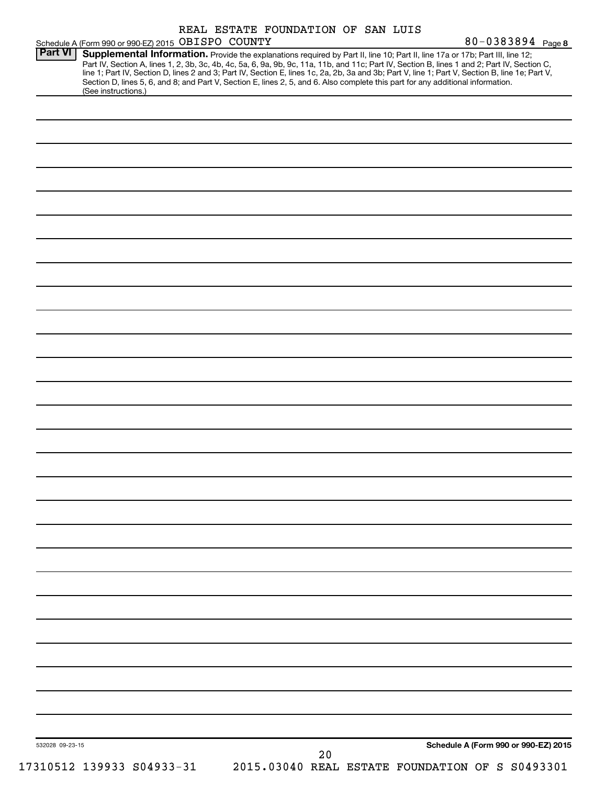|                 | Schedule A (Form 990 or 990-EZ) 2015 OBISPO COUNTY                                                                                                                                                                                                                                      |                           | REAL ESTATE FOUNDATION OF SAN LUIS |    |  | 80-0383894 Page 8                                                                                                                                                                                                                                                                               |
|-----------------|-----------------------------------------------------------------------------------------------------------------------------------------------------------------------------------------------------------------------------------------------------------------------------------------|---------------------------|------------------------------------|----|--|-------------------------------------------------------------------------------------------------------------------------------------------------------------------------------------------------------------------------------------------------------------------------------------------------|
| <b>Part VI</b>  | Supplemental Information. Provide the explanations required by Part II, line 10; Part II, line 17a or 17b; Part III, line 12;<br>Section D, lines 5, 6, and 8; and Part V, Section E, lines 2, 5, and 6. Also complete this part for any additional information.<br>(See instructions.) |                           |                                    |    |  | Part IV, Section A, lines 1, 2, 3b, 3c, 4b, 4c, 5a, 6, 9a, 9b, 9c, 11a, 11b, and 11c; Part IV, Section B, lines 1 and 2; Part IV, Section C,<br>line 1; Part IV, Section D, lines 2 and 3; Part IV, Section E, lines 1c, 2a, 2b, 3a and 3b; Part V, line 1; Part V, Section B, line 1e; Part V, |
|                 |                                                                                                                                                                                                                                                                                         |                           |                                    |    |  |                                                                                                                                                                                                                                                                                                 |
|                 |                                                                                                                                                                                                                                                                                         |                           |                                    |    |  |                                                                                                                                                                                                                                                                                                 |
|                 |                                                                                                                                                                                                                                                                                         |                           |                                    |    |  |                                                                                                                                                                                                                                                                                                 |
|                 |                                                                                                                                                                                                                                                                                         |                           |                                    |    |  |                                                                                                                                                                                                                                                                                                 |
|                 |                                                                                                                                                                                                                                                                                         |                           |                                    |    |  |                                                                                                                                                                                                                                                                                                 |
|                 |                                                                                                                                                                                                                                                                                         |                           |                                    |    |  |                                                                                                                                                                                                                                                                                                 |
|                 |                                                                                                                                                                                                                                                                                         |                           |                                    |    |  |                                                                                                                                                                                                                                                                                                 |
|                 |                                                                                                                                                                                                                                                                                         |                           |                                    |    |  |                                                                                                                                                                                                                                                                                                 |
|                 |                                                                                                                                                                                                                                                                                         |                           |                                    |    |  |                                                                                                                                                                                                                                                                                                 |
|                 |                                                                                                                                                                                                                                                                                         |                           |                                    |    |  |                                                                                                                                                                                                                                                                                                 |
|                 |                                                                                                                                                                                                                                                                                         |                           |                                    |    |  |                                                                                                                                                                                                                                                                                                 |
|                 |                                                                                                                                                                                                                                                                                         |                           |                                    |    |  |                                                                                                                                                                                                                                                                                                 |
|                 |                                                                                                                                                                                                                                                                                         |                           |                                    |    |  |                                                                                                                                                                                                                                                                                                 |
|                 |                                                                                                                                                                                                                                                                                         |                           |                                    |    |  |                                                                                                                                                                                                                                                                                                 |
|                 |                                                                                                                                                                                                                                                                                         |                           |                                    |    |  |                                                                                                                                                                                                                                                                                                 |
|                 |                                                                                                                                                                                                                                                                                         |                           |                                    |    |  |                                                                                                                                                                                                                                                                                                 |
|                 |                                                                                                                                                                                                                                                                                         |                           |                                    |    |  |                                                                                                                                                                                                                                                                                                 |
|                 |                                                                                                                                                                                                                                                                                         |                           |                                    |    |  |                                                                                                                                                                                                                                                                                                 |
|                 |                                                                                                                                                                                                                                                                                         |                           |                                    |    |  |                                                                                                                                                                                                                                                                                                 |
|                 |                                                                                                                                                                                                                                                                                         |                           |                                    |    |  |                                                                                                                                                                                                                                                                                                 |
|                 |                                                                                                                                                                                                                                                                                         |                           |                                    |    |  |                                                                                                                                                                                                                                                                                                 |
|                 |                                                                                                                                                                                                                                                                                         |                           |                                    |    |  |                                                                                                                                                                                                                                                                                                 |
|                 |                                                                                                                                                                                                                                                                                         |                           |                                    |    |  |                                                                                                                                                                                                                                                                                                 |
|                 |                                                                                                                                                                                                                                                                                         |                           |                                    |    |  |                                                                                                                                                                                                                                                                                                 |
|                 |                                                                                                                                                                                                                                                                                         |                           |                                    |    |  |                                                                                                                                                                                                                                                                                                 |
|                 |                                                                                                                                                                                                                                                                                         |                           |                                    |    |  |                                                                                                                                                                                                                                                                                                 |
|                 |                                                                                                                                                                                                                                                                                         |                           |                                    |    |  |                                                                                                                                                                                                                                                                                                 |
|                 |                                                                                                                                                                                                                                                                                         |                           |                                    |    |  |                                                                                                                                                                                                                                                                                                 |
|                 |                                                                                                                                                                                                                                                                                         |                           |                                    |    |  |                                                                                                                                                                                                                                                                                                 |
|                 |                                                                                                                                                                                                                                                                                         |                           |                                    |    |  |                                                                                                                                                                                                                                                                                                 |
| 532028 09-23-15 |                                                                                                                                                                                                                                                                                         | 17310512 139933 S04933-31 |                                    | 20 |  | Schedule A (Form 990 or 990-EZ) 2015<br>2015.03040 REAL ESTATE FOUNDATION OF S S0493301                                                                                                                                                                                                         |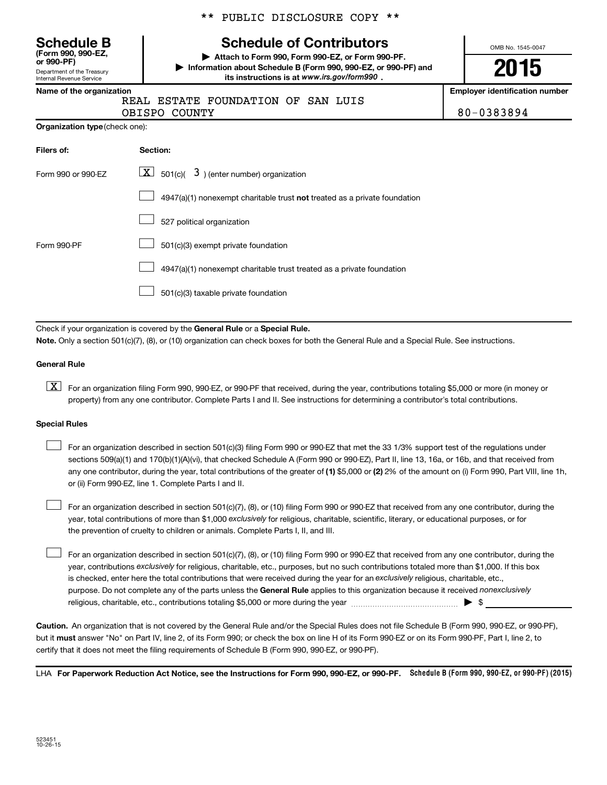| Schedule B                 |  |
|----------------------------|--|
| (Form 990, 990-EZ,         |  |
| or 990-PF)                 |  |
| Department of the Treasury |  |

Internal Revenue Service

\*\* PUBLIC DISCLOSURE COPY \*\*

# **Schedule of Contributors**

**or 990-PF) | Attach to Form 990, Form 990-EZ, or Form 990-PF. | Information about Schedule B (Form 990, 990-EZ, or 990-PF) and** its instructions is at www.irs.gov/form990.

OMB No. 1545-0047

# **2015**

**Name of the organization Employer identification number**

|  |  | וטוווט טו נווט טו אַמווובטנוטוו |       |  |
|--|--|---------------------------------|-------|--|
|  |  |                                 | .דגסס |  |

REAL ESTATE FOUNDATION OF SAN LUIS

OBISPO COUNTY 80-0383894

| Organization type (check one): |  |
|--------------------------------|--|

| Filers of:         | <b>Section:</b>                                                                    |
|--------------------|------------------------------------------------------------------------------------|
| Form 990 or 990-EZ | $\lfloor x \rfloor$ 501(c)( 3) (enter number) organization                         |
|                    | $4947(a)(1)$ nonexempt charitable trust <b>not</b> treated as a private foundation |
|                    | 527 political organization                                                         |
| Form 990-PF        | 501(c)(3) exempt private foundation                                                |
|                    | 4947(a)(1) nonexempt charitable trust treated as a private foundation              |
|                    | 501(c)(3) taxable private foundation                                               |

Check if your organization is covered by the General Rule or a Special Rule.

**Note.**  Only a section 501(c)(7), (8), or (10) organization can check boxes for both the General Rule and a Special Rule. See instructions.

#### **General Rule**

**K** For an organization filing Form 990, 990-EZ, or 990-PF that received, during the year, contributions totaling \$5,000 or more (in money or property) from any one contributor. Complete Parts I and II. See instructions for determining a contributor's total contributions.

#### **Special Rules**

 $\Box$ 

any one contributor, during the year, total contributions of the greater of **(1)** \$5,000 or **(2)** 2% of the amount on (i) Form 990, Part VIII, line 1h, For an organization described in section 501(c)(3) filing Form 990 or 990-EZ that met the 33 1/3% support test of the regulations under sections 509(a)(1) and 170(b)(1)(A)(vi), that checked Schedule A (Form 990 or 990-EZ), Part II, line 13, 16a, or 16b, and that received from or (ii) Form 990-EZ, line 1. Complete Parts I and II.  $\Box$ 

year, total contributions of more than \$1,000 *exclusively* for religious, charitable, scientific, literary, or educational purposes, or for For an organization described in section 501(c)(7), (8), or (10) filing Form 990 or 990-EZ that received from any one contributor, during the the prevention of cruelty to children or animals. Complete Parts I, II, and III.  $\Box$ 

purpose. Do not complete any of the parts unless the General Rule applies to this organization because it received nonexclusively year, contributions exclusively for religious, charitable, etc., purposes, but no such contributions totaled more than \$1,000. If this box is checked, enter here the total contributions that were received during the year for an exclusively religious, charitable, etc., For an organization described in section 501(c)(7), (8), or (10) filing Form 990 or 990-EZ that received from any one contributor, during the religious, charitable, etc., contributions totaling \$5,000 or more during the year  $\ldots$  $\ldots$  $\ldots$  $\ldots$  $\ldots$  $\ldots$ 

**Caution.** An organization that is not covered by the General Rule and/or the Special Rules does not file Schedule B (Form 990, 990-EZ, or 990-PF),  **must** but it answer "No" on Part IV, line 2, of its Form 990; or check the box on line H of its Form 990-EZ or on its Form 990-PF, Part I, line 2, to certify that it does not meet the filing requirements of Schedule B (Form 990, 990-EZ, or 990-PF).

LHA For Paperwork Reduction Act Notice, see the Instructions for Form 990, 990-EZ, or 990-PF. Schedule B (Form 990, 990-EZ, or 990-PF) (2015)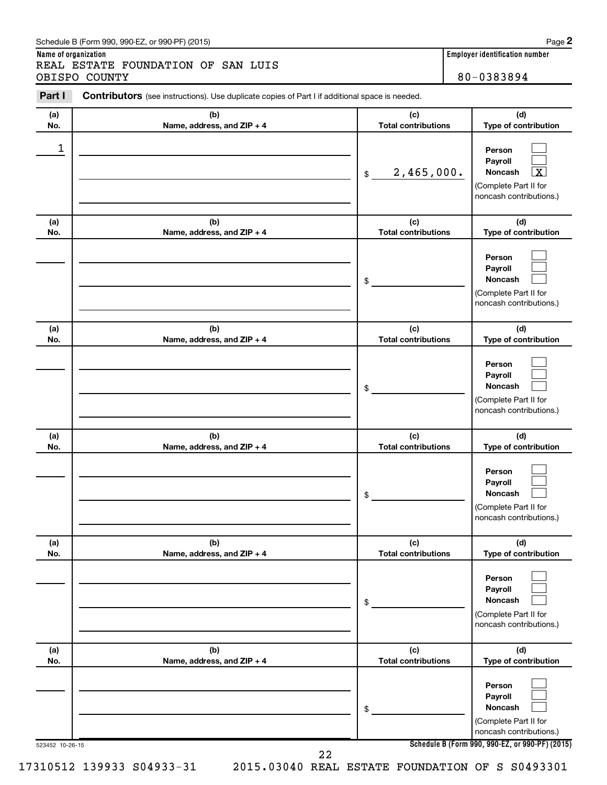#### Schedule B (Form 990, 990-EZ, or 990-PF) (2015)

**Name of organization Employer identification number** REAL ESTATE FOUNDATION OF SAN LUIS OBISPO COUNTY 80-0383894

| (a) | (b)                        | (c)                        | (d)                                                                                                                |
|-----|----------------------------|----------------------------|--------------------------------------------------------------------------------------------------------------------|
| No. | Name, address, and ZIP + 4 | <b>Total contributions</b> | Type of contribution                                                                                               |
| 1   |                            | 2,465,000.<br>\$           | Person<br>Payroll<br>$\overline{\mathbf{X}}$<br><b>Noncash</b><br>(Complete Part II for<br>noncash contributions.) |
| (a) | (b)                        | (c)                        | (d)                                                                                                                |
| No. | Name, address, and ZIP + 4 | <b>Total contributions</b> | Type of contribution                                                                                               |
|     |                            | \$                         | Person<br>Payroll<br>Noncash<br>(Complete Part II for<br>noncash contributions.)                                   |
| (a) | (b)                        | (c)                        | (d)                                                                                                                |
| No. | Name, address, and ZIP + 4 | <b>Total contributions</b> | Type of contribution                                                                                               |
|     |                            | \$                         | Person<br>Payroll<br>Noncash<br>(Complete Part II for<br>noncash contributions.)                                   |
| (a) | (b)                        | (c)                        | (d)                                                                                                                |
| No. | Name, address, and ZIP + 4 | <b>Total contributions</b> | Type of contribution                                                                                               |
|     |                            | \$                         | Person<br>Payroll<br>Noncash<br>(Complete Part II for<br>noncash contributions.)                                   |
| (a) | (b)                        | (c)                        | (d)                                                                                                                |
| No. | Name, address, and ZIP + 4 | <b>Total contributions</b> | Type of contribution                                                                                               |
|     |                            | \$                         | Person<br>Payroll<br><b>Noncash</b><br>(Complete Part II for<br>noncash contributions.)                            |
| (a) | (b)                        | (c)                        | (d)                                                                                                                |
| No. | Name, address, and ZIP + 4 | <b>Total contributions</b> | Type of contribution                                                                                               |
|     |                            | \$                         | Person<br>Payroll<br><b>Noncash</b><br>(Complete Part II for<br>noncash contributions.)                            |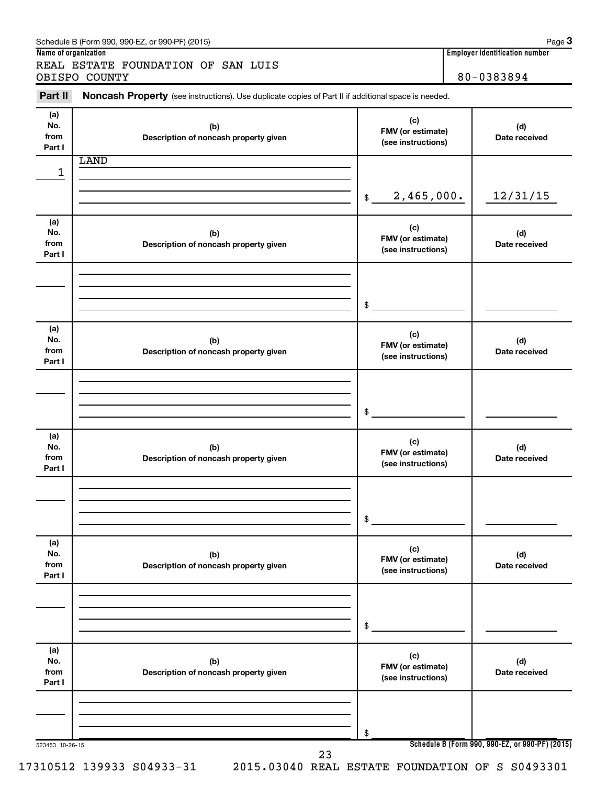|                              | REAL ESTATE FOUNDATION OF SAN LUIS<br>OBISPO COUNTY                                                 |                                                | 80-0383894 |                      |  |
|------------------------------|-----------------------------------------------------------------------------------------------------|------------------------------------------------|------------|----------------------|--|
| Part II                      | Noncash Property (see instructions). Use duplicate copies of Part II if additional space is needed. |                                                |            |                      |  |
| (a)<br>No.<br>from<br>Part I | (b)<br>Description of noncash property given                                                        | (c)<br>FMV (or estimate)<br>(see instructions) |            | (d)<br>Date received |  |
|                              | <b>LAND</b>                                                                                         |                                                |            |                      |  |
| 1                            |                                                                                                     | 2,465,000.<br>\$                               |            | 12/31/15             |  |
| (a)<br>No.<br>from<br>Part I | (b)<br>Description of noncash property given                                                        | (c)<br>FMV (or estimate)<br>(see instructions) |            | (d)<br>Date received |  |
|                              |                                                                                                     | \$                                             |            |                      |  |
| (a)<br>No.<br>from<br>Part I | (b)<br>Description of noncash property given                                                        | (c)<br>FMV (or estimate)<br>(see instructions) |            | (d)<br>Date received |  |
|                              |                                                                                                     | \$                                             |            |                      |  |
| (a)<br>No.<br>from<br>Part I | (b)<br>Description of noncash property given                                                        | (c)<br>FMV (or estimate)<br>(see instructions) |            | (d)<br>Date received |  |
|                              |                                                                                                     | \$                                             |            |                      |  |
| (a)<br>No.<br>from<br>Part I | (b)<br>Description of noncash property given                                                        | (c)<br>FMV (or estimate)<br>(see instructions) |            | (d)<br>Date received |  |
|                              |                                                                                                     | \$                                             |            |                      |  |
| (a)<br>No.<br>from<br>Part I | (b)<br>Description of noncash property given                                                        | (c)<br>FMV (or estimate)<br>(see instructions) |            | (d)<br>Date received |  |
|                              |                                                                                                     | \$                                             |            |                      |  |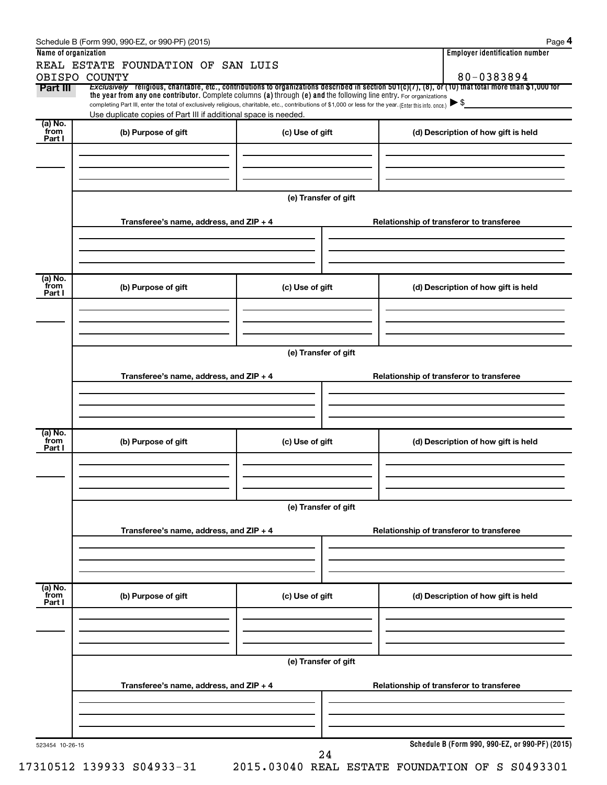| Name of organization      | REAL ESTATE FOUNDATION OF SAN LUIS                                                                                                                                                                                                                                              |                      |  | <b>Employer identification number</b>           |  |  |
|---------------------------|---------------------------------------------------------------------------------------------------------------------------------------------------------------------------------------------------------------------------------------------------------------------------------|----------------------|--|-------------------------------------------------|--|--|
| OBISPO COUNTY<br>Part III | Exclusively religious, charitable, etc., contributions to organizations described in section 501(c)(7), (8), or (10) that total more than \$1,000 for                                                                                                                           |                      |  | 80-0383894                                      |  |  |
|                           | the year from any one contributor. Complete columns (a) through (e) and the following line entry. For organizations<br>completing Part III, enter the total of exclusively religious, charitable, etc., contributions of \$1,000 or less for the year. (Enter this info. once.) |                      |  | $\blacktriangleright$ \$                        |  |  |
|                           | Use duplicate copies of Part III if additional space is needed.                                                                                                                                                                                                                 |                      |  |                                                 |  |  |
| (a) No.<br>from<br>Part I | (b) Purpose of gift                                                                                                                                                                                                                                                             | (c) Use of gift      |  | (d) Description of how gift is held             |  |  |
|                           |                                                                                                                                                                                                                                                                                 |                      |  |                                                 |  |  |
|                           |                                                                                                                                                                                                                                                                                 | (e) Transfer of gift |  |                                                 |  |  |
|                           | Transferee's name, address, and ZIP + 4                                                                                                                                                                                                                                         |                      |  | Relationship of transferor to transferee        |  |  |
|                           |                                                                                                                                                                                                                                                                                 |                      |  |                                                 |  |  |
| (a) No.<br>from           | (b) Purpose of gift                                                                                                                                                                                                                                                             | (c) Use of gift      |  | (d) Description of how gift is held             |  |  |
| Part I                    |                                                                                                                                                                                                                                                                                 |                      |  |                                                 |  |  |
|                           |                                                                                                                                                                                                                                                                                 |                      |  |                                                 |  |  |
|                           | Transferee's name, address, and $ZIP + 4$                                                                                                                                                                                                                                       | (e) Transfer of gift |  | Relationship of transferor to transferee        |  |  |
|                           |                                                                                                                                                                                                                                                                                 |                      |  |                                                 |  |  |
|                           |                                                                                                                                                                                                                                                                                 |                      |  |                                                 |  |  |
| (a) No.<br>from<br>Part I | (b) Purpose of gift                                                                                                                                                                                                                                                             | (c) Use of gift      |  | (d) Description of how gift is held             |  |  |
|                           |                                                                                                                                                                                                                                                                                 |                      |  |                                                 |  |  |
|                           |                                                                                                                                                                                                                                                                                 | (e) Transfer of gift |  |                                                 |  |  |
|                           | Transferee's name, address, and ZIP + 4                                                                                                                                                                                                                                         |                      |  | Relationship of transferor to transferee        |  |  |
|                           |                                                                                                                                                                                                                                                                                 |                      |  |                                                 |  |  |
| (a) No.<br>from<br>Part I | (b) Purpose of gift                                                                                                                                                                                                                                                             | (c) Use of gift      |  | (d) Description of how gift is held             |  |  |
|                           |                                                                                                                                                                                                                                                                                 |                      |  |                                                 |  |  |
|                           | (e) Transfer of gift<br>Transferee's name, address, and ZIP + 4                                                                                                                                                                                                                 |                      |  | Relationship of transferor to transferee        |  |  |
|                           |                                                                                                                                                                                                                                                                                 |                      |  |                                                 |  |  |
|                           |                                                                                                                                                                                                                                                                                 |                      |  | Schedule B (Form 990, 990-EZ, or 990-PF) (2015) |  |  |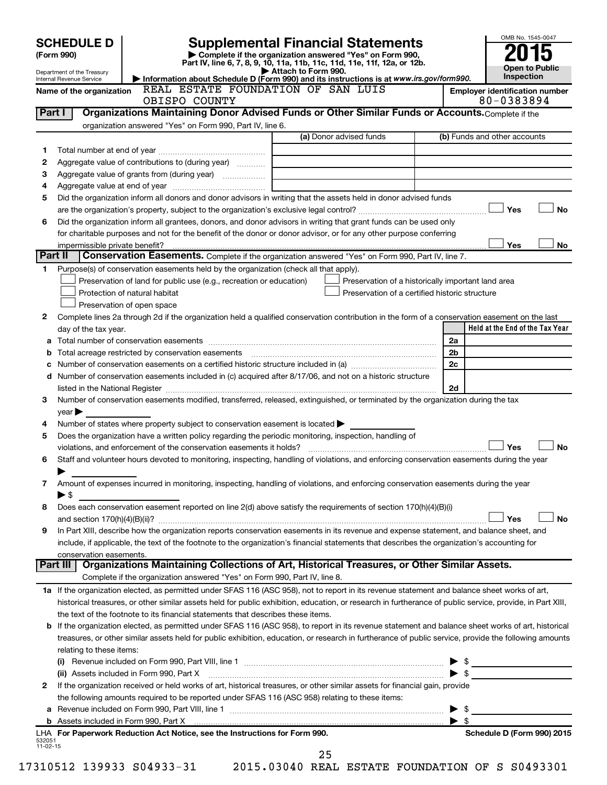| Department of the Treasury<br>Internal Revenue Service                                                                                                     | <b>SCHEDULE D</b> |                                                                     |               | <b>Supplemental Financial Statements</b><br>Complete if the organization answered "Yes" on Form 990,<br>Part IV, line 6, 7, 8, 9, 10, 11a, 11b, 11c, 11d, 11e, 11f, 12a, or 12b.<br>Attach to Form 990.<br>Information about Schedule D (Form 990) and its instructions is at www.irs.gov/form990. |                         |                                                    |                          |                                       | OMB No. 1545-0047<br><b>Open to Public</b><br>Inspection |                        |
|------------------------------------------------------------------------------------------------------------------------------------------------------------|-------------------|---------------------------------------------------------------------|---------------|----------------------------------------------------------------------------------------------------------------------------------------------------------------------------------------------------------------------------------------------------------------------------------------------------|-------------------------|----------------------------------------------------|--------------------------|---------------------------------------|----------------------------------------------------------|------------------------|
| Name of the organization                                                                                                                                   |                   |                                                                     |               | REAL ESTATE FOUNDATION OF SAN LUIS                                                                                                                                                                                                                                                                 |                         |                                                    |                          | <b>Employer identification number</b> |                                                          |                        |
|                                                                                                                                                            |                   |                                                                     | OBISPO COUNTY |                                                                                                                                                                                                                                                                                                    |                         |                                                    |                          | 80-0383894                            |                                                          |                        |
| Part I                                                                                                                                                     |                   |                                                                     |               | Organizations Maintaining Donor Advised Funds or Other Similar Funds or Accounts. Complete if the                                                                                                                                                                                                  |                         |                                                    |                          |                                       |                                                          |                        |
|                                                                                                                                                            |                   | organization answered "Yes" on Form 990, Part IV, line 6.           |               |                                                                                                                                                                                                                                                                                                    | (a) Donor advised funds |                                                    |                          | (b) Funds and other accounts          |                                                          |                        |
|                                                                                                                                                            |                   |                                                                     |               |                                                                                                                                                                                                                                                                                                    |                         |                                                    |                          |                                       |                                                          |                        |
| 1<br>2                                                                                                                                                     |                   | Aggregate value of contributions to (during year)                   |               |                                                                                                                                                                                                                                                                                                    |                         |                                                    |                          |                                       |                                                          |                        |
| З                                                                                                                                                          |                   |                                                                     |               |                                                                                                                                                                                                                                                                                                    |                         |                                                    |                          |                                       |                                                          |                        |
| 4                                                                                                                                                          |                   |                                                                     |               |                                                                                                                                                                                                                                                                                                    |                         |                                                    |                          |                                       |                                                          |                        |
| 5                                                                                                                                                          |                   |                                                                     |               | Did the organization inform all donors and donor advisors in writing that the assets held in donor advised funds                                                                                                                                                                                   |                         |                                                    |                          |                                       |                                                          |                        |
|                                                                                                                                                            |                   |                                                                     |               |                                                                                                                                                                                                                                                                                                    |                         |                                                    |                          |                                       | Yes                                                      | <b>No</b>              |
| 6                                                                                                                                                          |                   |                                                                     |               | Did the organization inform all grantees, donors, and donor advisors in writing that grant funds can be used only                                                                                                                                                                                  |                         |                                                    |                          |                                       |                                                          |                        |
|                                                                                                                                                            |                   |                                                                     |               | for charitable purposes and not for the benefit of the donor or donor advisor, or for any other purpose conferring                                                                                                                                                                                 |                         |                                                    |                          |                                       |                                                          |                        |
| impermissible private benefit?                                                                                                                             |                   |                                                                     |               |                                                                                                                                                                                                                                                                                                    |                         |                                                    |                          |                                       | Yes                                                      |                        |
| Part II                                                                                                                                                    |                   |                                                                     |               | Conservation Easements. Complete if the organization answered "Yes" on Form 990, Part IV, line 7.                                                                                                                                                                                                  |                         |                                                    |                          |                                       |                                                          |                        |
| 1                                                                                                                                                          |                   |                                                                     |               | Purpose(s) of conservation easements held by the organization (check all that apply).                                                                                                                                                                                                              |                         |                                                    |                          |                                       |                                                          |                        |
|                                                                                                                                                            |                   | Preservation of land for public use (e.g., recreation or education) |               |                                                                                                                                                                                                                                                                                                    |                         | Preservation of a historically important land area |                          |                                       |                                                          |                        |
|                                                                                                                                                            |                   | Protection of natural habitat                                       |               |                                                                                                                                                                                                                                                                                                    |                         | Preservation of a certified historic structure     |                          |                                       |                                                          |                        |
|                                                                                                                                                            |                   | Preservation of open space                                          |               |                                                                                                                                                                                                                                                                                                    |                         |                                                    |                          |                                       |                                                          |                        |
| 2                                                                                                                                                          |                   |                                                                     |               | Complete lines 2a through 2d if the organization held a qualified conservation contribution in the form of a conservation easement on the last                                                                                                                                                     |                         |                                                    |                          |                                       |                                                          |                        |
| day of the tax year.                                                                                                                                       |                   |                                                                     |               |                                                                                                                                                                                                                                                                                                    |                         |                                                    |                          | Held at the End of the Tax Year       |                                                          |                        |
|                                                                                                                                                            |                   |                                                                     |               |                                                                                                                                                                                                                                                                                                    |                         |                                                    | 2a                       |                                       |                                                          |                        |
|                                                                                                                                                            |                   |                                                                     |               |                                                                                                                                                                                                                                                                                                    |                         |                                                    | 2 <sub>b</sub>           |                                       |                                                          |                        |
|                                                                                                                                                            |                   |                                                                     |               |                                                                                                                                                                                                                                                                                                    |                         |                                                    | 2 <sub>c</sub>           |                                       |                                                          |                        |
| d Number of conservation easements included in (c) acquired after 8/17/06, and not on a historic structure                                                 |                   |                                                                     |               |                                                                                                                                                                                                                                                                                                    |                         |                                                    |                          |                                       |                                                          |                        |
| 3                                                                                                                                                          |                   |                                                                     |               | Number of conservation easements modified, transferred, released, extinguished, or terminated by the organization during the tax                                                                                                                                                                   |                         |                                                    | 2d                       |                                       |                                                          |                        |
| $year \triangleright$                                                                                                                                      |                   |                                                                     |               |                                                                                                                                                                                                                                                                                                    |                         |                                                    |                          |                                       |                                                          |                        |
| 4                                                                                                                                                          |                   |                                                                     |               | Number of states where property subject to conservation easement is located $\blacktriangleright$                                                                                                                                                                                                  |                         |                                                    |                          |                                       |                                                          |                        |
| 5                                                                                                                                                          |                   |                                                                     |               | Does the organization have a written policy regarding the periodic monitoring, inspection, handling of                                                                                                                                                                                             |                         |                                                    |                          |                                       |                                                          |                        |
|                                                                                                                                                            |                   |                                                                     |               |                                                                                                                                                                                                                                                                                                    |                         |                                                    |                          |                                       | Yes                                                      |                        |
|                                                                                                                                                            |                   |                                                                     |               |                                                                                                                                                                                                                                                                                                    |                         |                                                    |                          |                                       |                                                          |                        |
| 6                                                                                                                                                          |                   |                                                                     |               | Staff and volunteer hours devoted to monitoring, inspecting, handling of violations, and enforcing conservation easements during the year                                                                                                                                                          |                         |                                                    |                          |                                       |                                                          |                        |
|                                                                                                                                                            |                   |                                                                     |               |                                                                                                                                                                                                                                                                                                    |                         |                                                    |                          |                                       |                                                          |                        |
| 7                                                                                                                                                          |                   |                                                                     |               | Amount of expenses incurred in monitoring, inspecting, handling of violations, and enforcing conservation easements during the year                                                                                                                                                                |                         |                                                    |                          |                                       |                                                          |                        |
| $\blacktriangleright$ \$                                                                                                                                   |                   |                                                                     |               |                                                                                                                                                                                                                                                                                                    |                         |                                                    |                          |                                       |                                                          |                        |
| 8                                                                                                                                                          |                   |                                                                     |               | Does each conservation easement reported on line 2(d) above satisfy the requirements of section 170(h)(4)(B)(i)                                                                                                                                                                                    |                         |                                                    |                          |                                       |                                                          |                        |
|                                                                                                                                                            |                   |                                                                     |               |                                                                                                                                                                                                                                                                                                    |                         |                                                    |                          |                                       | Yes                                                      |                        |
| 9                                                                                                                                                          |                   |                                                                     |               | In Part XIII, describe how the organization reports conservation easements in its revenue and expense statement, and balance sheet, and                                                                                                                                                            |                         |                                                    |                          |                                       |                                                          |                        |
|                                                                                                                                                            |                   |                                                                     |               | include, if applicable, the text of the footnote to the organization's financial statements that describes the organization's accounting for                                                                                                                                                       |                         |                                                    |                          |                                       |                                                          |                        |
| conservation easements.                                                                                                                                    |                   |                                                                     |               |                                                                                                                                                                                                                                                                                                    |                         |                                                    |                          |                                       |                                                          |                        |
| Part III   Organizations Maintaining Collections of Art, Historical Treasures, or Other Similar Assets.                                                    |                   |                                                                     |               |                                                                                                                                                                                                                                                                                                    |                         |                                                    |                          |                                       |                                                          |                        |
|                                                                                                                                                            |                   |                                                                     |               | Complete if the organization answered "Yes" on Form 990, Part IV, line 8.                                                                                                                                                                                                                          |                         |                                                    |                          |                                       |                                                          |                        |
| 1a If the organization elected, as permitted under SFAS 116 (ASC 958), not to report in its revenue statement and balance sheet works of art,              |                   |                                                                     |               |                                                                                                                                                                                                                                                                                                    |                         |                                                    |                          |                                       |                                                          |                        |
|                                                                                                                                                            |                   |                                                                     |               | historical treasures, or other similar assets held for public exhibition, education, or research in furtherance of public service, provide, in Part XIII,                                                                                                                                          |                         |                                                    |                          |                                       |                                                          |                        |
|                                                                                                                                                            |                   |                                                                     |               | the text of the footnote to its financial statements that describes these items.                                                                                                                                                                                                                   |                         |                                                    |                          |                                       |                                                          |                        |
| <b>b</b> If the organization elected, as permitted under SFAS 116 (ASC 958), to report in its revenue statement and balance sheet works of art, historical |                   |                                                                     |               |                                                                                                                                                                                                                                                                                                    |                         |                                                    |                          |                                       |                                                          |                        |
| relating to these items:                                                                                                                                   |                   |                                                                     |               | treasures, or other similar assets held for public exhibition, education, or research in furtherance of public service, provide the following amounts                                                                                                                                              |                         |                                                    |                          |                                       |                                                          |                        |
|                                                                                                                                                            |                   |                                                                     |               |                                                                                                                                                                                                                                                                                                    |                         |                                                    |                          |                                       |                                                          |                        |
|                                                                                                                                                            |                   | (ii) Assets included in Form 990, Part X                            |               |                                                                                                                                                                                                                                                                                                    |                         |                                                    |                          |                                       |                                                          |                        |
| 2                                                                                                                                                          |                   |                                                                     |               | If the organization received or held works of art, historical treasures, or other similar assets for financial gain, provide                                                                                                                                                                       |                         |                                                    |                          |                                       |                                                          |                        |
|                                                                                                                                                            |                   |                                                                     |               | the following amounts required to be reported under SFAS 116 (ASC 958) relating to these items:                                                                                                                                                                                                    |                         |                                                    |                          |                                       |                                                          | <b>No</b><br><b>No</b> |
|                                                                                                                                                            |                   |                                                                     |               |                                                                                                                                                                                                                                                                                                    |                         |                                                    | $\blacktriangleright$ \$ |                                       |                                                          |                        |
|                                                                                                                                                            |                   |                                                                     |               |                                                                                                                                                                                                                                                                                                    |                         |                                                    | $\blacktriangleright$ s  |                                       |                                                          |                        |
| LHA For Paperwork Reduction Act Notice, see the Instructions for Form 990.<br>532051                                                                       |                   |                                                                     |               |                                                                                                                                                                                                                                                                                                    |                         |                                                    |                          | Schedule D (Form 990) 2015            |                                                          |                        |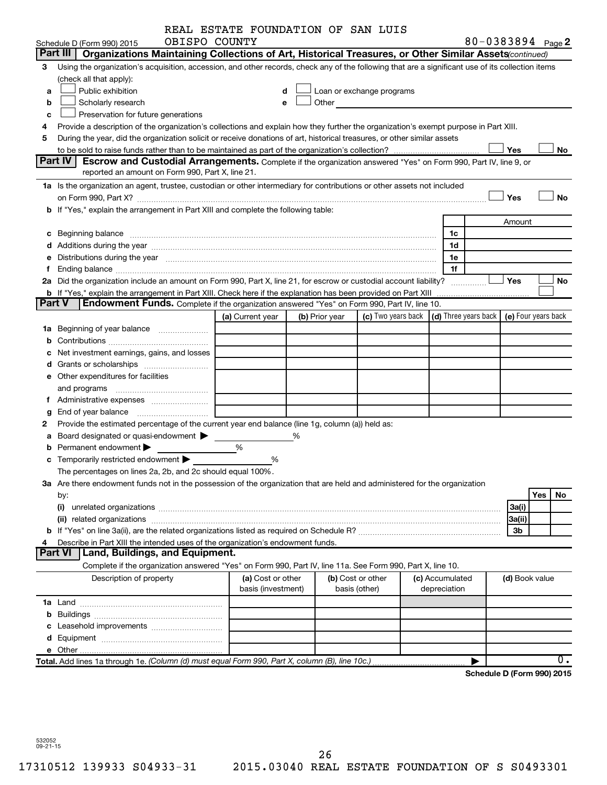|        |                                                                                                                                                                                                                                | REAL ESTATE FOUNDATION OF SAN LUIS |   |                   |                                                                                                                                                                                                                               |                 |              |            |                            |     |           |
|--------|--------------------------------------------------------------------------------------------------------------------------------------------------------------------------------------------------------------------------------|------------------------------------|---|-------------------|-------------------------------------------------------------------------------------------------------------------------------------------------------------------------------------------------------------------------------|-----------------|--------------|------------|----------------------------|-----|-----------|
|        | OBISPO COUNTY<br>Schedule D (Form 990) 2015                                                                                                                                                                                    |                                    |   |                   |                                                                                                                                                                                                                               |                 |              |            | 80-0383894 Page 2          |     |           |
|        | Part III<br>Organizations Maintaining Collections of Art, Historical Treasures, or Other Similar Assets (continued)                                                                                                            |                                    |   |                   |                                                                                                                                                                                                                               |                 |              |            |                            |     |           |
| з      | Using the organization's acquisition, accession, and other records, check any of the following that are a significant use of its collection items                                                                              |                                    |   |                   |                                                                                                                                                                                                                               |                 |              |            |                            |     |           |
|        | (check all that apply):                                                                                                                                                                                                        |                                    |   |                   |                                                                                                                                                                                                                               |                 |              |            |                            |     |           |
| a      | Public exhibition                                                                                                                                                                                                              |                                    |   |                   | Loan or exchange programs                                                                                                                                                                                                     |                 |              |            |                            |     |           |
| b      | Scholarly research                                                                                                                                                                                                             |                                    |   |                   | Other and the contract of the contract of the contract of the contract of the contract of the contract of the contract of the contract of the contract of the contract of the contract of the contract of the contract of the |                 |              |            |                            |     |           |
| c      | Preservation for future generations                                                                                                                                                                                            |                                    |   |                   |                                                                                                                                                                                                                               |                 |              |            |                            |     |           |
| 4      | Provide a description of the organization's collections and explain how they further the organization's exempt purpose in Part XIII.                                                                                           |                                    |   |                   |                                                                                                                                                                                                                               |                 |              |            |                            |     |           |
| 5      | During the year, did the organization solicit or receive donations of art, historical treasures, or other similar assets                                                                                                       |                                    |   |                   |                                                                                                                                                                                                                               |                 |              |            |                            |     |           |
|        |                                                                                                                                                                                                                                |                                    |   |                   |                                                                                                                                                                                                                               |                 |              |            | Yes                        |     | No        |
|        | <b>Part IV</b><br>Escrow and Custodial Arrangements. Complete if the organization answered "Yes" on Form 990, Part IV, line 9, or                                                                                              |                                    |   |                   |                                                                                                                                                                                                                               |                 |              |            |                            |     |           |
|        | reported an amount on Form 990, Part X, line 21.                                                                                                                                                                               |                                    |   |                   |                                                                                                                                                                                                                               |                 |              |            |                            |     |           |
|        | 1a Is the organization an agent, trustee, custodian or other intermediary for contributions or other assets not included                                                                                                       |                                    |   |                   |                                                                                                                                                                                                                               |                 |              |            |                            |     |           |
|        |                                                                                                                                                                                                                                |                                    |   |                   |                                                                                                                                                                                                                               |                 |              |            | Yes                        |     | <b>No</b> |
|        | b If "Yes," explain the arrangement in Part XIII and complete the following table:                                                                                                                                             |                                    |   |                   |                                                                                                                                                                                                                               |                 |              |            |                            |     |           |
|        |                                                                                                                                                                                                                                |                                    |   |                   |                                                                                                                                                                                                                               |                 |              |            | Amount                     |     |           |
|        |                                                                                                                                                                                                                                |                                    |   |                   |                                                                                                                                                                                                                               |                 | 1c           |            |                            |     |           |
|        |                                                                                                                                                                                                                                |                                    |   |                   |                                                                                                                                                                                                                               |                 | 1d           |            |                            |     |           |
|        | e Distributions during the year manufactured and contained and contained and contained and contained and contained and contained and contained and contained and contained and contained and contained and contained and conta |                                    |   |                   |                                                                                                                                                                                                                               |                 | 1е           |            |                            |     |           |
|        |                                                                                                                                                                                                                                |                                    |   |                   |                                                                                                                                                                                                                               |                 | 1f           |            |                            |     |           |
|        | 2a Did the organization include an amount on Form 990, Part X, line 21, for escrow or custodial account liability?                                                                                                             |                                    |   |                   |                                                                                                                                                                                                                               |                 | .            |            | <b>Yes</b>                 |     | No        |
|        | <b>b</b> If "Yes," explain the arrangement in Part XIII. Check here if the explanation has been provided on Part XIII                                                                                                          |                                    |   |                   |                                                                                                                                                                                                                               |                 |              | . <u>.</u> |                            |     |           |
| Part V | Endowment Funds. Complete if the organization answered "Yes" on Form 990, Part IV, line 10.                                                                                                                                    |                                    |   |                   |                                                                                                                                                                                                                               |                 |              |            |                            |     |           |
|        |                                                                                                                                                                                                                                | (a) Current year                   |   | (b) Prior year    | (c) Two years back $\vert$ (d) Three years back $\vert$ (e) Four years back                                                                                                                                                   |                 |              |            |                            |     |           |
|        |                                                                                                                                                                                                                                |                                    |   |                   |                                                                                                                                                                                                                               |                 |              |            |                            |     |           |
|        |                                                                                                                                                                                                                                |                                    |   |                   |                                                                                                                                                                                                                               |                 |              |            |                            |     |           |
|        | Net investment earnings, gains, and losses                                                                                                                                                                                     |                                    |   |                   |                                                                                                                                                                                                                               |                 |              |            |                            |     |           |
|        |                                                                                                                                                                                                                                |                                    |   |                   |                                                                                                                                                                                                                               |                 |              |            |                            |     |           |
|        | e Other expenditures for facilities                                                                                                                                                                                            |                                    |   |                   |                                                                                                                                                                                                                               |                 |              |            |                            |     |           |
|        | and programs                                                                                                                                                                                                                   |                                    |   |                   |                                                                                                                                                                                                                               |                 |              |            |                            |     |           |
|        |                                                                                                                                                                                                                                |                                    |   |                   |                                                                                                                                                                                                                               |                 |              |            |                            |     |           |
| g      |                                                                                                                                                                                                                                |                                    |   |                   |                                                                                                                                                                                                                               |                 |              |            |                            |     |           |
|        | Provide the estimated percentage of the current year end balance (line 1g, column (a)) held as:                                                                                                                                |                                    |   |                   |                                                                                                                                                                                                                               |                 |              |            |                            |     |           |
| а      | Board designated or quasi-endowment                                                                                                                                                                                            |                                    | % |                   |                                                                                                                                                                                                                               |                 |              |            |                            |     |           |
|        | Permanent endowment                                                                                                                                                                                                            | %                                  |   |                   |                                                                                                                                                                                                                               |                 |              |            |                            |     |           |
|        | <b>c</b> Temporarily restricted endowment $\blacktriangleright$                                                                                                                                                                | %                                  |   |                   |                                                                                                                                                                                                                               |                 |              |            |                            |     |           |
|        | The percentages on lines 2a, 2b, and 2c should equal 100%.                                                                                                                                                                     |                                    |   |                   |                                                                                                                                                                                                                               |                 |              |            |                            |     |           |
|        | 3a Are there endowment funds not in the possession of the organization that are held and administered for the organization                                                                                                     |                                    |   |                   |                                                                                                                                                                                                                               |                 |              |            |                            |     |           |
|        | by:                                                                                                                                                                                                                            |                                    |   |                   |                                                                                                                                                                                                                               |                 |              |            |                            | Yes | No        |
|        | (i)                                                                                                                                                                                                                            |                                    |   |                   |                                                                                                                                                                                                                               |                 |              |            | 3a(i)                      |     |           |
|        |                                                                                                                                                                                                                                |                                    |   |                   |                                                                                                                                                                                                                               |                 |              |            | 3a(ii)                     |     |           |
|        |                                                                                                                                                                                                                                |                                    |   |                   |                                                                                                                                                                                                                               |                 |              |            | 3b                         |     |           |
|        | Describe in Part XIII the intended uses of the organization's endowment funds.                                                                                                                                                 |                                    |   |                   |                                                                                                                                                                                                                               |                 |              |            |                            |     |           |
|        | <b>Part VI</b><br>Land, Buildings, and Equipment.                                                                                                                                                                              |                                    |   |                   |                                                                                                                                                                                                                               |                 |              |            |                            |     |           |
|        | Complete if the organization answered "Yes" on Form 990, Part IV, line 11a. See Form 990, Part X, line 10.                                                                                                                     |                                    |   |                   |                                                                                                                                                                                                                               |                 |              |            |                            |     |           |
|        | Description of property                                                                                                                                                                                                        | (a) Cost or other                  |   | (b) Cost or other |                                                                                                                                                                                                                               | (c) Accumulated |              |            | (d) Book value             |     |           |
|        |                                                                                                                                                                                                                                | basis (investment)                 |   |                   | basis (other)                                                                                                                                                                                                                 |                 | depreciation |            |                            |     |           |
|        |                                                                                                                                                                                                                                |                                    |   |                   |                                                                                                                                                                                                                               |                 |              |            |                            |     |           |
| b      |                                                                                                                                                                                                                                |                                    |   |                   |                                                                                                                                                                                                                               |                 |              |            |                            |     |           |
|        |                                                                                                                                                                                                                                |                                    |   |                   |                                                                                                                                                                                                                               |                 |              |            |                            |     |           |
|        |                                                                                                                                                                                                                                |                                    |   |                   |                                                                                                                                                                                                                               |                 |              |            |                            |     |           |
|        |                                                                                                                                                                                                                                |                                    |   |                   |                                                                                                                                                                                                                               |                 |              |            |                            |     |           |
|        | Total. Add lines 1a through 1e. (Column (d) must equal Form 990, Part X, column (B), line 10c.)                                                                                                                                |                                    |   |                   |                                                                                                                                                                                                                               |                 |              |            |                            |     | 0.        |
|        |                                                                                                                                                                                                                                |                                    |   |                   |                                                                                                                                                                                                                               |                 |              |            | Schedule D (Form 990) 2015 |     |           |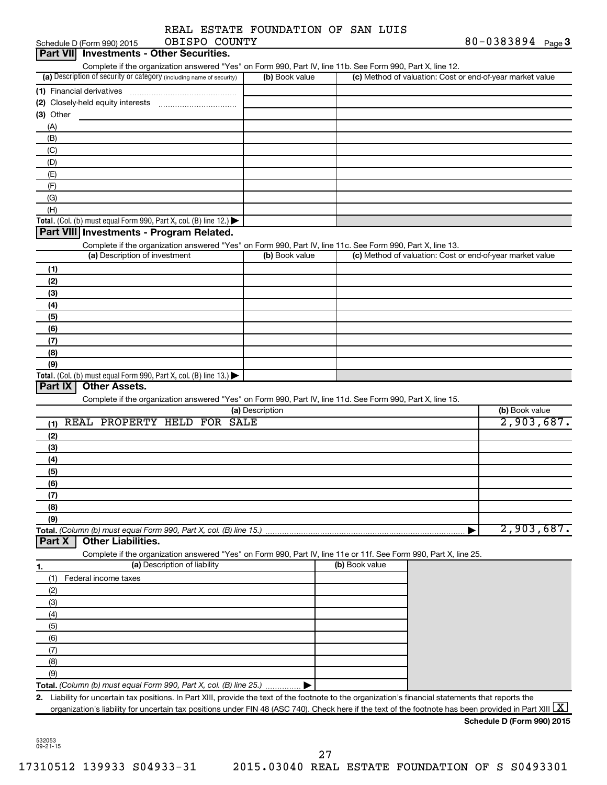|                 |  | REAL ESTATE FOUNDATION OF SAN LUIS |  |  |  |  |  |  |
|-----------------|--|------------------------------------|--|--|--|--|--|--|
|                 |  |                                    |  |  |  |  |  |  |
| ADTADA AAIINTUV |  |                                    |  |  |  |  |  |  |

|                 | Schedule D (Form 990) 2015    | OBISPO COUNTY                                                                                                                                            |                 |                |                                                           | 80-0383894 $Page 3$          |
|-----------------|-------------------------------|----------------------------------------------------------------------------------------------------------------------------------------------------------|-----------------|----------------|-----------------------------------------------------------|------------------------------|
| <b>Part VII</b> |                               | <b>Investments - Other Securities.</b>                                                                                                                   |                 |                |                                                           |                              |
|                 |                               | Complete if the organization answered "Yes" on Form 990, Part IV, line 11b. See Form 990, Part X, line 12.                                               |                 |                |                                                           |                              |
|                 |                               | (a) Description of security or category (including name of security)                                                                                     | (b) Book value  |                | (c) Method of valuation: Cost or end-of-year market value |                              |
|                 | (1) Financial derivatives     |                                                                                                                                                          |                 |                |                                                           |                              |
| $(3)$ Other     |                               |                                                                                                                                                          |                 |                |                                                           |                              |
| (A)             |                               |                                                                                                                                                          |                 |                |                                                           |                              |
| (B)             |                               |                                                                                                                                                          |                 |                |                                                           |                              |
| (C)             |                               |                                                                                                                                                          |                 |                |                                                           |                              |
| (D)             |                               |                                                                                                                                                          |                 |                |                                                           |                              |
| (E)             |                               |                                                                                                                                                          |                 |                |                                                           |                              |
| (F)             |                               |                                                                                                                                                          |                 |                |                                                           |                              |
| (G)             |                               |                                                                                                                                                          |                 |                |                                                           |                              |
| (H)             |                               |                                                                                                                                                          |                 |                |                                                           |                              |
|                 |                               | Total. (Col. (b) must equal Form 990, Part X, col. (B) line 12.) $\blacktriangleright$                                                                   |                 |                |                                                           |                              |
|                 |                               | Part VIII Investments - Program Related.                                                                                                                 |                 |                |                                                           |                              |
|                 |                               | Complete if the organization answered "Yes" on Form 990, Part IV, line 11c. See Form 990, Part X, line 13.                                               |                 |                |                                                           |                              |
|                 | (a) Description of investment |                                                                                                                                                          | (b) Book value  |                | (c) Method of valuation: Cost or end-of-year market value |                              |
| (1)             |                               |                                                                                                                                                          |                 |                |                                                           |                              |
| (2)             |                               |                                                                                                                                                          |                 |                |                                                           |                              |
| (3)             |                               |                                                                                                                                                          |                 |                |                                                           |                              |
| (4)<br>(5)      |                               |                                                                                                                                                          |                 |                |                                                           |                              |
| (6)             |                               |                                                                                                                                                          |                 |                |                                                           |                              |
| (7)             |                               |                                                                                                                                                          |                 |                |                                                           |                              |
| (8)             |                               |                                                                                                                                                          |                 |                |                                                           |                              |
| (9)             |                               |                                                                                                                                                          |                 |                |                                                           |                              |
|                 |                               | Total. (Col. (b) must equal Form 990, Part X, col. (B) line 13.) $\blacktriangleright$                                                                   |                 |                |                                                           |                              |
| (1)             |                               | Complete if the organization answered "Yes" on Form 990, Part IV, line 11d. See Form 990, Part X, line 15.<br>REAL PROPERTY HELD FOR SALE                | (a) Description |                |                                                           | (b) Book value<br>2,903,687. |
| (2)             |                               |                                                                                                                                                          |                 |                |                                                           |                              |
| (3)             |                               |                                                                                                                                                          |                 |                |                                                           |                              |
| (4)             |                               |                                                                                                                                                          |                 |                |                                                           |                              |
| (5)<br>(6)      |                               |                                                                                                                                                          |                 |                |                                                           |                              |
| (7)             |                               |                                                                                                                                                          |                 |                |                                                           |                              |
| (8)             |                               |                                                                                                                                                          |                 |                |                                                           |                              |
| (9)             |                               |                                                                                                                                                          |                 |                |                                                           |                              |
|                 |                               | Total. (Column (b) must equal Form 990, Part X, col. (B) line 15.)                                                                                       |                 |                |                                                           | 2,903,687.                   |
| Part X          | <b>Other Liabilities.</b>     | Complete if the organization answered "Yes" on Form 990, Part IV, line 11e or 11f. See Form 990, Part X, line 25.                                        |                 |                |                                                           |                              |
| <u>1.</u>       |                               | (a) Description of liability                                                                                                                             |                 | (b) Book value |                                                           |                              |
| (1)             | Federal income taxes          |                                                                                                                                                          |                 |                |                                                           |                              |
| (2)             |                               |                                                                                                                                                          |                 |                |                                                           |                              |
| (3)             |                               |                                                                                                                                                          |                 |                |                                                           |                              |
| (4)             |                               |                                                                                                                                                          |                 |                |                                                           |                              |
| (5)             |                               |                                                                                                                                                          |                 |                |                                                           |                              |
| (6)             |                               |                                                                                                                                                          |                 |                |                                                           |                              |
| (7)<br>(8)      |                               |                                                                                                                                                          |                 |                |                                                           |                              |
| (9)             |                               |                                                                                                                                                          |                 |                |                                                           |                              |
|                 |                               | Total. (Column (b) must equal Form 990, Part X, col. (B) line 25.)                                                                                       |                 |                |                                                           |                              |
|                 |                               | 2. Liability for uncertain tax positions. In Part XIII, provide the text of the footnote to the organization's financial statements that reports the     |                 |                |                                                           |                              |
|                 |                               | organization's liability for uncertain tax positions under FIN 48 (ASC 740). Check here if the text of the footnote has been provided in Part XIII $ X $ |                 |                |                                                           |                              |
|                 |                               |                                                                                                                                                          |                 |                |                                                           | Schedule D (Form 990) 2015   |

27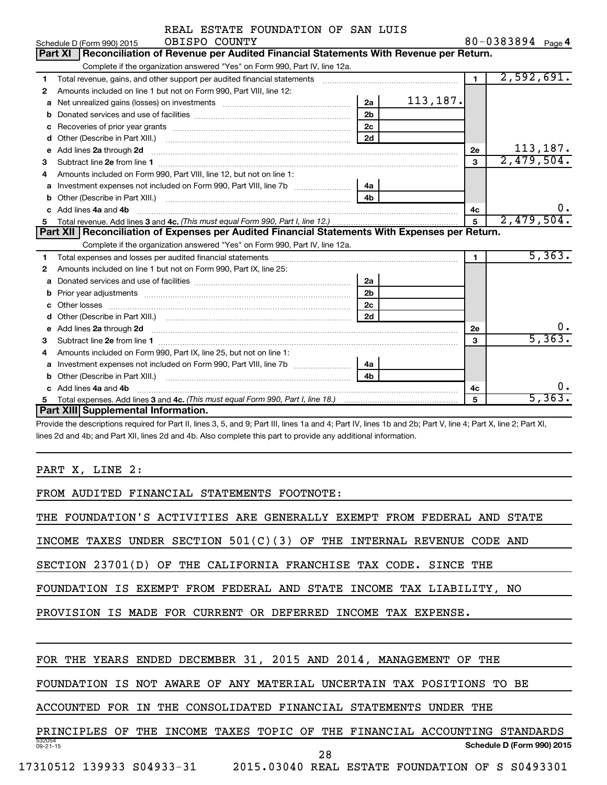|   | REAL ESTATE FOUNDATION OF SAN LUIS                                                                                                                           |                |           |                |                   |
|---|--------------------------------------------------------------------------------------------------------------------------------------------------------------|----------------|-----------|----------------|-------------------|
|   | OBISPO COUNTY<br>Schedule D (Form 990) 2015                                                                                                                  |                |           |                | 80-0383894 Page 4 |
|   | Part XI   Reconciliation of Revenue per Audited Financial Statements With Revenue per Return.                                                                |                |           |                |                   |
|   | Complete if the organization answered "Yes" on Form 990, Part IV, line 12a.                                                                                  |                |           |                |                   |
| 1 | Total revenue, gains, and other support per audited financial statements [111] [11] Total revenue, gains, and other support per audited financial statements |                |           | $\blacksquare$ | 2,592,691.        |
| 2 | Amounts included on line 1 but not on Form 990, Part VIII, line 12:                                                                                          |                |           |                |                   |
|   | a Net unrealized gains (losses) on investments [111] [12] Net unrealized gains (losses) on investments [11] [1                                               | 2a             | 113, 187. |                |                   |
|   |                                                                                                                                                              | 2 <sub>b</sub> |           |                |                   |
|   |                                                                                                                                                              | 2c             |           |                |                   |
|   |                                                                                                                                                              | 2d             |           |                |                   |
|   | e Add lines 2a through 2d                                                                                                                                    |                |           | 2е             | 113, 187.         |
| з |                                                                                                                                                              |                |           | 3              | 2,479,504.        |
| 4 | Amounts included on Form 990, Part VIII, line 12, but not on line 1:                                                                                         |                |           |                |                   |
|   |                                                                                                                                                              | 4a l           |           |                |                   |
|   |                                                                                                                                                              |                |           |                |                   |
|   | c Add lines 4a and 4b                                                                                                                                        |                |           | 4с             | 0.                |
| 5 |                                                                                                                                                              |                |           |                | 2,479,504.        |
|   | Part XII Reconciliation of Expenses per Audited Financial Statements With Expenses per Return.                                                               |                |           |                |                   |
|   | Complete if the organization answered "Yes" on Form 990, Part IV, line 12a.                                                                                  |                |           |                |                   |
| 1 |                                                                                                                                                              |                |           | $\blacksquare$ | 5,363.            |
| 2 | Amounts included on line 1 but not on Form 990, Part IX, line 25:                                                                                            |                |           |                |                   |
| a |                                                                                                                                                              | 2a             |           |                |                   |
|   |                                                                                                                                                              | 2 <sub>b</sub> |           |                |                   |
|   |                                                                                                                                                              | 2c             |           |                |                   |
|   |                                                                                                                                                              | 2d             |           |                |                   |
|   |                                                                                                                                                              |                |           | 2е             |                   |
| 3 |                                                                                                                                                              |                |           | 3              | 5,363.            |
| 4 | Amounts included on Form 990, Part IX, line 25, but not on line 1:                                                                                           |                |           |                |                   |
| a |                                                                                                                                                              | l 4a           |           |                |                   |
|   |                                                                                                                                                              | 4 <sub>b</sub> |           |                |                   |
|   | c Add lines 4a and 4b                                                                                                                                        |                |           | 4с             | ο.                |
|   |                                                                                                                                                              |                |           |                | 5,363.            |

**Part XIII Supplemental Information.**

Provide the descriptions required for Part II, lines 3, 5, and 9; Part III, lines 1a and 4; Part IV, lines 1b and 2b; Part V, line 4; Part X, line 2; Part XI, lines 2d and 4b; and Part XII, lines 2d and 4b. Also complete this part to provide any additional information.

PART X, LINE 2:

FROM AUDITED FINANCIAL STATEMENTS FOOTNOTE:

THE FOUNDATION'S ACTIVITIES ARE GENERALLY EXEMPT FROM FEDERAL AND STATE

INCOME TAXES UNDER SECTION  $501(C)(3)$  OF THE INTERNAL REVENUE CODE AND

SECTION 23701(D) OF THE CALIFORNIA FRANCHISE TAX CODE. SINCE THE

FOUNDATION IS EXEMPT FROM FEDERAL AND STATE INCOME TAX LIABILITY, NO

PROVISION IS MADE FOR CURRENT OR DEFERRED INCOME TAX EXPENSE.

FOR THE YEARS ENDED DECEMBER 31, 2015 AND 2014, MANAGEMENT OF THE

FOUNDATION IS NOT AWARE OF ANY MATERIAL UNCERTAIN TAX POSITIONS TO BE

ACCOUNTED FOR IN THE CONSOLIDATED FINANCIAL STATEMENTS UNDER THE

532054 09-21-15 **Schedule D (Form 990) 2015** PRINCIPLES OF THE INCOME TAXES TOPIC OF THE FINANCIAL ACCOUNTING STANDARDS 28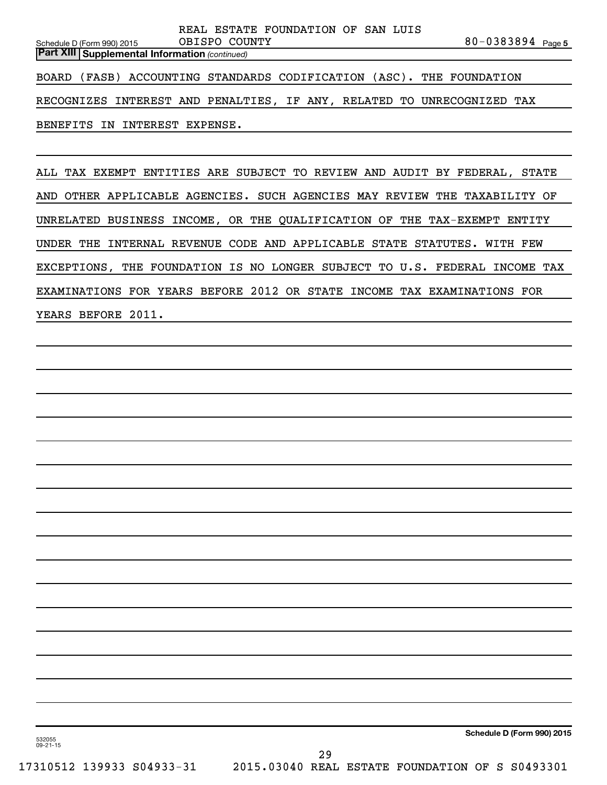80-0383894 Page 5 *(continued)* **Part XIII Supplemental Information**  Schedule D (Form 990) 2015 REAL ESTATE FOUNDATION OF SAN LUIS OBISPO COUNTY BOARD (FASB) ACCOUNTING STANDARDS CODIFICATION (ASC). THE FOUNDATION RECOGNIZES INTEREST AND PENALTIES, IF ANY, RELATED TO UNRECOGNIZED TAX BENEFITS IN INTEREST EXPENSE.

ALL TAX EXEMPT ENTITIES ARE SUBJECT TO REVIEW AND AUDIT BY FEDERAL, STATE AND OTHER APPLICABLE AGENCIES. SUCH AGENCIES MAY REVIEW THE TAXABILITY OF UNRELATED BUSINESS INCOME, OR THE QUALIFICATION OF THE TAX-EXEMPT ENTITY UNDER THE INTERNAL REVENUE CODE AND APPLICABLE STATE STATUTES. WITH FEW EXCEPTIONS, THE FOUNDATION IS NO LONGER SUBJECT TO U.S. FEDERAL INCOME TAX EXAMINATIONS FOR YEARS BEFORE 2012 OR STATE INCOME TAX EXAMINATIONS FOR YEARS BEFORE 2011.

532055 09-21-15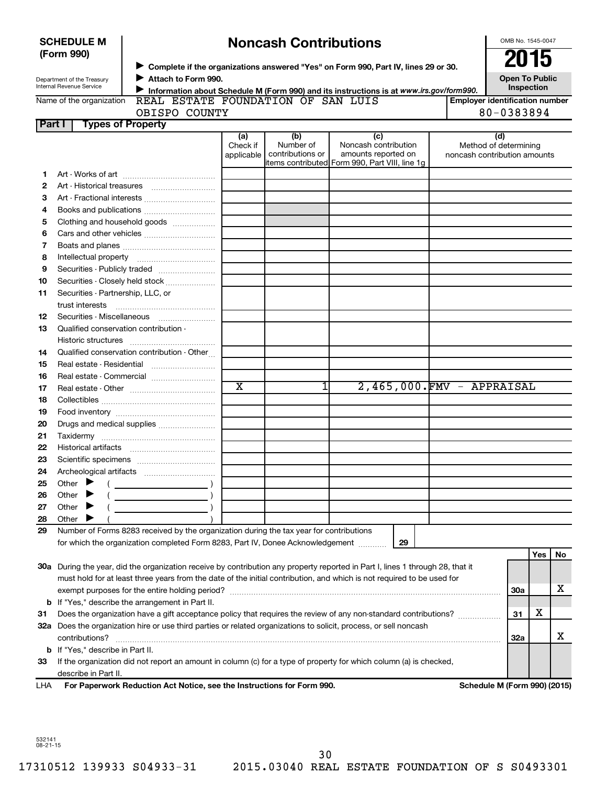| <b>SCHEDULE M</b>                                      |                                    | <b>Noncash Contributions</b>                                                            | OMB No. 1545-0047             |                                                                                                 |  |                                                       |
|--------------------------------------------------------|------------------------------------|-----------------------------------------------------------------------------------------|-------------------------------|-------------------------------------------------------------------------------------------------|--|-------------------------------------------------------|
| (Form 990)                                             |                                    |                                                                                         |                               | ► Complete if the organizations answered "Yes" on Form 990, Part IV, lines 29 or 30.            |  | 2015                                                  |
| Department of the Treasury<br>Internal Revenue Service | Attach to Form 990.                | Information about Schedule M (Form 990) and its instructions is at www.irs.gov/form990. |                               | <b>Open To Public</b><br>Inspection                                                             |  |                                                       |
| Name of the organization                               | REAL ESTATE FOUNDATION OF SAN LUIS |                                                                                         |                               |                                                                                                 |  | <b>Employer identification number</b>                 |
|                                                        | OBISPO COUNTY                      |                                                                                         |                               |                                                                                                 |  | 80-0383894                                            |
| Part I                                                 | <b>Types of Property</b>           |                                                                                         |                               |                                                                                                 |  |                                                       |
|                                                        |                                    | (a)                                                                                     | (b)                           | (c)                                                                                             |  | (d)                                                   |
|                                                        |                                    | Check if<br>applicable                                                                  | Number of<br>contributions or | Noncash contribution<br>amounts reported on<br>litems contributed  Form 990, Part VIII, line 1q |  | Method of determining<br>noncash contribution amounts |
|                                                        |                                    |                                                                                         |                               |                                                                                                 |  |                                                       |
|                                                        |                                    |                                                                                         |                               |                                                                                                 |  |                                                       |
| 3                                                      | Art - Fractional interests         |                                                                                         |                               |                                                                                                 |  |                                                       |
| 4                                                      | Books and publications             |                                                                                         |                               |                                                                                                 |  |                                                       |
| 5                                                      | Clothing and household goods       |                                                                                         |                               |                                                                                                 |  |                                                       |
| 6                                                      | Cars and other vehicles            |                                                                                         |                               |                                                                                                 |  |                                                       |
|                                                        |                                    |                                                                                         |                               |                                                                                                 |  |                                                       |

| $\overline{a)}$ | (b)              | (c)                                             | (d)                          |
|-----------------|------------------|-------------------------------------------------|------------------------------|
| eck if          | Number of        | Noncash contribution                            | Method of determining        |
| licable         | contributions or | amounts reported on                             | noncash contribution amounts |
|                 |                  | litems contributed Form 990, Part VIII, line 1g |                              |
|                 |                  |                                                 |                              |
|                 |                  |                                                 |                              |
|                 |                  |                                                 |                              |
|                 |                  |                                                 |                              |
|                 |                  |                                                 |                              |
|                 |                  |                                                 |                              |
|                 |                  |                                                 |                              |
|                 |                  |                                                 |                              |

|     | DOOKS and publications                                                                                                                                                                                                                                                                                                                                                                                                                                                                                                                                                                                            |                       |   |    |                           |            |            |    |
|-----|-------------------------------------------------------------------------------------------------------------------------------------------------------------------------------------------------------------------------------------------------------------------------------------------------------------------------------------------------------------------------------------------------------------------------------------------------------------------------------------------------------------------------------------------------------------------------------------------------------------------|-----------------------|---|----|---------------------------|------------|------------|----|
| 5   | Clothing and household goods                                                                                                                                                                                                                                                                                                                                                                                                                                                                                                                                                                                      |                       |   |    |                           |            |            |    |
| 6   | Cars and other vehicles                                                                                                                                                                                                                                                                                                                                                                                                                                                                                                                                                                                           |                       |   |    |                           |            |            |    |
| 7   |                                                                                                                                                                                                                                                                                                                                                                                                                                                                                                                                                                                                                   |                       |   |    |                           |            |            |    |
| 8   |                                                                                                                                                                                                                                                                                                                                                                                                                                                                                                                                                                                                                   |                       |   |    |                           |            |            |    |
| 9   |                                                                                                                                                                                                                                                                                                                                                                                                                                                                                                                                                                                                                   |                       |   |    |                           |            |            |    |
| 10  | Securities - Closely held stock                                                                                                                                                                                                                                                                                                                                                                                                                                                                                                                                                                                   |                       |   |    |                           |            |            |    |
| 11  | Securities - Partnership, LLC, or                                                                                                                                                                                                                                                                                                                                                                                                                                                                                                                                                                                 |                       |   |    |                           |            |            |    |
|     | trust interests                                                                                                                                                                                                                                                                                                                                                                                                                                                                                                                                                                                                   |                       |   |    |                           |            |            |    |
| 12  | Securities - Miscellaneous                                                                                                                                                                                                                                                                                                                                                                                                                                                                                                                                                                                        |                       |   |    |                           |            |            |    |
| 13  | Qualified conservation contribution -                                                                                                                                                                                                                                                                                                                                                                                                                                                                                                                                                                             |                       |   |    |                           |            |            |    |
|     |                                                                                                                                                                                                                                                                                                                                                                                                                                                                                                                                                                                                                   |                       |   |    |                           |            |            |    |
| 14  | Qualified conservation contribution - Other                                                                                                                                                                                                                                                                                                                                                                                                                                                                                                                                                                       |                       |   |    |                           |            |            |    |
| 15  |                                                                                                                                                                                                                                                                                                                                                                                                                                                                                                                                                                                                                   |                       |   |    |                           |            |            |    |
| 16  | Real estate - Commercial                                                                                                                                                                                                                                                                                                                                                                                                                                                                                                                                                                                          |                       |   |    |                           |            |            |    |
| 17  |                                                                                                                                                                                                                                                                                                                                                                                                                                                                                                                                                                                                                   | $\overline{\text{x}}$ | 1 |    | 2,465,000.FMV - APPRAISAL |            |            |    |
| 18  |                                                                                                                                                                                                                                                                                                                                                                                                                                                                                                                                                                                                                   |                       |   |    |                           |            |            |    |
| 19  |                                                                                                                                                                                                                                                                                                                                                                                                                                                                                                                                                                                                                   |                       |   |    |                           |            |            |    |
| 20  | Drugs and medical supplies                                                                                                                                                                                                                                                                                                                                                                                                                                                                                                                                                                                        |                       |   |    |                           |            |            |    |
| 21  |                                                                                                                                                                                                                                                                                                                                                                                                                                                                                                                                                                                                                   |                       |   |    |                           |            |            |    |
| 22  |                                                                                                                                                                                                                                                                                                                                                                                                                                                                                                                                                                                                                   |                       |   |    |                           |            |            |    |
| 23  |                                                                                                                                                                                                                                                                                                                                                                                                                                                                                                                                                                                                                   |                       |   |    |                           |            |            |    |
| 24  |                                                                                                                                                                                                                                                                                                                                                                                                                                                                                                                                                                                                                   |                       |   |    |                           |            |            |    |
| 25  | Other $\blacktriangleright$<br>$\left(\begin{array}{ccc}\n\frac{1}{2} & \frac{1}{2} & \frac{1}{2} & \frac{1}{2} & \frac{1}{2} & \frac{1}{2} & \frac{1}{2} & \frac{1}{2} & \frac{1}{2} & \frac{1}{2} & \frac{1}{2} & \frac{1}{2} & \frac{1}{2} & \frac{1}{2} & \frac{1}{2} & \frac{1}{2} & \frac{1}{2} & \frac{1}{2} & \frac{1}{2} & \frac{1}{2} & \frac{1}{2} & \frac{1}{2} & \frac{1}{2} & \frac{1}{2} & \frac{1}{2} & \frac{1}{2} & \frac$                                                                                                                                                                      |                       |   |    |                           |            |            |    |
| 26  | Other $\blacktriangleright$<br>$\left(\begin{array}{ccc} \begin{array}{ccc} \end{array} & \begin{array}{ccc} \end{array} & \begin{array}{ccc} \end{array} & \begin{array}{ccc} \end{array} & \begin{array}{ccc} \end{array} & \begin{array}{ccc} \end{array} & \begin{array}{ccc} \end{array} & \begin{array}{ccc} \end{array} & \begin{array}{ccc} \end{array} & \begin{array}{ccc} \end{array} & \begin{array}{ccc} \end{array} & \begin{array}{ccc} \end{array} & \begin{array}{ccc} \end{array} & \begin{array}{ccc} \end{array} & \begin{array}{ccc} \end{array} & \begin{array}{ccc} \end{array} & \begin{$ |                       |   |    |                           |            |            |    |
| 27  | Other $\blacktriangleright$                                                                                                                                                                                                                                                                                                                                                                                                                                                                                                                                                                                       |                       |   |    |                           |            |            |    |
| 28  | Other $\blacktriangleright$                                                                                                                                                                                                                                                                                                                                                                                                                                                                                                                                                                                       |                       |   |    |                           |            |            |    |
| 29  | Number of Forms 8283 received by the organization during the tax year for contributions                                                                                                                                                                                                                                                                                                                                                                                                                                                                                                                           |                       |   |    |                           |            |            |    |
|     | for which the organization completed Form 8283, Part IV, Donee Acknowledgement                                                                                                                                                                                                                                                                                                                                                                                                                                                                                                                                    |                       |   | 29 |                           |            |            |    |
|     |                                                                                                                                                                                                                                                                                                                                                                                                                                                                                                                                                                                                                   |                       |   |    |                           |            | <b>Yes</b> | No |
| 30a | During the year, did the organization receive by contribution any property reported in Part I, lines 1 through 28, that it                                                                                                                                                                                                                                                                                                                                                                                                                                                                                        |                       |   |    |                           |            |            |    |
|     | must hold for at least three years from the date of the initial contribution, and which is not required to be used for                                                                                                                                                                                                                                                                                                                                                                                                                                                                                            |                       |   |    |                           |            |            |    |
|     |                                                                                                                                                                                                                                                                                                                                                                                                                                                                                                                                                                                                                   |                       |   |    |                           | <b>30a</b> |            | x  |
|     | <b>b</b> If "Yes," describe the arrangement in Part II.                                                                                                                                                                                                                                                                                                                                                                                                                                                                                                                                                           |                       |   |    |                           |            |            |    |
| 31  | Does the organization have a gift acceptance policy that requires the review of any non-standard contributions?                                                                                                                                                                                                                                                                                                                                                                                                                                                                                                   |                       |   |    |                           | 31         | x          |    |
|     | 32a Does the organization hire or use third parties or related organizations to solicit, process, or sell noncash                                                                                                                                                                                                                                                                                                                                                                                                                                                                                                 |                       |   |    |                           |            |            |    |
|     |                                                                                                                                                                                                                                                                                                                                                                                                                                                                                                                                                                                                                   |                       |   |    |                           | 32a        |            | х  |

| Schedule M (Form 990) (2015)                                               |
|----------------------------------------------------------------------------|
| LHA For Paperwork Reduction Act Notice, see the Instructions for Form 990. |

532141 08-21-15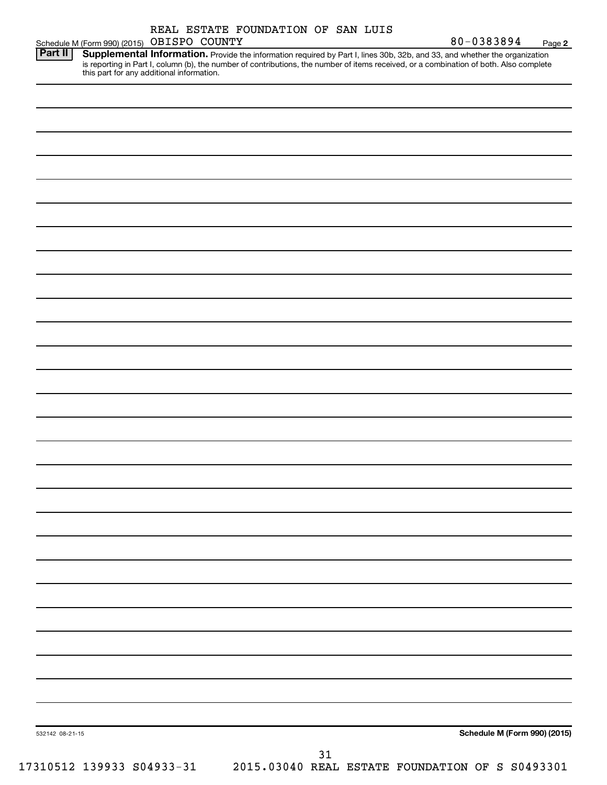| Part II | Schedule M (Form 990) (2015) OBISPO COUNTY<br>Supplemental Information. Provide the information required by Part I, lines 30b, 32b, and 33, and whether the organization            |  |
|---------|-------------------------------------------------------------------------------------------------------------------------------------------------------------------------------------|--|
|         | is reporting in Part I, column (b), the number of contributions, the number of items received, or a combination of both. Also complete<br>this part for any additional information. |  |
|         |                                                                                                                                                                                     |  |
|         |                                                                                                                                                                                     |  |
|         |                                                                                                                                                                                     |  |
|         |                                                                                                                                                                                     |  |
|         |                                                                                                                                                                                     |  |
|         |                                                                                                                                                                                     |  |
|         |                                                                                                                                                                                     |  |
|         |                                                                                                                                                                                     |  |
|         |                                                                                                                                                                                     |  |
|         |                                                                                                                                                                                     |  |
|         |                                                                                                                                                                                     |  |
|         |                                                                                                                                                                                     |  |
|         |                                                                                                                                                                                     |  |
|         |                                                                                                                                                                                     |  |
|         |                                                                                                                                                                                     |  |
|         |                                                                                                                                                                                     |  |
|         |                                                                                                                                                                                     |  |
|         |                                                                                                                                                                                     |  |
|         |                                                                                                                                                                                     |  |
|         |                                                                                                                                                                                     |  |
|         |                                                                                                                                                                                     |  |
|         |                                                                                                                                                                                     |  |
|         |                                                                                                                                                                                     |  |
|         |                                                                                                                                                                                     |  |
|         |                                                                                                                                                                                     |  |
|         |                                                                                                                                                                                     |  |
|         |                                                                                                                                                                                     |  |
|         |                                                                                                                                                                                     |  |
|         |                                                                                                                                                                                     |  |
|         |                                                                                                                                                                                     |  |
|         |                                                                                                                                                                                     |  |
|         |                                                                                                                                                                                     |  |
|         |                                                                                                                                                                                     |  |
|         |                                                                                                                                                                                     |  |
|         |                                                                                                                                                                                     |  |
|         |                                                                                                                                                                                     |  |
|         |                                                                                                                                                                                     |  |

80-0383894 Page 2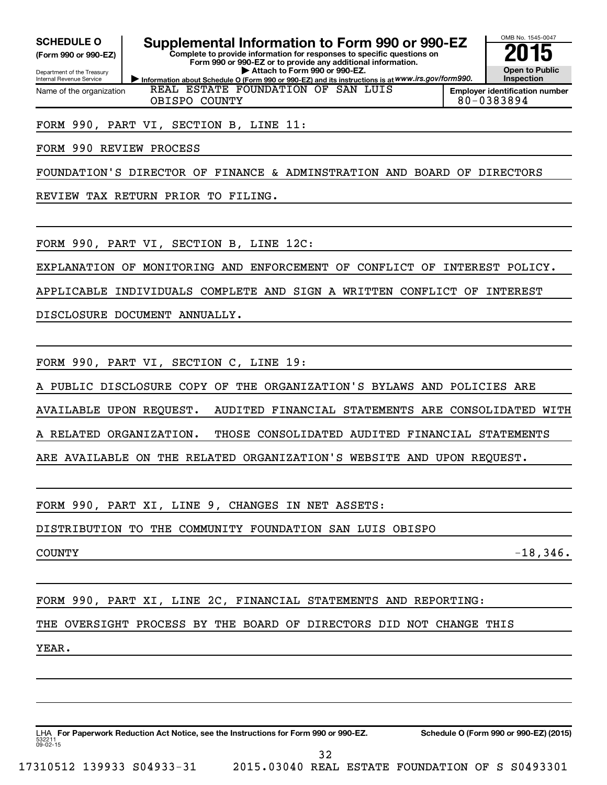**(Form 990 or 990-EZ)**

Department of the Treasury Internal Revenue Service Name of the organization

**Information about Schedule O (Form 990 or 990-EZ) and its instructions is at WWW.irs.gov/form990. Complete to provide information for responses to specific questions on Form 990 or 990-EZ or to provide any additional information. | Attach to Form 990 or 990-EZ. SCHEDULE O Supplemental Information to Form 990 or 990-EZ 2015**<br>(Form 990 or 990-EZ) Complete to provide information for responses to specific questions on

REAL ESTATE FOUNDATION OF SAN LUIS



**Employer identification number** OBISPO COUNTY 80-0383894

FORM 990, PART VI, SECTION B, LINE 11:

FORM 990 REVIEW PROCESS

FOUNDATION'S DIRECTOR OF FINANCE & ADMINSTRATION AND BOARD OF DIRECTORS

REVIEW TAX RETURN PRIOR TO FILING.

FORM 990, PART VI, SECTION B, LINE 12C:

EXPLANATION OF MONITORING AND ENFORCEMENT OF CONFLICT OF INTEREST POLICY.

APPLICABLE INDIVIDUALS COMPLETE AND SIGN A WRITTEN CONFLICT OF INTEREST

DISCLOSURE DOCUMENT ANNUALLY.

FORM 990, PART VI, SECTION C, LINE 19:

PUBLIC DISCLOSURE COPY OF THE ORGANIZATION'S BYLAWS AND POLICIES ARE

AVAILABLE UPON REQUEST. AUDITED FINANCIAL STATEMENTS ARE CONSOLIDATED WITH

A RELATED ORGANIZATION. THOSE CONSOLIDATED AUDITED FINANCIAL STATEMENTS

ARE AVAILABLE ON THE RELATED ORGANIZATION'S WEBSITE AND UPON REQUEST.

FORM 990, PART XI, LINE 9, CHANGES IN NET ASSETS:

DISTRIBUTION TO THE COMMUNITY FOUNDATION SAN LUIS OBISPO

 $\sim$  -18,346.

FORM 990, PART XI, LINE 2C, FINANCIAL STATEMENTS AND REPORTING:

THE OVERSIGHT PROCESS BY THE BOARD OF DIRECTORS DID NOT CHANGE THIS

YEAR.

532211  $09 - 02 - 15$ LHA For Paperwork Reduction Act Notice, see the Instructions for Form 990 or 990-EZ. Schedule O (Form 990 or 990-EZ) (2015) 32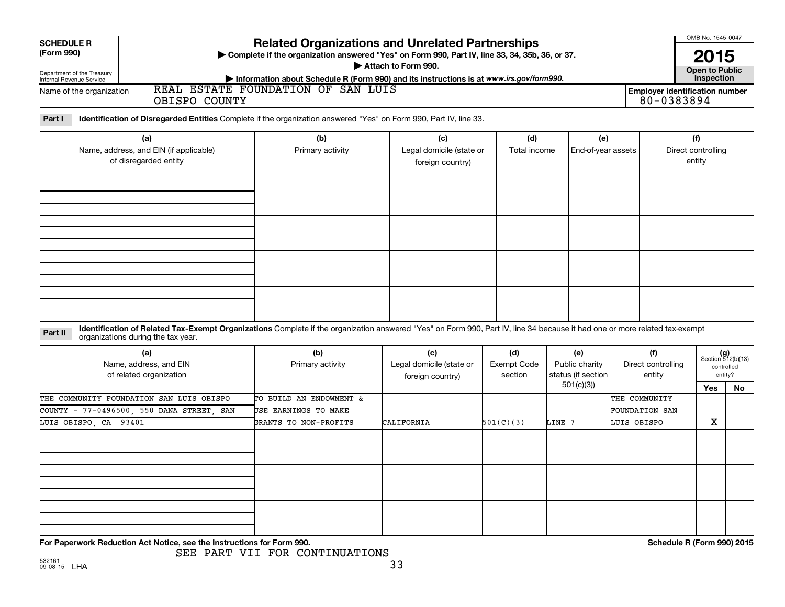| <b>Related Organizations and Unrelated Partnerships</b><br><b>SCHEDULE R</b> |                                                                                                                                                                                                                  |                                                                                                                                                                                             |                                                     |                                      |                                             |                                                       |                                                     | OMB No. 1545-0047                                    |
|------------------------------------------------------------------------------|------------------------------------------------------------------------------------------------------------------------------------------------------------------------------------------------------------------|---------------------------------------------------------------------------------------------------------------------------------------------------------------------------------------------|-----------------------------------------------------|--------------------------------------|---------------------------------------------|-------------------------------------------------------|-----------------------------------------------------|------------------------------------------------------|
| (Form 990)<br>Department of the Treasury<br>Internal Revenue Service         |                                                                                                                                                                                                                  | > Complete if the organization answered "Yes" on Form 990, Part IV, line 33, 34, 35b, 36, or 37.<br>Information about Schedule R (Form 990) and its instructions is at www.irs.gov/form990. | Attach to Form 990.                                 |                                      |                                             |                                                       | 2015<br><b>Open to Public</b><br>Inspection         |                                                      |
| Name of the organization                                                     | OBISPO COUNTY                                                                                                                                                                                                    | REAL ESTATE FOUNDATION OF SAN LUIS                                                                                                                                                          |                                                     |                                      |                                             |                                                       | <b>Employer identification number</b><br>80-0383894 |                                                      |
| Part I                                                                       | Identification of Disregarded Entities Complete if the organization answered "Yes" on Form 990, Part IV, line 33.                                                                                                |                                                                                                                                                                                             |                                                     |                                      |                                             |                                                       |                                                     |                                                      |
| (a)<br>Name, address, and EIN (if applicable)<br>of disregarded entity       |                                                                                                                                                                                                                  | (b)<br>Primary activity                                                                                                                                                                     | (c)<br>Legal domicile (state or<br>foreign country) | (d)<br>Total income                  | (e)<br>End-of-year assets                   |                                                       | (f)<br>Direct controlling<br>entity                 |                                                      |
|                                                                              |                                                                                                                                                                                                                  |                                                                                                                                                                                             |                                                     |                                      |                                             |                                                       |                                                     |                                                      |
|                                                                              |                                                                                                                                                                                                                  |                                                                                                                                                                                             |                                                     |                                      |                                             |                                                       |                                                     |                                                      |
|                                                                              |                                                                                                                                                                                                                  |                                                                                                                                                                                             |                                                     |                                      |                                             |                                                       |                                                     |                                                      |
| Part II                                                                      | Identification of Related Tax-Exempt Organizations Complete if the organization answered "Yes" on Form 990, Part IV, line 34 because it had one or more related tax-exempt<br>organizations during the tax year. |                                                                                                                                                                                             |                                                     |                                      |                                             |                                                       |                                                     |                                                      |
|                                                                              | (a)<br>Name, address, and EIN<br>of related organization                                                                                                                                                         | (b)<br>Primary activity                                                                                                                                                                     | (c)<br>Legal domicile (state or<br>foreign country) | (d)<br><b>Exempt Code</b><br>section | (e)<br>Public charity<br>status (if section | (f)<br>Direct controlling<br>entity                   |                                                     | $(g)$<br>Section 512(b)(13)<br>controlled<br>entity? |
| LUIS OBISPO, CA 93401                                                        | THE COMMUNITY FOUNDATION SAN LUIS OBISPO<br>COUNTY - 77-0496500, 550 DANA STREET, SAN                                                                                                                            | TO BUILD AN ENDOWMENT &<br>USE EARNINGS TO MAKE<br>GRANTS TO NON-PROFITS                                                                                                                    | CALIFORNIA                                          | 501(C)(3)                            | 501(c)(3)<br>LINE 7                         | THE COMMUNITY<br><b>FOUNDATION SAN</b><br>LUIS OBISPO | Yes<br>X                                            | No                                                   |
|                                                                              |                                                                                                                                                                                                                  |                                                                                                                                                                                             |                                                     |                                      |                                             |                                                       |                                                     |                                                      |
|                                                                              |                                                                                                                                                                                                                  |                                                                                                                                                                                             |                                                     |                                      |                                             |                                                       |                                                     |                                                      |
|                                                                              | For Paperwork Reduction Act Notice, see the Instructions for Form 990.                                                                                                                                           | SEE PART VII FOR CONTINUATIONS                                                                                                                                                              |                                                     |                                      |                                             |                                                       | Schedule R (Form 990) 2015                          |                                                      |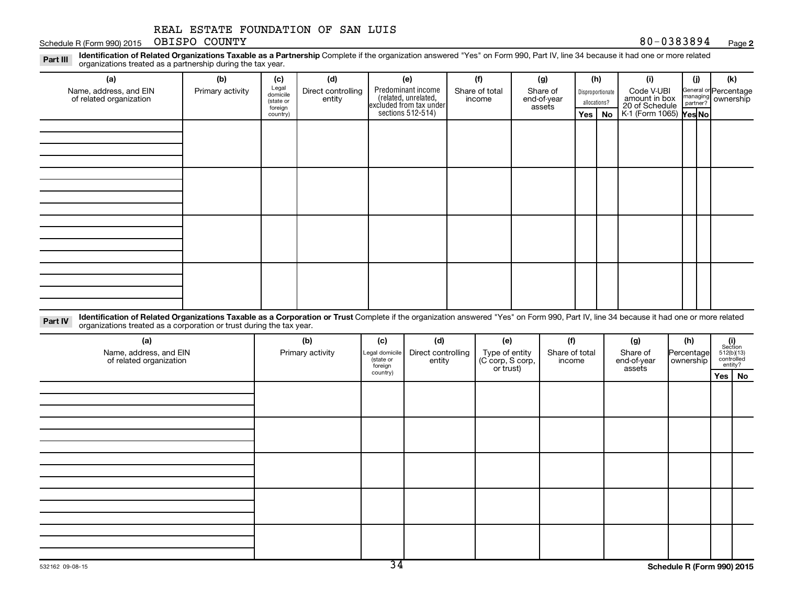#### Schedule R (Form 990) 2015 Page OBISPO COUNTY

**2**

Part III Identification of Related Organizations Taxable as a Partnership Complete if the organization answered "Yes" on Form 990, Part IV, line 34 because it had one or more related<br>Read to the organizations tracted as a organizations treated as a partnership during the tax year.

| (a)<br>Name, address, and EIN<br>of related organization | (b)<br>Primary activity | (c)<br>Legal<br>domicile<br>(state or<br>foreign | (d)<br>Direct controlling<br>entity | (e)<br>Predominant income<br>(related, unrelated,<br>excluded from tax under<br>sections 512-514) | (f)<br>Share of total<br>income | (g)<br>Share of<br>end-of-year<br>assets | (h)<br>Disproportionate<br>allocations? |          | (i)<br>Code V-UBI<br>amount in box<br>20 of Schedule | (j) | (k)<br>General or Percentage<br>managing ownership |
|----------------------------------------------------------|-------------------------|--------------------------------------------------|-------------------------------------|---------------------------------------------------------------------------------------------------|---------------------------------|------------------------------------------|-----------------------------------------|----------|------------------------------------------------------|-----|----------------------------------------------------|
|                                                          |                         | country)                                         |                                     |                                                                                                   |                                 |                                          |                                         | Yes   No | $K1$ (Form 1065) $\gamma$ es No                      |     |                                                    |
|                                                          |                         |                                                  |                                     |                                                                                                   |                                 |                                          |                                         |          |                                                      |     |                                                    |
|                                                          |                         |                                                  |                                     |                                                                                                   |                                 |                                          |                                         |          |                                                      |     |                                                    |
|                                                          |                         |                                                  |                                     |                                                                                                   |                                 |                                          |                                         |          |                                                      |     |                                                    |
|                                                          |                         |                                                  |                                     |                                                                                                   |                                 |                                          |                                         |          |                                                      |     |                                                    |

Part IV Identification of Related Organizations Taxable as a Corporation or Trust Complete if the organization answered "Yes" on Form 990, Part IV, line 34 because it had one or more related<br>Comparison tracted as a comprat organizations treated as a corporation or trust during the tax year.

| (a)<br>Name, address, and EIN<br>of related organization | (b)<br>Primary activity | (c)<br>Legal domicile<br>state or<br>foreign | (d)<br>Direct controlling<br>entity | (e)<br>Type of entity<br>(C corp, S corp,<br>or trust) | (f)<br>Share of total<br>income | (g)<br>Share of<br>end-of-year<br>assets | (h)<br>Percentage<br>ownership |          | $\begin{array}{c} \textbf{(i)}\\ \text{Section}\\ 512 \text{(b)} \text{(13)}\\ \text{controlled}\\ \text{entity?} \end{array}$ |
|----------------------------------------------------------|-------------------------|----------------------------------------------|-------------------------------------|--------------------------------------------------------|---------------------------------|------------------------------------------|--------------------------------|----------|--------------------------------------------------------------------------------------------------------------------------------|
|                                                          |                         | country)                                     |                                     |                                                        |                                 |                                          |                                | Yes   No |                                                                                                                                |
|                                                          |                         |                                              |                                     |                                                        |                                 |                                          |                                |          |                                                                                                                                |
|                                                          |                         |                                              |                                     |                                                        |                                 |                                          |                                |          |                                                                                                                                |
|                                                          |                         |                                              |                                     |                                                        |                                 |                                          |                                |          |                                                                                                                                |
|                                                          |                         |                                              |                                     |                                                        |                                 |                                          |                                |          |                                                                                                                                |
|                                                          |                         |                                              |                                     |                                                        |                                 |                                          |                                |          |                                                                                                                                |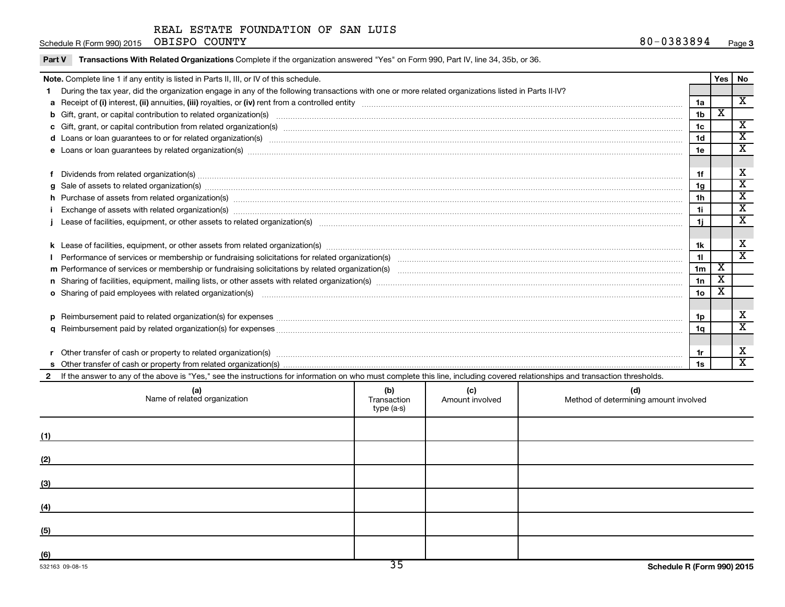Schedule R (Form 990) 2015 OBISPO COUNTY Next Schedule R (Form 990) 2015 OBISPO COUNTY

|  | Part V Transactions With Related Organizations Complete if the organization answered "Yes" on Form 990, Part IV, line 34, 35b, or 36. |
|--|---------------------------------------------------------------------------------------------------------------------------------------|
|--|---------------------------------------------------------------------------------------------------------------------------------------|

|                | Note. Complete line 1 if any entity is listed in Parts II, III, or IV of this schedule.                                                                                                                                        |  |  |              |                 | Yes                     | <b>No</b>                   |
|----------------|--------------------------------------------------------------------------------------------------------------------------------------------------------------------------------------------------------------------------------|--|--|--------------|-----------------|-------------------------|-----------------------------|
|                | During the tax year, did the organization engage in any of the following transactions with one or more related organizations listed in Parts II-IV?                                                                            |  |  |              |                 |                         |                             |
|                |                                                                                                                                                                                                                                |  |  |              | 1a              |                         | X                           |
|                |                                                                                                                                                                                                                                |  |  |              | 1 <sub>b</sub>  | X                       |                             |
|                |                                                                                                                                                                                                                                |  |  |              | 1 <sub>c</sub>  |                         | $\overline{\mathbf{x}}$     |
|                | d Loans or loan guarantees to or for related organization(s) www.communically.communically content to an analyzing content of the content of the content of the content of the content of the content of the content of the co |  |  |              | 1 <sub>d</sub>  |                         | $\overline{\textbf{X}}$     |
|                | e Loans or loan guarantees by related organization(s) www.assess.com/minimum/minimum/minimum/minimum/minimum/minimum/minimum/minimum/minimum/minimum/minimum/minimum/minimum/minimum/minimum/minimum/minimum/minimum/minimum/m |  |  |              | 1e              |                         | $\mathbf x$                 |
|                |                                                                                                                                                                                                                                |  |  |              |                 |                         |                             |
|                |                                                                                                                                                                                                                                |  |  |              | 1f              |                         | х                           |
| a              | Sale of assets to related organization(s) macrocommunically contained and contained and contained and contained and contained and contained and contained and contained and contained and contained and contained and containe |  |  |              | 1g              |                         | $\overline{\textbf{x}}$     |
|                | h Purchase of assets from related organization(s) manufactured and content to content the content of assets from related organization(s)                                                                                       |  |  |              | 1 <sub>h</sub>  |                         | $\overline{\textbf{X}}$     |
|                |                                                                                                                                                                                                                                |  |  |              | 1i              |                         | $\overline{\textbf{x}}$     |
|                |                                                                                                                                                                                                                                |  |  |              |                 |                         | $\overline{\textbf{X}}$     |
|                |                                                                                                                                                                                                                                |  |  |              |                 |                         |                             |
|                |                                                                                                                                                                                                                                |  |  |              | 1k              |                         | х                           |
|                |                                                                                                                                                                                                                                |  |  |              | 11              |                         | $\overline{\textnormal{x}}$ |
|                |                                                                                                                                                                                                                                |  |  |              |                 |                         |                             |
|                |                                                                                                                                                                                                                                |  |  |              |                 |                         |                             |
|                |                                                                                                                                                                                                                                |  |  |              | 10 <sub>o</sub> | $\overline{\texttt{x}}$ |                             |
|                |                                                                                                                                                                                                                                |  |  |              |                 |                         |                             |
|                |                                                                                                                                                                                                                                |  |  |              | 1p              |                         | х                           |
| a              |                                                                                                                                                                                                                                |  |  |              | 1q              |                         | $\overline{\textnormal{x}}$ |
|                |                                                                                                                                                                                                                                |  |  |              |                 |                         |                             |
|                | Other transfer of cash or property to related organization(s) www.communities are consumed and content transfer of cash or property to related organization(s)                                                                 |  |  |              | 1r              |                         | х                           |
|                |                                                                                                                                                                                                                                |  |  |              | 1s              |                         | $\overline{\mathbf{x}}$     |
| $\overline{2}$ | If the answer to any of the above is "Yes," see the instructions for information on who must complete this line, including covered relationships and transaction thresholds.                                                   |  |  |              |                 |                         |                             |
|                | $\sim$ $\sim$ $\sim$<br>$\sqrt{a}$                                                                                                                                                                                             |  |  | $\mathbf{H}$ |                 |                         |                             |

| (a)<br>Name of related organization | (b)<br>Transaction<br>type (a-s) | (c)<br>Amount involved | (d)<br>Method of determining amount involved |
|-------------------------------------|----------------------------------|------------------------|----------------------------------------------|
| (1)                                 |                                  |                        |                                              |
| (2)                                 |                                  |                        |                                              |
| (3)                                 |                                  |                        |                                              |
| (4)                                 |                                  |                        |                                              |
| (5)                                 |                                  |                        |                                              |
| (6)                                 | ת $\overline{\sigma}$            |                        |                                              |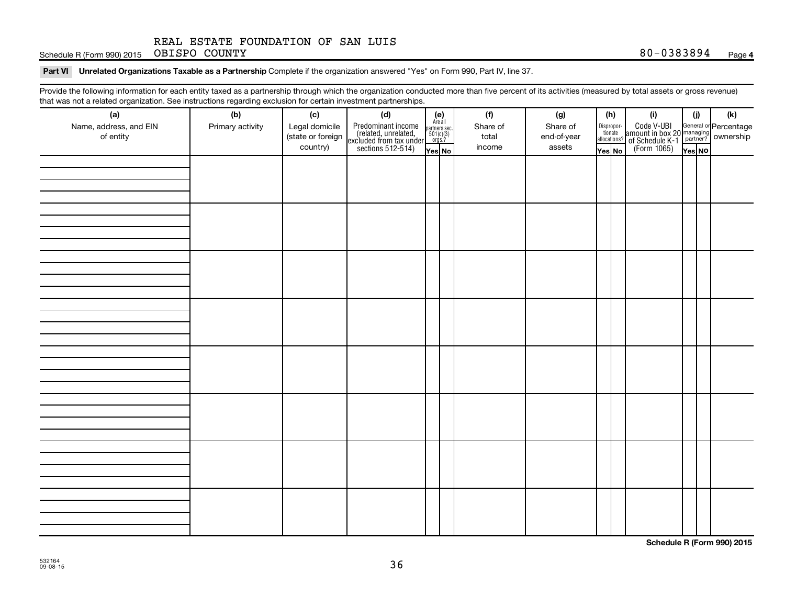Schedule R (Form 990) 2015 OBISPO COUNTY Next Schedule R (Form 990) 2015 OBISPO COUNTY

Part VI Unrelated Organizations Taxable as a Partnership Complete if the organization answered "Yes" on Form 990, Part IV, line 37.

Provide the following information for each entity taxed as a partnership through which the organization conducted more than five percent of its activities (measured by total assets or gross revenue) that was not a related organization. See instructions regarding exclusion for certain investment partnerships.

| that was not a related organization. Occ instructions regarding excitation for certain investment partnerships.<br>(a) | (b)              | (c)               | (d)                                                                                        |                                                          |  | (f)      | (g)         |        | (h)                                                                        | (i)                                                                            | (j)    | (k) |
|------------------------------------------------------------------------------------------------------------------------|------------------|-------------------|--------------------------------------------------------------------------------------------|----------------------------------------------------------|--|----------|-------------|--------|----------------------------------------------------------------------------|--------------------------------------------------------------------------------|--------|-----|
| Name, address, and EIN                                                                                                 | Primary activity | Legal domicile    | Predominant income<br>(related, unrelated,<br>excluded from tax under<br>sections 512-514) | (e)<br>Are all<br>partners sec.<br>$501(c)(3)$<br>orgs.? |  | Share of | Share of    |        | $\begin{tabular}{c} Disproport \\ tionate \\ all locations? \end{tabular}$ | Code V-UBI<br>amount in box 20 managing<br>Percentage<br>(Form 1065)<br>Pes No |        |     |
| of entity                                                                                                              |                  | (state or foreign |                                                                                            |                                                          |  | total    | end-of-year |        |                                                                            |                                                                                |        |     |
|                                                                                                                        |                  | country)          |                                                                                            | Yes No                                                   |  | income   | assets      | Yes No |                                                                            |                                                                                | Yes NO |     |
|                                                                                                                        |                  |                   |                                                                                            |                                                          |  |          |             |        |                                                                            |                                                                                |        |     |
|                                                                                                                        |                  |                   |                                                                                            |                                                          |  |          |             |        |                                                                            |                                                                                |        |     |
|                                                                                                                        |                  |                   |                                                                                            |                                                          |  |          |             |        |                                                                            |                                                                                |        |     |
|                                                                                                                        |                  |                   |                                                                                            |                                                          |  |          |             |        |                                                                            |                                                                                |        |     |
|                                                                                                                        |                  |                   |                                                                                            |                                                          |  |          |             |        |                                                                            |                                                                                |        |     |
|                                                                                                                        |                  |                   |                                                                                            |                                                          |  |          |             |        |                                                                            |                                                                                |        |     |
|                                                                                                                        |                  |                   |                                                                                            |                                                          |  |          |             |        |                                                                            |                                                                                |        |     |
|                                                                                                                        |                  |                   |                                                                                            |                                                          |  |          |             |        |                                                                            |                                                                                |        |     |
|                                                                                                                        |                  |                   |                                                                                            |                                                          |  |          |             |        |                                                                            |                                                                                |        |     |
|                                                                                                                        |                  |                   |                                                                                            |                                                          |  |          |             |        |                                                                            |                                                                                |        |     |
|                                                                                                                        |                  |                   |                                                                                            |                                                          |  |          |             |        |                                                                            |                                                                                |        |     |
|                                                                                                                        |                  |                   |                                                                                            |                                                          |  |          |             |        |                                                                            |                                                                                |        |     |
|                                                                                                                        |                  |                   |                                                                                            |                                                          |  |          |             |        |                                                                            |                                                                                |        |     |
|                                                                                                                        |                  |                   |                                                                                            |                                                          |  |          |             |        |                                                                            |                                                                                |        |     |
|                                                                                                                        |                  |                   |                                                                                            |                                                          |  |          |             |        |                                                                            |                                                                                |        |     |
|                                                                                                                        |                  |                   |                                                                                            |                                                          |  |          |             |        |                                                                            |                                                                                |        |     |
|                                                                                                                        |                  |                   |                                                                                            |                                                          |  |          |             |        |                                                                            |                                                                                |        |     |
|                                                                                                                        |                  |                   |                                                                                            |                                                          |  |          |             |        |                                                                            |                                                                                |        |     |
|                                                                                                                        |                  |                   |                                                                                            |                                                          |  |          |             |        |                                                                            |                                                                                |        |     |
|                                                                                                                        |                  |                   |                                                                                            |                                                          |  |          |             |        |                                                                            |                                                                                |        |     |
|                                                                                                                        |                  |                   |                                                                                            |                                                          |  |          |             |        |                                                                            |                                                                                |        |     |
|                                                                                                                        |                  |                   |                                                                                            |                                                          |  |          |             |        |                                                                            |                                                                                |        |     |
|                                                                                                                        |                  |                   |                                                                                            |                                                          |  |          |             |        |                                                                            |                                                                                |        |     |
|                                                                                                                        |                  |                   |                                                                                            |                                                          |  |          |             |        |                                                                            |                                                                                |        |     |
|                                                                                                                        |                  |                   |                                                                                            |                                                          |  |          |             |        |                                                                            |                                                                                |        |     |
|                                                                                                                        |                  |                   |                                                                                            |                                                          |  |          |             |        |                                                                            |                                                                                |        |     |
|                                                                                                                        |                  |                   |                                                                                            |                                                          |  |          |             |        |                                                                            |                                                                                |        |     |
|                                                                                                                        |                  |                   |                                                                                            |                                                          |  |          |             |        |                                                                            |                                                                                |        |     |
|                                                                                                                        |                  |                   |                                                                                            |                                                          |  |          |             |        |                                                                            |                                                                                |        |     |
|                                                                                                                        |                  |                   |                                                                                            |                                                          |  |          |             |        |                                                                            |                                                                                |        |     |
|                                                                                                                        |                  |                   |                                                                                            |                                                          |  |          |             |        |                                                                            |                                                                                |        |     |
|                                                                                                                        |                  |                   |                                                                                            |                                                          |  |          |             |        |                                                                            |                                                                                |        |     |

**Schedule R (Form 990) 2015**